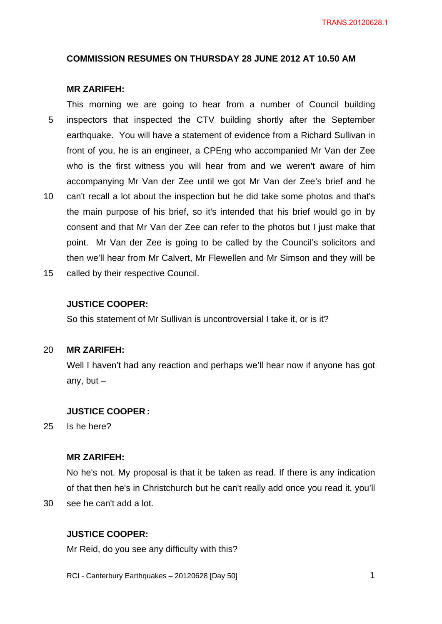## **COMMISSION RESUMES ON THURSDAY 28 JUNE 2012 AT 10.50 AM**

## **MR ZARIFEH:**

5 10 This morning we are going to hear from a number of Council building inspectors that inspected the CTV building shortly after the September earthquake. You will have a statement of evidence from a Richard Sullivan in front of you, he is an engineer, a CPEng who accompanied Mr Van der Zee who is the first witness you will hear from and we weren't aware of him accompanying Mr Van der Zee until we got Mr Van der Zee's brief and he can't recall a lot about the inspection but he did take some photos and that's the main purpose of his brief, so it's intended that his brief would go in by consent and that Mr Van der Zee can refer to the photos but I just make that point. Mr Van der Zee is going to be called by the Council's solicitors and

15 called by their respective Council.

### **JUSTICE COOPER:**

So this statement of Mr Sullivan is uncontroversial I take it, or is it?

#### 20 **MR ZARIFEH:**

Well I haven't had any reaction and perhaps we'll hear now if anyone has got any, but  $-$ 

then we'll hear from Mr Calvert, Mr Flewellen and Mr Simson and they will be

## **JUSTICE COOPER :**

25 Is he here?

30

## **MR ZARIFEH:**

No he's not. My proposal is that it be taken as read. If there is any indication of that then he's in Christchurch but he can't really add once you read it, you'll see he can't add a lot.

## **JUSTICE COOPER:**

Mr Reid, do you see any difficulty with this?

RCI - Canterbury Earthquakes – 20120628 [Day 50]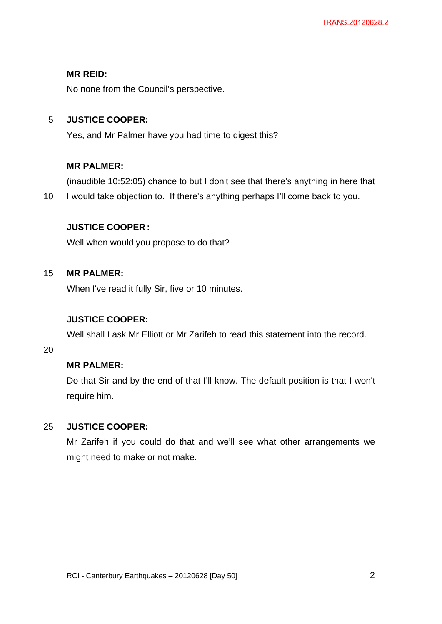## **MR REID:**

No none from the Council's perspective.

#### 5 **JUSTICE COOPER:**

Yes, and Mr Palmer have you had time to digest this?

# **MR PALMER:**

(inaudible 10:52:05) chance to but I don't see that there's anything in here that

10 I would take objection to. If there's anything perhaps I'll come back to you.

## **JUSTICE COOPER :**

Well when would you propose to do that?

#### 15 **MR PALMER:**

When I've read it fully Sir, five or 10 minutes.

# **JUSTICE COOPER:**

Well shall I ask Mr Elliott or Mr Zarifeh to read this statement into the record.

20

# **MR PALMER:**

Do that Sir and by the end of that I'll know. The default position is that I won't require him.

#### 25 **JUSTICE COOPER:**

Mr Zarifeh if you could do that and we'll see what other arrangements we might need to make or not make.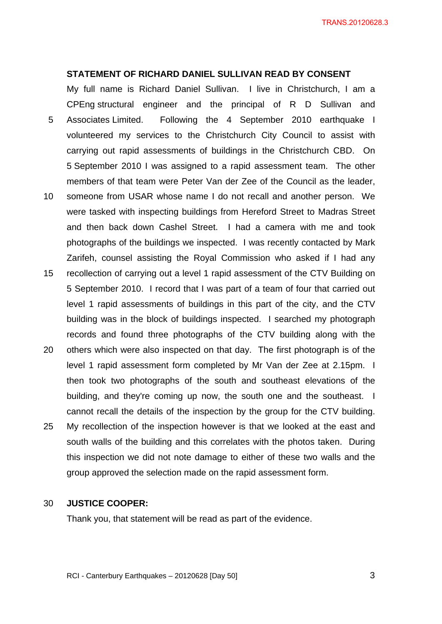### **STATEMENT OF RICHARD DANIEL SULLIVAN READ BY CONSENT**

5 10 My full name is Richard Daniel Sullivan. I live in Christchurch, I am a CPEng structural engineer and the principal of R D Sullivan and Associates Limited. Following the 4 September 2010 earthquake I volunteered my services to the Christchurch City Council to assist with carrying out rapid assessments of buildings in the Christchurch CBD. On 5 September 2010 I was assigned to a rapid assessment team. The other members of that team were Peter Van der Zee of the Council as the leader, someone from USAR whose name I do not recall and another person. We

- were tasked with inspecting buildings from Hereford Street to Madras Street and then back down Cashel Street. I had a camera with me and took photographs of the buildings we inspected. I was recently contacted by Mark Zarifeh, counsel assisting the Royal Commission who asked if I had any
- 15 recollection of carrying out a level 1 rapid assessment of the CTV Building on 5 September 2010. I record that I was part of a team of four that carried out level 1 rapid assessments of buildings in this part of the city, and the CTV building was in the block of buildings inspected. I searched my photograph records and found three photographs of the CTV building along with the
- 20 others which were also inspected on that day. The first photograph is of the level 1 rapid assessment form completed by Mr Van der Zee at 2.15pm. I then took two photographs of the south and southeast elevations of the building, and they're coming up now, the south one and the southeast. I cannot recall the details of the inspection by the group for the CTV building.
- 25 My recollection of the inspection however is that we looked at the east and south walls of the building and this correlates with the photos taken. During this inspection we did not note damage to either of these two walls and the group approved the selection made on the rapid assessment form.

#### 30 **JUSTICE COOPER:**

Thank you, that statement will be read as part of the evidence.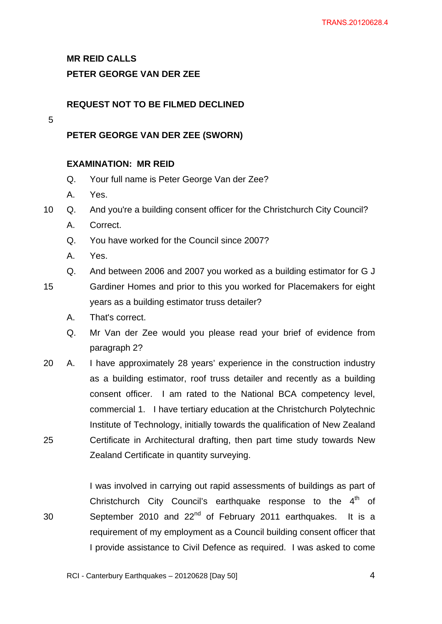**MR REID CALLS** 

## **PETER GEORGE VAN DER ZEE**

## **REQUEST NOT TO BE FILMED DECLINED**

## 5

# **PETER GEORGE VAN DER ZEE (SWORN)**

## **EXAMINATION: MR REID**

- Q. Your full name is Peter George Van der Zee?
- A. Yes.
- 10 Q. And you're a building consent officer for the Christchurch City Council?
	- A. Correct.
	- Q. You have worked for the Council since 2007?
	- A. Yes.
	- Q. And between 2006 and 2007 you worked as a building estimator for G J
- 15 Gardiner Homes and prior to this you worked for Placemakers for eight years as a building estimator truss detailer?
	- A. That's correct.
	- Q. Mr Van der Zee would you please read your brief of evidence from paragraph 2?
- 25 20 A. I have approximately 28 years' experience in the construction industry as a building estimator, roof truss detailer and recently as a building consent officer. I am rated to the National BCA competency level, commercial 1. I have tertiary education at the Christchurch Polytechnic Institute of Technology, initially towards the qualification of New Zealand Certificate in Architectural drafting, then part time study towards New Zealand Certificate in quantity surveying.

30 I was involved in carrying out rapid assessments of buildings as part of Christchurch City Council's earthquake response to the  $4<sup>th</sup>$  of September 2010 and 22<sup>nd</sup> of February 2011 earthquakes. It is a requirement of my employment as a Council building consent officer that I provide assistance to Civil Defence as required. I was asked to come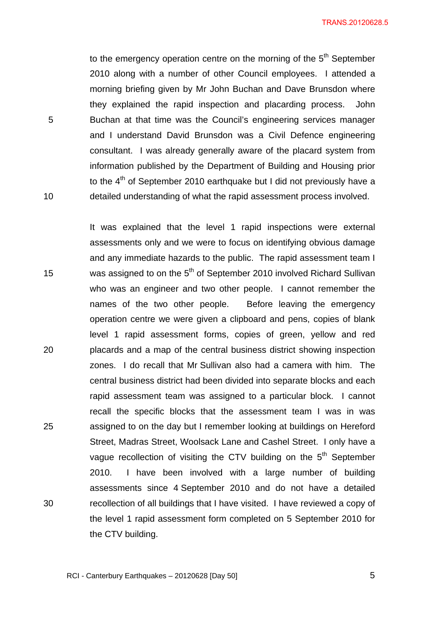TRANS.20120628.5

to the emergency operation centre on the morning of the  $5<sup>th</sup>$  September 2010 along with a number of other Council employees. I attended a morning briefing given by Mr John Buchan and Dave Brunsdon where they explained the rapid inspection and placarding process. John Buchan at that time was the Council's engineering services manager and I understand David Brunsdon was a Civil Defence engineering consultant. I was already generally aware of the placard system from information published by the Department of Building and Housing prior to the 4<sup>th</sup> of September 2010 earthquake but I did not previously have a detailed understanding of what the rapid assessment process involved.

5

10

15 20 25 30 It was explained that the level 1 rapid inspections were external assessments only and we were to focus on identifying obvious damage and any immediate hazards to the public. The rapid assessment team I was assigned to on the 5<sup>th</sup> of September 2010 involved Richard Sullivan who was an engineer and two other people. I cannot remember the names of the two other people. Before leaving the emergency operation centre we were given a clipboard and pens, copies of blank level 1 rapid assessment forms, copies of green, yellow and red placards and a map of the central business district showing inspection zones. I do recall that Mr Sullivan also had a camera with him. The central business district had been divided into separate blocks and each rapid assessment team was assigned to a particular block. I cannot recall the specific blocks that the assessment team I was in was assigned to on the day but I remember looking at buildings on Hereford Street, Madras Street, Woolsack Lane and Cashel Street. I only have a vague recollection of visiting the CTV building on the  $5<sup>th</sup>$  September 2010. I have been involved with a large number of building assessments since 4 September 2010 and do not have a detailed recollection of all buildings that I have visited. I have reviewed a copy of the level 1 rapid assessment form completed on 5 September 2010 for the CTV building.

 $\sim$  5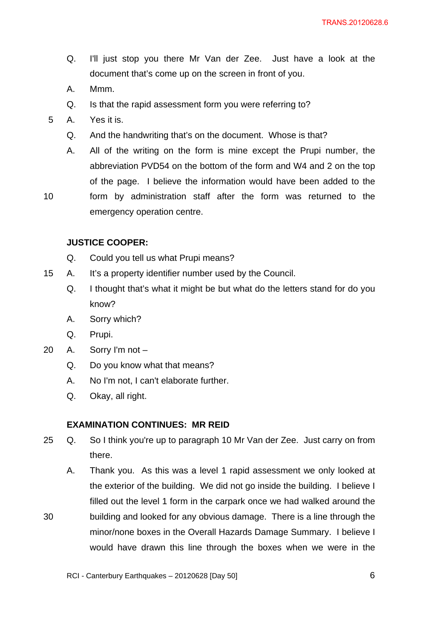- Q. I'll just stop you there Mr Van der Zee. Just have a look at the document that's come up on the screen in front of you.
- A. Mmm.
- Q. Is that the rapid assessment form you were referring to?
- 5 A. Yes it is.
	- Q. And the handwriting that's on the document. Whose is that?
	- A. All of the writing on the form is mine except the Prupi number, the abbreviation PVD54 on the bottom of the form and W4 and 2 on the top of the page. I believe the information would have been added to the
- 10

form by administration staff after the form was returned to the emergency operation centre.

## **JUSTICE COOPER:**

- Q. Could you tell us what Prupi means?
- 15 A. It's a property identifier number used by the Council.
	- Q. I thought that's what it might be but what do the letters stand for do you know?
	- A. Sorry which?
	- Q. Prupi.
- 20 A. Sorry I'm not
	- Q. Do you know what that means?
	- A. No I'm not, I can't elaborate further.
	- Q. Okay, all right.

#### **EXAMINATION CONTINUES: MR REID**

- 25 Q. So I think you're up to paragraph 10 Mr Van der Zee. Just carry on from there.
	- A. Thank you. As this was a level 1 rapid assessment we only looked at the exterior of the building. We did not go inside the building. I believe I filled out the level 1 form in the carpark once we had walked around the building and looked for any obvious damage. There is a line through the minor/none boxes in the Overall Hazards Damage Summary. I believe I would have drawn this line through the boxes when we were in the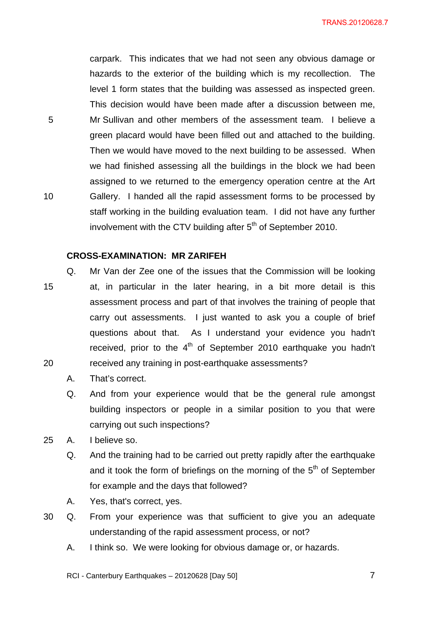TRANS.20120628.7

carpark. This indicates that we had not seen any obvious damage or hazards to the exterior of the building which is my recollection. The level 1 form states that the building was assessed as inspected green. This decision would have been made after a discussion between me, Mr Sullivan and other members of the assessment team. I believe a green placard would have been filled out and attached to the building. Then we would have moved to the next building to be assessed. When we had finished assessing all the buildings in the block we had been assigned to we returned to the emergency operation centre at the Art Gallery. I handed all the rapid assessment forms to be processed by staff working in the building evaluation team. I did not have any further involvement with the CTV building after  $5<sup>th</sup>$  of September 2010.

## **CROSS-EXAMINATION: MR ZARIFEH**

- 15 20 Q. Mr Van der Zee one of the issues that the Commission will be looking at, in particular in the later hearing, in a bit more detail is this assessment process and part of that involves the training of people that carry out assessments. I just wanted to ask you a couple of brief questions about that. As I understand your evidence you hadn't received, prior to the  $4<sup>th</sup>$  of September 2010 earthquake you hadn't received any training in post-earthquake assessments?
	- A. That's correct.
	- Q. And from your experience would that be the general rule amongst building inspectors or people in a similar position to you that were carrying out such inspections?
- 25 A. I believe so.

5

- Q. And the training had to be carried out pretty rapidly after the earthquake and it took the form of briefings on the morning of the  $5<sup>th</sup>$  of September for example and the days that followed?
- A. Yes, that's correct, yes.
- 30 Q. From your experience was that sufficient to give you an adequate understanding of the rapid assessment process, or not?
	- A. I think so. We were looking for obvious damage or, or hazards.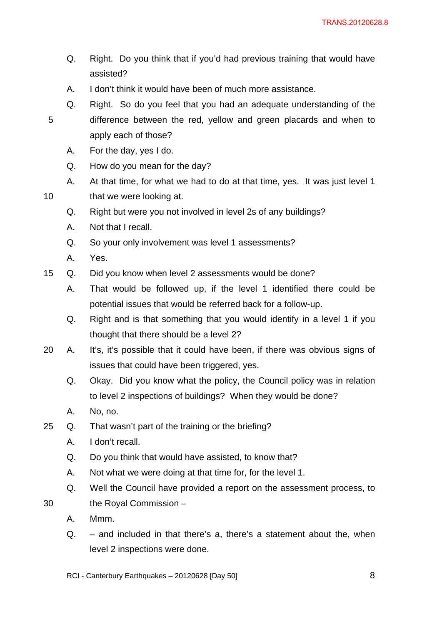- Q. Right. Do you think that if you'd had previous training that would have assisted?
- A. I don't think it would have been of much more assistance.
- Q. Right. So do you feel that you had an adequate understanding of the difference between the red, yellow and green placards and when to apply each of those?
	- A. For the day, yes I do.
	- Q. How do you mean for the day?
- A. At that time, for what we had to do at that time, yes. It was just level 1 that we were looking at.
- Q. Right but were you not involved in level 2s of any buildings?
- A. Not that I recall.
- Q. So your only involvement was level 1 assessments?
- A. Yes.

10

- 15 Q. Did you know when level 2 assessments would be done?
	- A. That would be followed up, if the level 1 identified there could be potential issues that would be referred back for a follow-up.
	- Q. Right and is that something that you would identify in a level 1 if you thought that there should be a level 2?
- 20 A. It's, it's possible that it could have been, if there was obvious signs of issues that could have been triggered, yes.
	- Q. Okay. Did you know what the policy, the Council policy was in relation to level 2 inspections of buildings? When they would be done?
	- A. No, no.
- 25 Q. That wasn't part of the training or the briefing?
	- A. I don't recall.
	- Q. Do you think that would have assisted, to know that?
	- A. Not what we were doing at that time for, for the level 1.
	- Q. Well the Council have provided a report on the assessment process, to the Royal Commission –
	- A. Mmm.

- Q. and included in that there's a, there's a statement about the, when level 2 inspections were done.
- RCI Canterbury Earthquakes 20120628 [Day 50]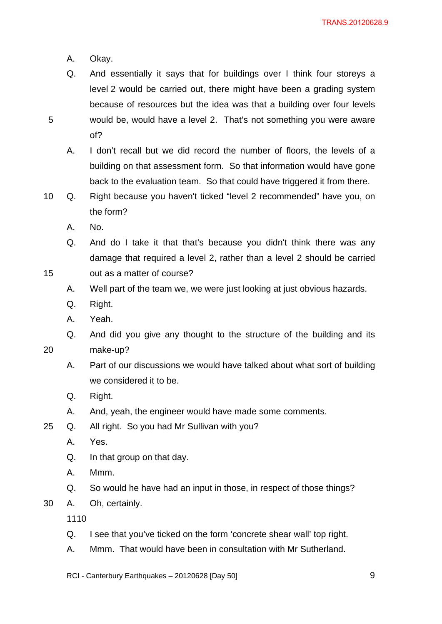A. Okay.

5

15

20

- Q. And essentially it says that for buildings over I think four storeys a level 2 would be carried out, there might have been a grading system because of resources but the idea was that a building over four levels would be, would have a level 2. That's not something you were aware of?
	- A. I don't recall but we did record the number of floors, the levels of a building on that assessment form. So that information would have gone back to the evaluation team. So that could have triggered it from there.
- 10 Q. Right because you haven't ticked "level 2 recommended" have you, on the form?
	- A. No.
	- Q. And do I take it that that's because you didn't think there was any damage that required a level 2, rather than a level 2 should be carried
	- out as a matter of course?
		- A. Well part of the team we, we were just looking at just obvious hazards.
		- Q. Right.
		- A. Yeah.
		- Q. And did you give any thought to the structure of the building and its make-up?
		- A. Part of our discussions we would have talked about what sort of building we considered it to be.
		- Q. Right.
		- A. And, yeah, the engineer would have made some comments.
- 25 Q. All right. So you had Mr Sullivan with you?
	- A. Yes.
	- Q. In that group on that day.
	- A. Mmm.
	- Q. So would he have had an input in those, in respect of those things?
- 30 A. Oh, certainly.

- Q. I see that you've ticked on the form 'concrete shear wall' top right.
- A. Mmm. That would have been in consultation with Mr Sutherland.
- RCI Canterbury Earthquakes 20120628 [Day 50]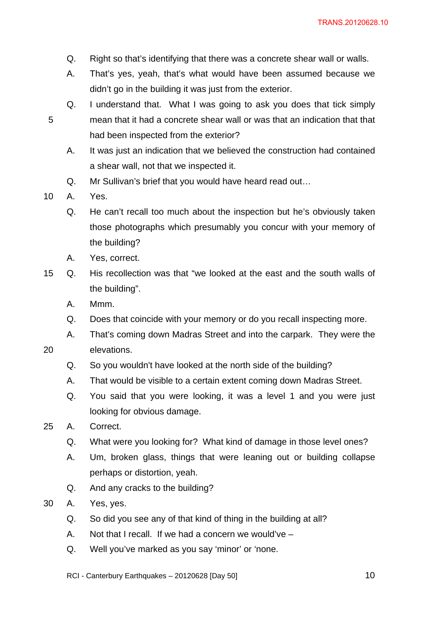- Q. Right so that's identifying that there was a concrete shear wall or walls.
- A. That's yes, yeah, that's what would have been assumed because we didn't go in the building it was just from the exterior.
- Q. I understand that. What I was going to ask you does that tick simply mean that it had a concrete shear wall or was that an indication that that had been inspected from the exterior?
	- A. It was just an indication that we believed the construction had contained a shear wall, not that we inspected it.
	- Q. Mr Sullivan's brief that you would have heard read out…
- 10 A. Yes.

20

- Q. He can't recall too much about the inspection but he's obviously taken those photographs which presumably you concur with your memory of the building?
- A. Yes, correct.
- 15 Q. His recollection was that "we looked at the east and the south walls of the building".
	- A. Mmm.
	- Q. Does that coincide with your memory or do you recall inspecting more.
	- A. That's coming down Madras Street and into the carpark. They were the elevations.
		- Q. So you wouldn't have looked at the north side of the building?
		- A. That would be visible to a certain extent coming down Madras Street.
		- Q. You said that you were looking, it was a level 1 and you were just looking for obvious damage.
- 25 A. Correct.
	- Q. What were you looking for? What kind of damage in those level ones?
	- A. Um, broken glass, things that were leaning out or building collapse perhaps or distortion, yeah.
	- Q. And any cracks to the building?
- 30 A. Yes, yes.
	- Q. So did you see any of that kind of thing in the building at all?
	- A. Not that I recall. If we had a concern we would've –
	- Q. Well you've marked as you say 'minor' or 'none.

RCI - Canterbury Earthquakes – 20120628 [Day 50]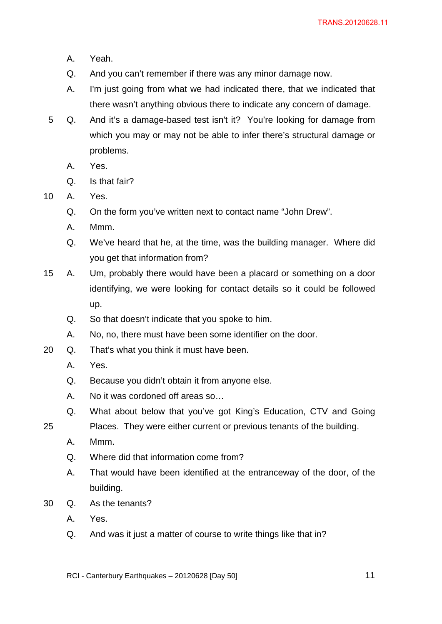- A. Yeah.
- Q. And you can't remember if there was any minor damage now.
- A. I'm just going from what we had indicated there, that we indicated that there wasn't anything obvious there to indicate any concern of damage.
- 5 Q. And it's a damage-based test isn't it? You're looking for damage from which you may or may not be able to infer there's structural damage or problems.
	- A. Yes.
	- Q. Is that fair?
- 10 A. Yes.
	- Q. On the form you've written next to contact name "John Drew".
	- A. Mmm.
	- Q. We've heard that he, at the time, was the building manager. Where did you get that information from?
- 15 A. Um, probably there would have been a placard or something on a door identifying, we were looking for contact details so it could be followed up.
	- Q. So that doesn't indicate that you spoke to him.
	- A. No, no, there must have been some identifier on the door.
- 20 Q. That's what you think it must have been.
	- A. Yes.
	- Q. Because you didn't obtain it from anyone else.
	- A. No it was cordoned off areas so…
	- Q. What about below that you've got King's Education, CTV and Going
	- Places. They were either current or previous tenants of the building.
		- A. Mmm.

- Q. Where did that information come from?
- A. That would have been identified at the entranceway of the door, of the building.
- 30 Q. As the tenants?
	- A. Yes.
	- Q. And was it just a matter of course to write things like that in?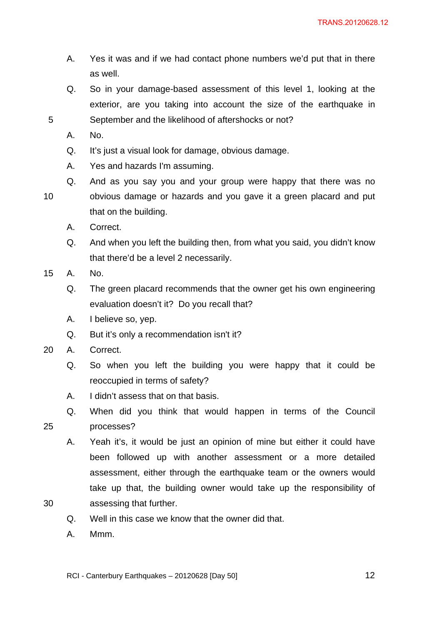- A. Yes it was and if we had contact phone numbers we'd put that in there as well.
- Q. So in your damage-based assessment of this level 1, looking at the exterior, are you taking into account the size of the earthquake in September and the likelihood of aftershocks or not?
- A. No.

- Q. It's just a visual look for damage, obvious damage.
- A. Yes and hazards I'm assuming.
- 10 Q. And as you say you and your group were happy that there was no obvious damage or hazards and you gave it a green placard and put that on the building.
	- A. Correct.
	- Q. And when you left the building then, from what you said, you didn't know that there'd be a level 2 necessarily.
- 15 A. No.
	- Q. The green placard recommends that the owner get his own engineering evaluation doesn't it? Do you recall that?
	- A. I believe so, yep.
	- Q. But it's only a recommendation isn't it?
- 20 A. Correct.
	- Q. So when you left the building you were happy that it could be reoccupied in terms of safety?
	- A. I didn't assess that on that basis.
	- Q. When did you think that would happen in terms of the Council processes?
		- A. Yeah it's, it would be just an opinion of mine but either it could have been followed up with another assessment or a more detailed assessment, either through the earthquake team or the owners would take up that, the building owner would take up the responsibility of assessing that further.
- 30

- Q. Well in this case we know that the owner did that.
- A. Mmm.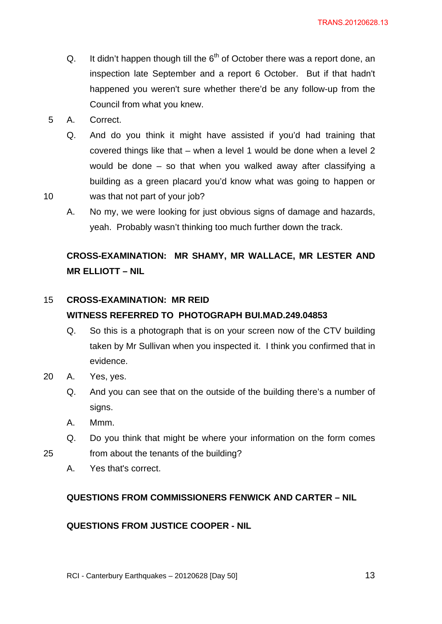- Q. It didn't happen though till the  $6<sup>th</sup>$  of October there was a report done, an inspection late September and a report 6 October. But if that hadn't happened you weren't sure whether there'd be any follow-up from the Council from what you knew.
- 5 A. Correct.

- Q. And do you think it might have assisted if you'd had training that covered things like that – when a level 1 would be done when a level 2 would be done – so that when you walked away after classifying a building as a green placard you'd know what was going to happen or was that not part of your job?
- A. No my, we were looking for just obvious signs of damage and hazards, yeah. Probably wasn't thinking too much further down the track.

# **CROSS-EXAMINATION: MR SHAMY, MR WALLACE, MR LESTER AND MR ELLIOTT – NIL**

### 15 **CROSS-EXAMINATION: MR REID WITNESS REFERRED TO PHOTOGRAPH BUI.MAD.249.04853**

- Q. So this is a photograph that is on your screen now of the CTV building taken by Mr Sullivan when you inspected it. I think you confirmed that in evidence.
- 20 A. Yes, yes.
	- Q. And you can see that on the outside of the building there's a number of signs.
	- A. Mmm.
	- Q. Do you think that might be where your information on the form comes from about the tenants of the building?
	-

25

A. Yes that's correct.

## **QUESTIONS FROM COMMISSIONERS FENWICK AND CARTER – NIL**

## **QUESTIONS FROM JUSTICE COOPER - NIL**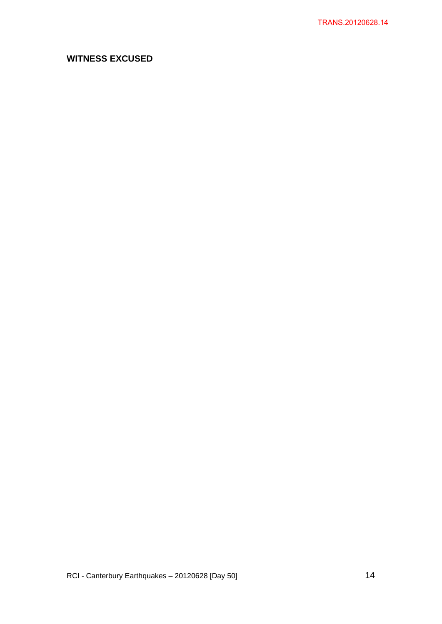# **WITNESS EXCUSED**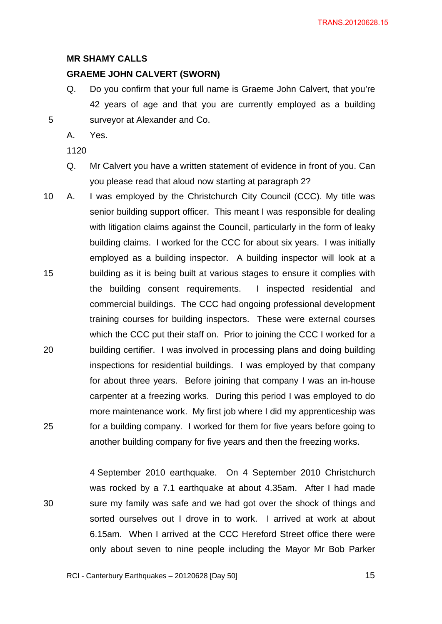### **MR SHAMY CALLS**

## **GRAEME JOHN CALVERT (SWORN)**

- Q. Do you confirm that your full name is Graeme John Calvert, that you're 42 years of age and that you are currently employed as a building surveyor at Alexander and Co.
- A. Yes.

1120

5

30

- Q. Mr Calvert you have a written statement of evidence in front of you. Can you please read that aloud now starting at paragraph 2?
- 15 20 25 10 A. I was employed by the Christchurch City Council (CCC). My title was senior building support officer. This meant I was responsible for dealing with litigation claims against the Council, particularly in the form of leaky building claims. I worked for the CCC for about six years. I was initially employed as a building inspector. A building inspector will look at a building as it is being built at various stages to ensure it complies with the building consent requirements. I inspected residential and commercial buildings. The CCC had ongoing professional development training courses for building inspectors. These were external courses which the CCC put their staff on. Prior to joining the CCC I worked for a building certifier. I was involved in processing plans and doing building inspections for residential buildings. I was employed by that company for about three years. Before joining that company I was an in-house carpenter at a freezing works. During this period I was employed to do more maintenance work. My first job where I did my apprenticeship was for a building company. I worked for them for five years before going to another building company for five years and then the freezing works.

4 September 2010 earthquake. On 4 September 2010 Christchurch was rocked by a 7.1 earthquake at about 4.35am. After I had made sure my family was safe and we had got over the shock of things and sorted ourselves out I drove in to work. I arrived at work at about 6.15am. When I arrived at the CCC Hereford Street office there were only about seven to nine people including the Mayor Mr Bob Parker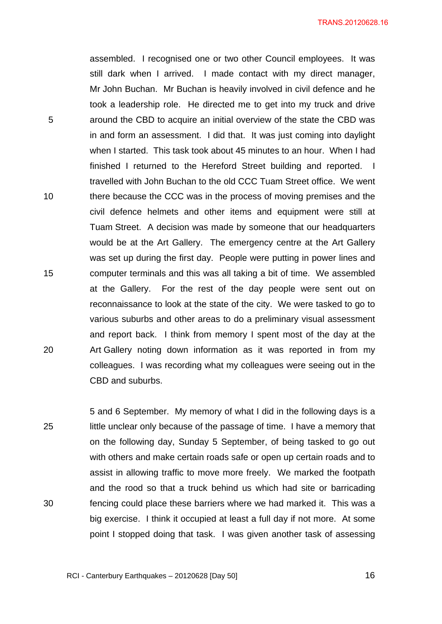assembled. I recognised one or two other Council employees. It was still dark when I arrived. I made contact with my direct manager, Mr John Buchan. Mr Buchan is heavily involved in civil defence and he took a leadership role. He directed me to get into my truck and drive around the CBD to acquire an initial overview of the state the CBD was in and form an assessment. I did that. It was just coming into daylight when I started. This task took about 45 minutes to an hour. When I had finished I returned to the Hereford Street building and reported. I travelled with John Buchan to the old CCC Tuam Street office. We went there because the CCC was in the process of moving premises and the civil defence helmets and other items and equipment were still at Tuam Street. A decision was made by someone that our headquarters would be at the Art Gallery. The emergency centre at the Art Gallery was set up during the first day. People were putting in power lines and computer terminals and this was all taking a bit of time. We assembled at the Gallery. For the rest of the day people were sent out on reconnaissance to look at the state of the city. We were tasked to go to various suburbs and other areas to do a preliminary visual assessment and report back. I think from memory I spent most of the day at the Art Gallery noting down information as it was reported in from my colleagues. I was recording what my colleagues were seeing out in the CBD and suburbs.

5

10

15

20

25 30 5 and 6 September. My memory of what I did in the following days is a little unclear only because of the passage of time. I have a memory that on the following day, Sunday 5 September, of being tasked to go out with others and make certain roads safe or open up certain roads and to assist in allowing traffic to move more freely. We marked the footpath and the rood so that a truck behind us which had site or barricading fencing could place these barriers where we had marked it. This was a big exercise. I think it occupied at least a full day if not more. At some point I stopped doing that task. I was given another task of assessing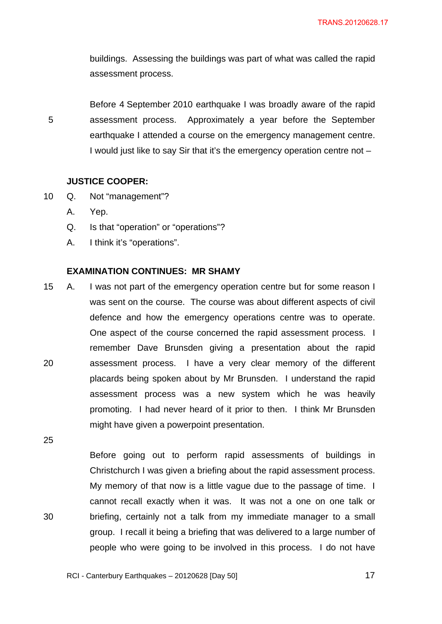buildings. Assessing the buildings was part of what was called the rapid assessment process.

Before 4 September 2010 earthquake I was broadly aware of the rapid assessment process. Approximately a year before the September earthquake I attended a course on the emergency management centre. I would just like to say Sir that it's the emergency operation centre not –

## **JUSTICE COOPER:**

- 10 Q. Not "management"?
	- A. Yep.

5

- Q. Is that "operation" or "operations"?
- A. I think it's "operations".

### **EXAMINATION CONTINUES: MR SHAMY**

20 15 A. I was not part of the emergency operation centre but for some reason I was sent on the course. The course was about different aspects of civil defence and how the emergency operations centre was to operate. One aspect of the course concerned the rapid assessment process. I remember Dave Brunsden giving a presentation about the rapid assessment process. I have a very clear memory of the different placards being spoken about by Mr Brunsden. I understand the rapid assessment process was a new system which he was heavily promoting. I had never heard of it prior to then. I think Mr Brunsden might have given a powerpoint presentation.

25

30

Before going out to perform rapid assessments of buildings in Christchurch I was given a briefing about the rapid assessment process. My memory of that now is a little vague due to the passage of time. I cannot recall exactly when it was. It was not a one on one talk or briefing, certainly not a talk from my immediate manager to a small group. I recall it being a briefing that was delivered to a large number of people who were going to be involved in this process. I do not have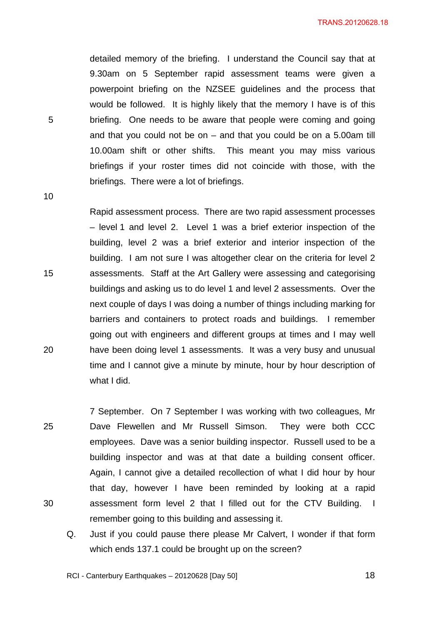detailed memory of the briefing. I understand the Council say that at 9.30am on 5 September rapid assessment teams were given a powerpoint briefing on the NZSEE guidelines and the process that would be followed. It is highly likely that the memory I have is of this briefing. One needs to be aware that people were coming and going and that you could not be on – and that you could be on a 5.00am till 10.00am shift or other shifts. This meant you may miss various briefings if your roster times did not coincide with those, with the briefings. There were a lot of briefings.

10

15

20

5

Rapid assessment process. There are two rapid assessment processes – level 1 and level 2. Level 1 was a brief exterior inspection of the building, level 2 was a brief exterior and interior inspection of the building. I am not sure I was altogether clear on the criteria for level 2 assessments. Staff at the Art Gallery were assessing and categorising buildings and asking us to do level 1 and level 2 assessments. Over the next couple of days I was doing a number of things including marking for barriers and containers to protect roads and buildings. I remember going out with engineers and different groups at times and I may well have been doing level 1 assessments. It was a very busy and unusual time and I cannot give a minute by minute, hour by hour description of what I did.

25 30 7 September. On 7 September I was working with two colleagues, Mr Dave Flewellen and Mr Russell Simson. They were both CCC employees. Dave was a senior building inspector. Russell used to be a building inspector and was at that date a building consent officer. Again, I cannot give a detailed recollection of what I did hour by hour that day, however I have been reminded by looking at a rapid assessment form level 2 that I filled out for the CTV Building. I remember going to this building and assessing it.

Q. Just if you could pause there please Mr Calvert, I wonder if that form which ends 137.1 could be brought up on the screen?

RCI - Canterbury Earthquakes – 20120628 [Day 50]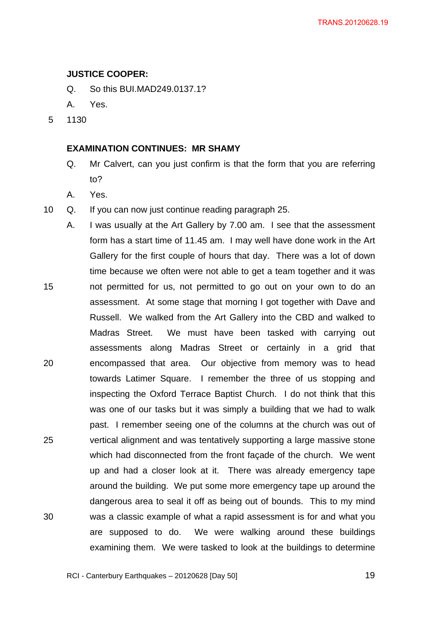### **JUSTICE COOPER:**

- Q. So this BUI.MAD249.0137.1?
- A. Yes.
- 5 1130

## **EXAMINATION CONTINUES: MR SHAMY**

- Q. Mr Calvert, can you just confirm is that the form that you are referring to?
- A. Yes.
- 10 Q. If you can now just continue reading paragraph 25.
- 15 20 25 30 A. I was usually at the Art Gallery by 7.00 am. I see that the assessment form has a start time of 11.45 am. I may well have done work in the Art Gallery for the first couple of hours that day. There was a lot of down time because we often were not able to get a team together and it was not permitted for us, not permitted to go out on your own to do an assessment. At some stage that morning I got together with Dave and Russell. We walked from the Art Gallery into the CBD and walked to Madras Street. We must have been tasked with carrying out assessments along Madras Street or certainly in a grid that encompassed that area. Our objective from memory was to head towards Latimer Square. I remember the three of us stopping and inspecting the Oxford Terrace Baptist Church. I do not think that this was one of our tasks but it was simply a building that we had to walk past. I remember seeing one of the columns at the church was out of vertical alignment and was tentatively supporting a large massive stone which had disconnected from the front façade of the church. We went up and had a closer look at it. There was already emergency tape around the building. We put some more emergency tape up around the dangerous area to seal it off as being out of bounds. This to my mind was a classic example of what a rapid assessment is for and what you are supposed to do. We were walking around these buildings examining them. We were tasked to look at the buildings to determine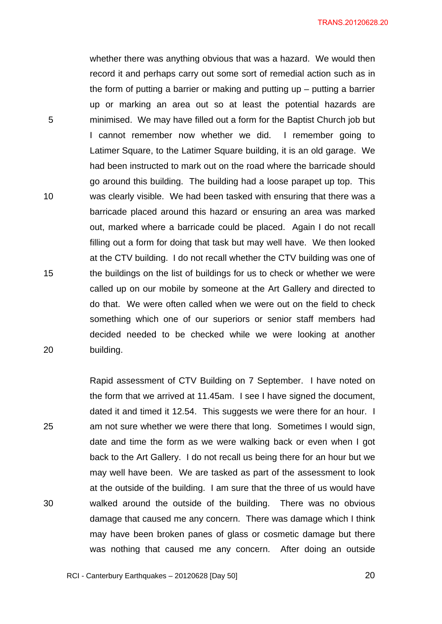TRANS.20120628.20

whether there was anything obvious that was a hazard. We would then record it and perhaps carry out some sort of remedial action such as in the form of putting a barrier or making and putting up – putting a barrier up or marking an area out so at least the potential hazards are minimised. We may have filled out a form for the Baptist Church job but I cannot remember now whether we did. I remember going to Latimer Square, to the Latimer Square building, it is an old garage. We had been instructed to mark out on the road where the barricade should go around this building. The building had a loose parapet up top. This was clearly visible. We had been tasked with ensuring that there was a barricade placed around this hazard or ensuring an area was marked out, marked where a barricade could be placed. Again I do not recall filling out a form for doing that task but may well have. We then looked at the CTV building. I do not recall whether the CTV building was one of the buildings on the list of buildings for us to check or whether we were called up on our mobile by someone at the Art Gallery and directed to do that. We were often called when we were out on the field to check something which one of our superiors or senior staff members had decided needed to be checked while we were looking at another building.

5

10

15

20

25

30

Rapid assessment of CTV Building on 7 September. I have noted on the form that we arrived at 11.45am. I see I have signed the document, dated it and timed it 12.54. This suggests we were there for an hour. I am not sure whether we were there that long. Sometimes I would sign, date and time the form as we were walking back or even when I got back to the Art Gallery. I do not recall us being there for an hour but we may well have been. We are tasked as part of the assessment to look at the outside of the building. I am sure that the three of us would have walked around the outside of the building. There was no obvious damage that caused me any concern. There was damage which I think may have been broken panes of glass or cosmetic damage but there was nothing that caused me any concern. After doing an outside

RCI - Canterbury Earthquakes – 20120628 [Day 50]

<u>20</u>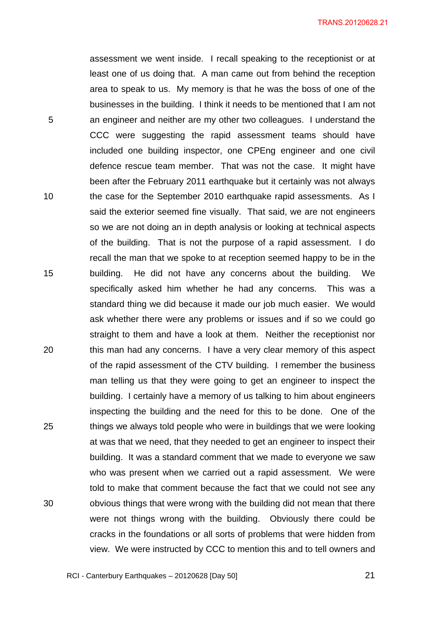assessment we went inside. I recall speaking to the receptionist or at least one of us doing that. A man came out from behind the reception area to speak to us. My memory is that he was the boss of one of the businesses in the building. I think it needs to be mentioned that I am not an engineer and neither are my other two colleagues. I understand the CCC were suggesting the rapid assessment teams should have included one building inspector, one CPEng engineer and one civil defence rescue team member. That was not the case. It might have been after the February 2011 earthquake but it certainly was not always the case for the September 2010 earthquake rapid assessments. As I said the exterior seemed fine visually. That said, we are not engineers so we are not doing an in depth analysis or looking at technical aspects of the building. That is not the purpose of a rapid assessment. I do recall the man that we spoke to at reception seemed happy to be in the building. He did not have any concerns about the building. We specifically asked him whether he had any concerns. This was a standard thing we did because it made our job much easier. We would ask whether there were any problems or issues and if so we could go straight to them and have a look at them. Neither the receptionist nor this man had any concerns. I have a very clear memory of this aspect of the rapid assessment of the CTV building. I remember the business man telling us that they were going to get an engineer to inspect the building. I certainly have a memory of us talking to him about engineers inspecting the building and the need for this to be done. One of the things we always told people who were in buildings that we were looking at was that we need, that they needed to get an engineer to inspect their building. It was a standard comment that we made to everyone we saw who was present when we carried out a rapid assessment. We were told to make that comment because the fact that we could not see any obvious things that were wrong with the building did not mean that there were not things wrong with the building. Obviously there could be cracks in the foundations or all sorts of problems that were hidden from view. We were instructed by CCC to mention this and to tell owners and

RCI - Canterbury Earthquakes – 20120628 [Day 50]

5

10

15

20

25

30

<u>21</u> and the contract of the contract of the contract of the contract of the contract of the contract of the con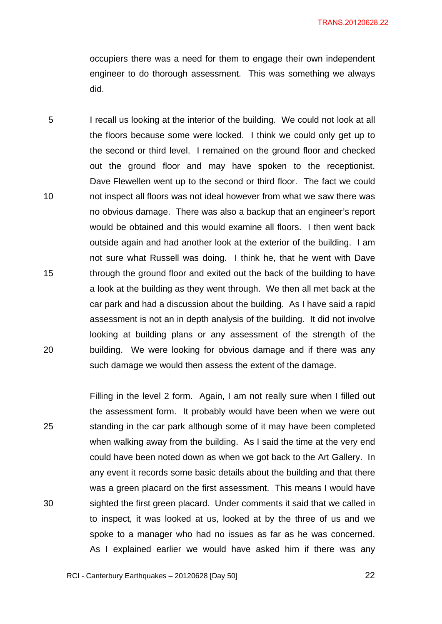occupiers there was a need for them to engage their own independent engineer to do thorough assessment. This was something we always did.

5 10 15 20 I recall us looking at the interior of the building. We could not look at all the floors because some were locked. I think we could only get up to the second or third level. I remained on the ground floor and checked out the ground floor and may have spoken to the receptionist. Dave Flewellen went up to the second or third floor. The fact we could not inspect all floors was not ideal however from what we saw there was no obvious damage. There was also a backup that an engineer's report would be obtained and this would examine all floors. I then went back outside again and had another look at the exterior of the building. I am not sure what Russell was doing. I think he, that he went with Dave through the ground floor and exited out the back of the building to have a look at the building as they went through. We then all met back at the car park and had a discussion about the building. As I have said a rapid assessment is not an in depth analysis of the building. It did not involve looking at building plans or any assessment of the strength of the building. We were looking for obvious damage and if there was any such damage we would then assess the extent of the damage.

25 30 Filling in the level 2 form. Again, I am not really sure when I filled out the assessment form. It probably would have been when we were out standing in the car park although some of it may have been completed when walking away from the building. As I said the time at the very end could have been noted down as when we got back to the Art Gallery. In any event it records some basic details about the building and that there was a green placard on the first assessment. This means I would have sighted the first green placard. Under comments it said that we called in to inspect, it was looked at us, looked at by the three of us and we spoke to a manager who had no issues as far as he was concerned. As I explained earlier we would have asked him if there was any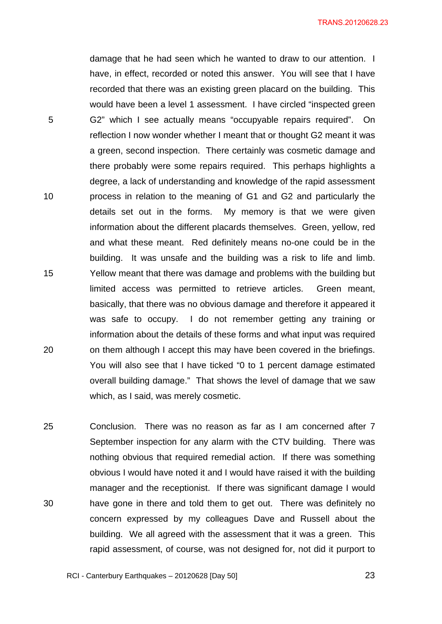TRANS.20120628.23

damage that he had seen which he wanted to draw to our attention. I have, in effect, recorded or noted this answer. You will see that I have recorded that there was an existing green placard on the building. This would have been a level 1 assessment. I have circled "inspected green G2" which I see actually means "occupyable repairs required". On reflection I now wonder whether I meant that or thought G2 meant it was a green, second inspection. There certainly was cosmetic damage and there probably were some repairs required. This perhaps highlights a degree, a lack of understanding and knowledge of the rapid assessment process in relation to the meaning of G1 and G2 and particularly the details set out in the forms. My memory is that we were given information about the different placards themselves. Green, yellow, red and what these meant. Red definitely means no-one could be in the building. It was unsafe and the building was a risk to life and limb. Yellow meant that there was damage and problems with the building but limited access was permitted to retrieve articles. Green meant, basically, that there was no obvious damage and therefore it appeared it was safe to occupy. I do not remember getting any training or information about the details of these forms and what input was required on them although I accept this may have been covered in the briefings. You will also see that I have ticked "0 to 1 percent damage estimated overall building damage." That shows the level of damage that we saw which, as I said, was merely cosmetic.

5

10

15

20

25 30 Conclusion. There was no reason as far as I am concerned after 7 September inspection for any alarm with the CTV building. There was nothing obvious that required remedial action. If there was something obvious I would have noted it and I would have raised it with the building manager and the receptionist. If there was significant damage I would have gone in there and told them to get out. There was definitely no concern expressed by my colleagues Dave and Russell about the building. We all agreed with the assessment that it was a green. This rapid assessment, of course, was not designed for, not did it purport to

RCI - Canterbury Earthquakes – 20120628 [Day 50]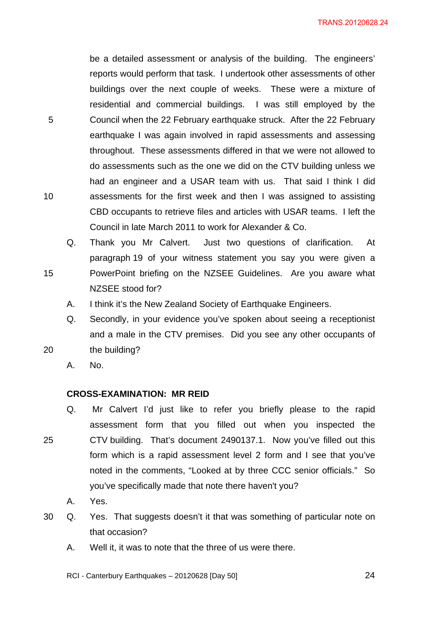be a detailed assessment or analysis of the building. The engineers' reports would perform that task. I undertook other assessments of other buildings over the next couple of weeks. These were a mixture of residential and commercial buildings. I was still employed by the Council when the 22 February earthquake struck. After the 22 February earthquake I was again involved in rapid assessments and assessing throughout. These assessments differed in that we were not allowed to do assessments such as the one we did on the CTV building unless we had an engineer and a USAR team with us. That said I think I did assessments for the first week and then I was assigned to assisting CBD occupants to retrieve files and articles with USAR teams. I left the Council in late March 2011 to work for Alexander & Co.

- Q. Thank you Mr Calvert. Just two questions of clarification. At paragraph 19 of your witness statement you say you were given a PowerPoint briefing on the NZSEE Guidelines. Are you aware what NZSEE stood for?
	- A. I think it's the New Zealand Society of Earthquake Engineers.
- Q. Secondly, in your evidence you've spoken about seeing a receptionist and a male in the CTV premises. Did you see any other occupants of the building?
- 20

5

10

15

A. No.

#### **CROSS-EXAMINATION: MR REID**

- 25 Q. Mr Calvert I'd just like to refer you briefly please to the rapid assessment form that you filled out when you inspected the CTV building. That's document 2490137.1. Now you've filled out this form which is a rapid assessment level 2 form and I see that you've noted in the comments, "Looked at by three CCC senior officials." So you've specifically made that note there haven't you?
	- A. Yes.
- 30 Q. Yes. That suggests doesn't it that was something of particular note on that occasion?
	- A. Well it, it was to note that the three of us were there.
	- RCI Canterbury Earthquakes 20120628 [Day 50]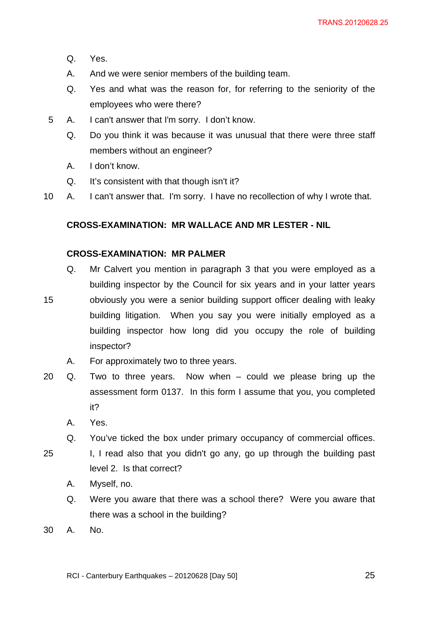- Q. Yes.
- A. And we were senior members of the building team.
- Q. Yes and what was the reason for, for referring to the seniority of the employees who were there?
- 5 A. I can't answer that I'm sorry. I don't know.
	- Q. Do you think it was because it was unusual that there were three staff members without an engineer?
	- A. I don't know.
	- Q. It's consistent with that though isn't it?
- 10 A. I can't answer that. I'm sorry. I have no recollection of why I wrote that.

## **CROSS-EXAMINATION: MR WALLACE AND MR LESTER - NIL**

## **CROSS-EXAMINATION: MR PALMER**

- Q. Mr Calvert you mention in paragraph 3 that you were employed as a building inspector by the Council for six years and in your latter years obviously you were a senior building support officer dealing with leaky building litigation. When you say you were initially employed as a building inspector how long did you occupy the role of building inspector?
	- A. For approximately two to three years.
- 20 Q. Two to three years. Now when could we please bring up the assessment form 0137. In this form I assume that you, you completed it?
	- A. Yes.

- Q. You've ticked the box under primary occupancy of commercial offices.
- 25 I, I read also that you didn't go any, go up through the building past level 2. Is that correct?
	- A. Myself, no.
	- Q. Were you aware that there was a school there? Were you aware that there was a school in the building?
- 30 A. No.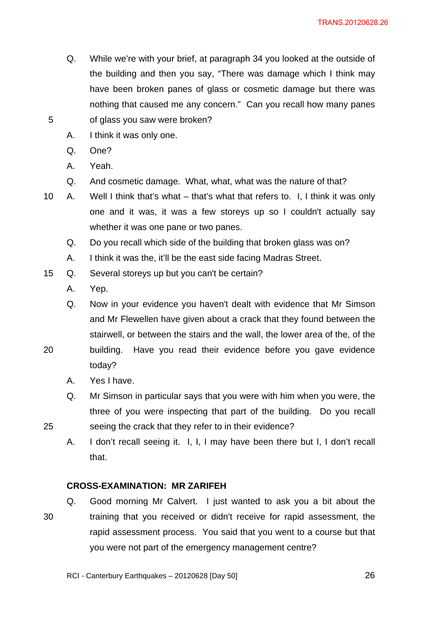- Q. While we're with your brief, at paragraph 34 you looked at the outside of the building and then you say, "There was damage which I think may have been broken panes of glass or cosmetic damage but there was nothing that caused me any concern." Can you recall how many panes of glass you saw were broken?
- A. I think it was only one.
- Q. One?

- A. Yeah.
- Q. And cosmetic damage. What, what, what was the nature of that?
- 10 A. Well I think that's what that's what that refers to. I, I think it was only one and it was, it was a few storeys up so I couldn't actually say whether it was one pane or two panes.
	- Q. Do you recall which side of the building that broken glass was on?
	- A. I think it was the, it'll be the east side facing Madras Street.
- 15 Q. Several storeys up but you can't be certain?
	- A. Yep.

Q. Now in your evidence you haven't dealt with evidence that Mr Simson and Mr Flewellen have given about a crack that they found between the stairwell, or between the stairs and the wall, the lower area of the, of the

- 20 building. Have you read their evidence before you gave evidence today?
	- A. Yes I have.

25

- Q. Mr Simson in particular says that you were with him when you were, the three of you were inspecting that part of the building. Do you recall seeing the crack that they refer to in their evidence?
- A. I don't recall seeing it. I, I, I may have been there but I, I don't recall that.

## **CROSS-EXAMINATION: MR ZARIFEH**

30 Q. Good morning Mr Calvert. I just wanted to ask you a bit about the training that you received or didn't receive for rapid assessment, the rapid assessment process. You said that you went to a course but that you were not part of the emergency management centre?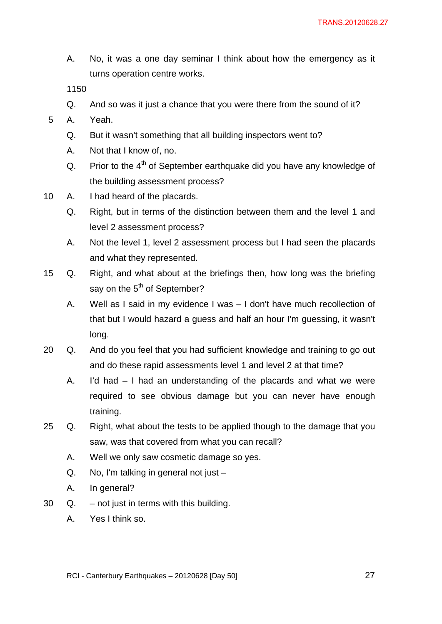A. No, it was a one day seminar I think about how the emergency as it turns operation centre works.

- Q. And so was it just a chance that you were there from the sound of it?
- 5 A. Yeah.
	- Q. But it wasn't something that all building inspectors went to?
	- A. Not that I know of, no.
	- Q. Prior to the  $4<sup>th</sup>$  of September earthquake did you have any knowledge of the building assessment process?
- 10 A. I had heard of the placards.
	- Q. Right, but in terms of the distinction between them and the level 1 and level 2 assessment process?
	- A. Not the level 1, level 2 assessment process but I had seen the placards and what they represented.
- 15 Q. Right, and what about at the briefings then, how long was the briefing say on the  $5<sup>th</sup>$  of September?
	- A. Well as I said in my evidence I was I don't have much recollection of that but I would hazard a guess and half an hour I'm guessing, it wasn't long.
- 20 Q. And do you feel that you had sufficient knowledge and training to go out and do these rapid assessments level 1 and level 2 at that time?
	- A. I'd had I had an understanding of the placards and what we were required to see obvious damage but you can never have enough training.
- 25 Q. Right, what about the tests to be applied though to the damage that you saw, was that covered from what you can recall?
	- A. Well we only saw cosmetic damage so yes.
	- Q. No, I'm talking in general not just –
	- A. In general?
- 30 Q. not just in terms with this building.
	- A. Yes I think so.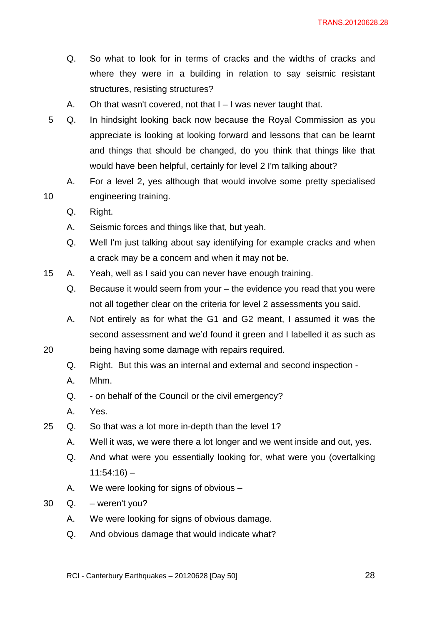- Q. So what to look for in terms of cracks and the widths of cracks and where they were in a building in relation to say seismic resistant structures, resisting structures?
- A. Oh that wasn't covered, not that I I was never taught that.
- 5 Q. In hindsight looking back now because the Royal Commission as you appreciate is looking at looking forward and lessons that can be learnt and things that should be changed, do you think that things like that would have been helpful, certainly for level 2 I'm talking about?
	- A. For a level 2, yes although that would involve some pretty specialised engineering training.
	- Q. Right.

- A. Seismic forces and things like that, but yeah.
- Q. Well I'm just talking about say identifying for example cracks and when a crack may be a concern and when it may not be.
- 15 A. Yeah, well as I said you can never have enough training.
	- Q. Because it would seem from your the evidence you read that you were not all together clear on the criteria for level 2 assessments you said.
	- A. Not entirely as for what the G1 and G2 meant, I assumed it was the second assessment and we'd found it green and I labelled it as such as
- 20 being having some damage with repairs required.
	- Q. Right. But this was an internal and external and second inspection -
	- A. Mhm.
	- Q. on behalf of the Council or the civil emergency?
	- A. Yes.
- 25 Q. So that was a lot more in-depth than the level 1?
	- A. Well it was, we were there a lot longer and we went inside and out, yes.
	- Q. And what were you essentially looking for, what were you (overtalking  $11:54:16$ ) –
	- A. We were looking for signs of obvious –
- 30 Q. weren't you?
	- A. We were looking for signs of obvious damage.
	- Q. And obvious damage that would indicate what?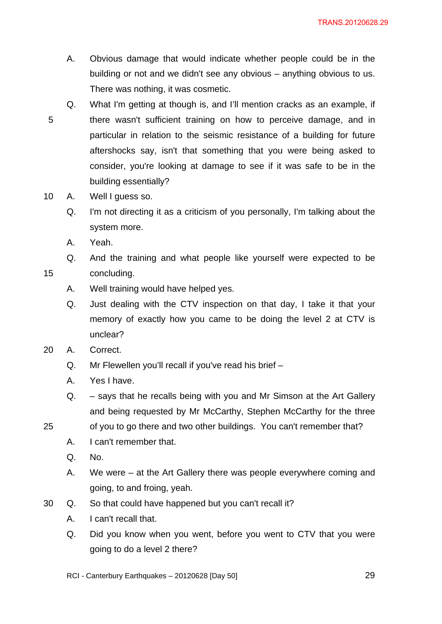- A. Obvious damage that would indicate whether people could be in the building or not and we didn't see any obvious – anything obvious to us. There was nothing, it was cosmetic.
- 5 Q. What I'm getting at though is, and I'll mention cracks as an example, if there wasn't sufficient training on how to perceive damage, and in particular in relation to the seismic resistance of a building for future aftershocks say, isn't that something that you were being asked to consider, you're looking at damage to see if it was safe to be in the building essentially?
- 10 A. Well I guess so.
	- Q. I'm not directing it as a criticism of you personally, I'm talking about the system more.
	- A. Yeah.

25

- Q. And the training and what people like yourself were expected to be concluding.
	- A. Well training would have helped yes.
	- Q. Just dealing with the CTV inspection on that day, I take it that your memory of exactly how you came to be doing the level 2 at CTV is unclear?
- 20 A. Correct.
	- Q. Mr Flewellen you'll recall if you've read his brief –
	- A. Yes I have.
	- Q. says that he recalls being with you and Mr Simson at the Art Gallery and being requested by Mr McCarthy, Stephen McCarthy for the three
	- of you to go there and two other buildings. You can't remember that?
		- A. I can't remember that.
		- Q. No.
		- A. We were at the Art Gallery there was people everywhere coming and going, to and froing, yeah.
- 30 Q. So that could have happened but you can't recall it?
	- A. I can't recall that.
	- Q. Did you know when you went, before you went to CTV that you were going to do a level 2 there?

RCI - Canterbury Earthquakes – 20120628 [Day 50]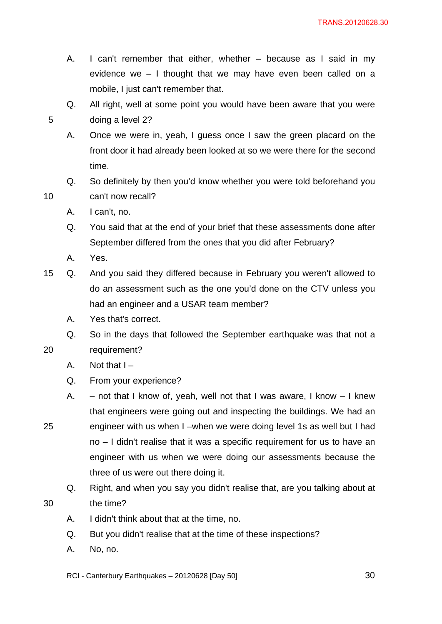- A. I can't remember that either, whether because as I said in my evidence we – I thought that we may have even been called on a mobile, I just can't remember that.
- Q. All right, well at some point you would have been aware that you were doing a level 2?
- A. Once we were in, yeah, I guess once I saw the green placard on the front door it had already been looked at so we were there for the second time.
- Q. So definitely by then you'd know whether you were told beforehand you can't now recall?
- A. I can't, no.
- Q. You said that at the end of your brief that these assessments done after September differed from the ones that you did after February?
- A. Yes.

10

25

30

- 15 Q. And you said they differed because in February you weren't allowed to do an assessment such as the one you'd done on the CTV unless you had an engineer and a USAR team member?
	- A. Yes that's correct.
	- Q. So in the days that followed the September earthquake was that not a
- 20 requirement?
	- A. Not that  $I -$
	- Q. From your experience?
	- A. not that I know of, yeah, well not that I was aware, I know I knew that engineers were going out and inspecting the buildings. We had an engineer with us when I –when we were doing level 1s as well but I had no – I didn't realise that it was a specific requirement for us to have an engineer with us when we were doing our assessments because the three of us were out there doing it.
		- Q. Right, and when you say you didn't realise that, are you talking about at the time?
		- A. I didn't think about that at the time, no.
		- Q. But you didn't realise that at the time of these inspections?
		- A. No, no.

RCI - Canterbury Earthquakes – 20120628 [Day 50]

<u>30</u>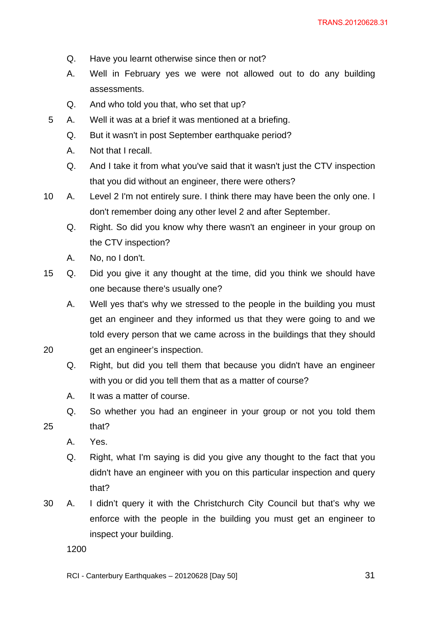- Q. Have you learnt otherwise since then or not?
- A. Well in February yes we were not allowed out to do any building assessments.
- Q. And who told you that, who set that up?
- 5 A. Well it was at a brief it was mentioned at a briefing.
	- Q. But it wasn't in post September earthquake period?
	- A. Not that I recall.
	- Q. And I take it from what you've said that it wasn't just the CTV inspection that you did without an engineer, there were others?
- 10 A. Level 2 I'm not entirely sure. I think there may have been the only one. I don't remember doing any other level 2 and after September.
	- Q. Right. So did you know why there wasn't an engineer in your group on the CTV inspection?
	- A. No, no I don't.
- 15 Q. Did you give it any thought at the time, did you think we should have one because there's usually one?
	- A. Well yes that's why we stressed to the people in the building you must get an engineer and they informed us that they were going to and we told every person that we came across in the buildings that they should get an engineer's inspection.
	- Q. Right, but did you tell them that because you didn't have an engineer with you or did you tell them that as a matter of course?
	- A. It was a matter of course.
	- Q. So whether you had an engineer in your group or not you told them
- 25 that?

- A. Yes.
- Q. Right, what I'm saying is did you give any thought to the fact that you didn't have an engineer with you on this particular inspection and query that?
- 30 A. I didn't query it with the Christchurch City Council but that's why we enforce with the people in the building you must get an engineer to inspect your building.

1200

RCI - Canterbury Earthquakes – 20120628 [Day 50]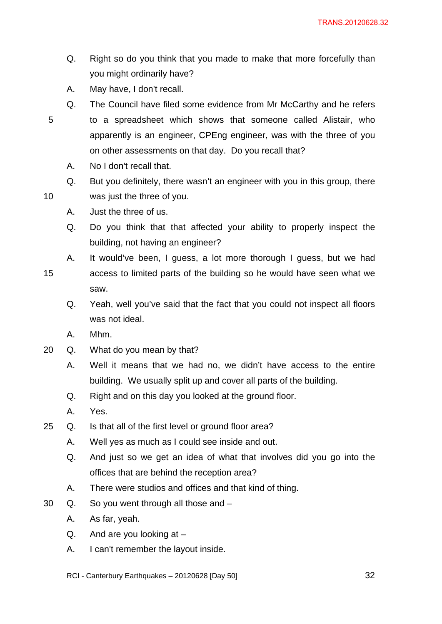- Q. Right so do you think that you made to make that more forcefully than you might ordinarily have?
- A. May have, I don't recall.
- Q. The Council have filed some evidence from Mr McCarthy and he refers to a spreadsheet which shows that someone called Alistair, who apparently is an engineer, CPEng engineer, was with the three of you on other assessments on that day. Do you recall that?
	- A. No I don't recall that.

- Q. But you definitely, there wasn't an engineer with you in this group, there was just the three of you.
- A. Just the three of us.
- Q. Do you think that that affected your ability to properly inspect the building, not having an engineer?
- A. It would've been, I guess, a lot more thorough I guess, but we had
- 15 access to limited parts of the building so he would have seen what we saw.
	- Q. Yeah, well you've said that the fact that you could not inspect all floors was not ideal.
	- A. Mhm.
- 20 Q. What do you mean by that?
	- A. Well it means that we had no, we didn't have access to the entire building. We usually split up and cover all parts of the building.
	- Q. Right and on this day you looked at the ground floor.
	- A. Yes.
- 25 Q. Is that all of the first level or ground floor area?
	- A. Well yes as much as I could see inside and out.
	- Q. And just so we get an idea of what that involves did you go into the offices that are behind the reception area?
	- A. There were studios and offices and that kind of thing.
- 30 Q. So you went through all those and
	- A. As far, yeah.
	- $Q.$  And are you looking at  $-$
	- A. I can't remember the layout inside.
	- RCI Canterbury Earthquakes 20120628 [Day 50]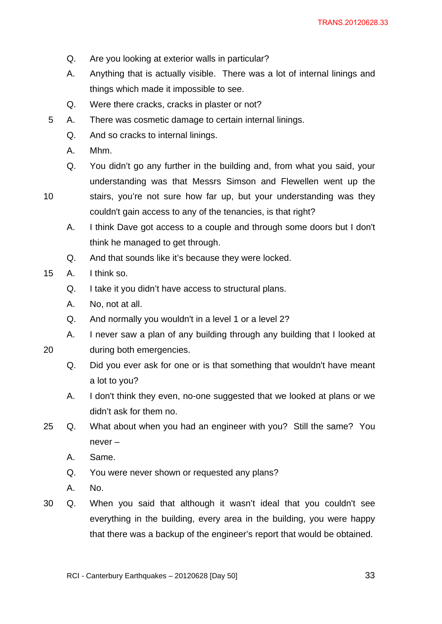- Q. Are you looking at exterior walls in particular?
- A. Anything that is actually visible. There was a lot of internal linings and things which made it impossible to see.
- Q. Were there cracks, cracks in plaster or not?
- 5 A. There was cosmetic damage to certain internal linings.
	- Q. And so cracks to internal linings.
	- A. Mhm.
	- Q. You didn't go any further in the building and, from what you said, your understanding was that Messrs Simson and Flewellen went up the
- 10

stairs, you're not sure how far up, but your understanding was they couldn't gain access to any of the tenancies, is that right?

- A. I think Dave got access to a couple and through some doors but I don't think he managed to get through.
- Q. And that sounds like it's because they were locked.
- 15 A. I think so.
	- Q. I take it you didn't have access to structural plans.
	- A. No, not at all.
	- Q. And normally you wouldn't in a level 1 or a level 2?
	- A. I never saw a plan of any building through any building that I looked at

20 during both emergencies.

- Q. Did you ever ask for one or is that something that wouldn't have meant a lot to you?
- A. I don't think they even, no-one suggested that we looked at plans or we didn't ask for them no.
- 25 Q. What about when you had an engineer with you? Still the same? You never –
	- A. Same.
	- Q. You were never shown or requested any plans?
	- A. No.
- 30 Q. When you said that although it wasn't ideal that you couldn't see everything in the building, every area in the building, you were happy that there was a backup of the engineer's report that would be obtained.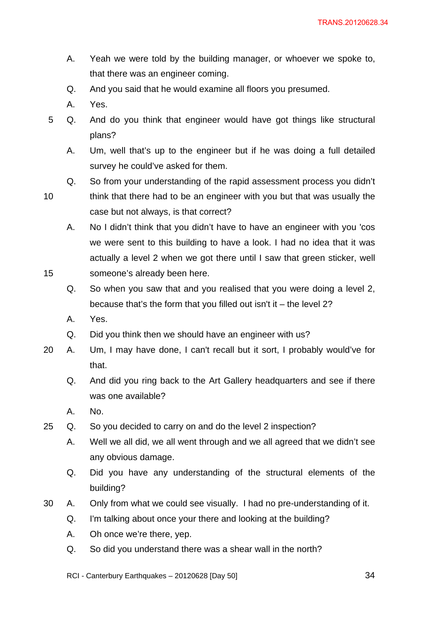- A. Yeah we were told by the building manager, or whoever we spoke to, that there was an engineer coming.
- Q. And you said that he would examine all floors you presumed.
- A. Yes.
- 5 Q. And do you think that engineer would have got things like structural plans?
	- A. Um, well that's up to the engineer but if he was doing a full detailed survey he could've asked for them.
	- Q. So from your understanding of the rapid assessment process you didn't
- 10

think that there had to be an engineer with you but that was usually the case but not always, is that correct?

A. No I didn't think that you didn't have to have an engineer with you 'cos we were sent to this building to have a look. I had no idea that it was actually a level 2 when we got there until I saw that green sticker, well someone's already been here.

- Q. So when you saw that and you realised that you were doing a level 2, because that's the form that you filled out isn't it – the level 2?
- A. Yes.
- Q. Did you think then we should have an engineer with us?
- 20 A. Um, I may have done, I can't recall but it sort, I probably would've for that.
	- Q. And did you ring back to the Art Gallery headquarters and see if there was one available?
	- A. No.
- 25 Q. So you decided to carry on and do the level 2 inspection?
	- A. Well we all did, we all went through and we all agreed that we didn't see any obvious damage.
	- Q. Did you have any understanding of the structural elements of the building?
- 30 A. Only from what we could see visually. I had no pre-understanding of it.
	- Q. I'm talking about once your there and looking at the building?
	- A. Oh once we're there, yep.
	- Q. So did you understand there was a shear wall in the north?

RCI - Canterbury Earthquakes – 20120628 [Day 50]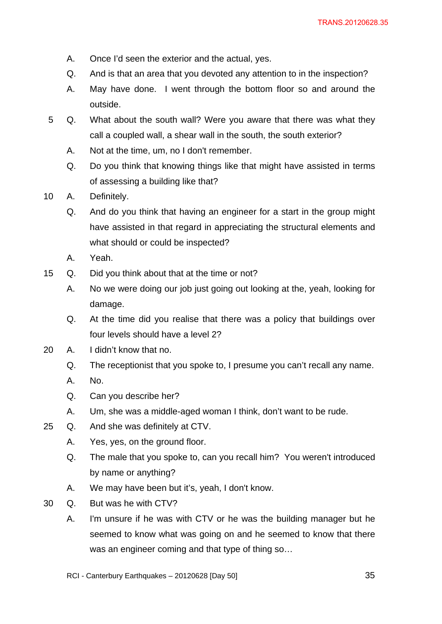- A. Once I'd seen the exterior and the actual, yes.
- Q. And is that an area that you devoted any attention to in the inspection?
- A. May have done. I went through the bottom floor so and around the outside.
- 5 Q. What about the south wall? Were you aware that there was what they call a coupled wall, a shear wall in the south, the south exterior?
	- A. Not at the time, um, no I don't remember.
	- Q. Do you think that knowing things like that might have assisted in terms of assessing a building like that?
- 10 A. Definitely.
	- Q. And do you think that having an engineer for a start in the group might have assisted in that regard in appreciating the structural elements and what should or could be inspected?
	- A. Yeah.
- 15 Q. Did you think about that at the time or not?
	- A. No we were doing our job just going out looking at the, yeah, looking for damage.
	- Q. At the time did you realise that there was a policy that buildings over four levels should have a level 2?
- 20 A. I didn't know that no.
	- Q. The receptionist that you spoke to, I presume you can't recall any name.
	- A. No.
	- Q. Can you describe her?
	- A. Um, she was a middle-aged woman I think, don't want to be rude.
- 25 Q. And she was definitely at CTV.
	- A. Yes, yes, on the ground floor.
	- Q. The male that you spoke to, can you recall him? You weren't introduced by name or anything?
	- A. We may have been but it's, yeah, I don't know.
- 30 Q. But was he with CTV?
	- A. I'm unsure if he was with CTV or he was the building manager but he seemed to know what was going on and he seemed to know that there was an engineer coming and that type of thing so…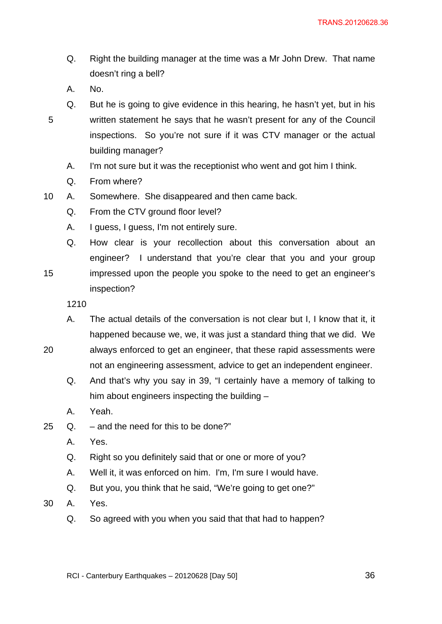- Q. Right the building manager at the time was a Mr John Drew. That name doesn't ring a bell?
- A. No.

15

- Q. But he is going to give evidence in this hearing, he hasn't yet, but in his written statement he says that he wasn't present for any of the Council inspections. So you're not sure if it was CTV manager or the actual building manager?
	- A. I'm not sure but it was the receptionist who went and got him I think.
	- Q. From where?
- 10 A. Somewhere. She disappeared and then came back.
	- Q. From the CTV ground floor level?
	- A. I guess, I guess, I'm not entirely sure.
	- Q. How clear is your recollection about this conversation about an engineer? I understand that you're clear that you and your group impressed upon the people you spoke to the need to get an engineer's inspection?

- A. The actual details of the conversation is not clear but I, I know that it, it happened because we, we, it was just a standard thing that we did. We
- 20 always enforced to get an engineer, that these rapid assessments were not an engineering assessment, advice to get an independent engineer.
	- Q. And that's why you say in 39, "I certainly have a memory of talking to him about engineers inspecting the building –
	- A. Yeah.
- 25  $\Omega$  and the need for this to be done?"
	- A. Yes.
	- Q. Right so you definitely said that or one or more of you?
	- A. Well it, it was enforced on him. I'm, I'm sure I would have.
	- Q. But you, you think that he said, "We're going to get one?"
- 30 A. Yes.
	- Q. So agreed with you when you said that that had to happen?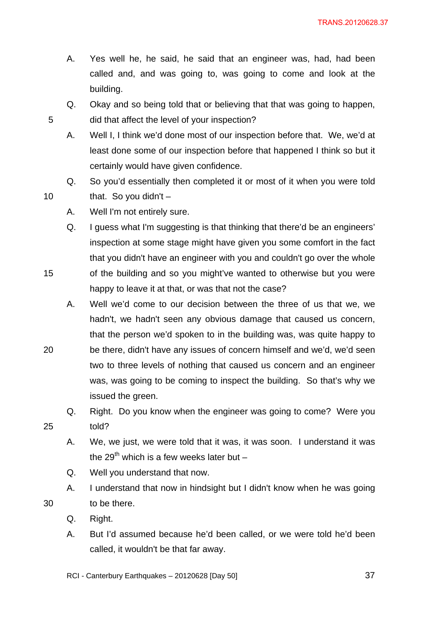- A. Yes well he, he said, he said that an engineer was, had, had been called and, and was going to, was going to come and look at the building.
- Q. Okay and so being told that or believing that that was going to happen, did that affect the level of your inspection?
- A. Well I, I think we'd done most of our inspection before that. We, we'd at least done some of our inspection before that happened I think so but it certainly would have given confidence.
- Q. So you'd essentially then completed it or most of it when you were told that. So you didn't  $-$
- A. Well I'm not entirely sure.
- Q. I guess what I'm suggesting is that thinking that there'd be an engineers' inspection at some stage might have given you some comfort in the fact that you didn't have an engineer with you and couldn't go over the whole of the building and so you might've wanted to otherwise but you were
- 20 happy to leave it at that, or was that not the case? A. Well we'd come to our decision between the three of us that we, we hadn't, we hadn't seen any obvious damage that caused us concern, that the person we'd spoken to in the building was, was quite happy to be there, didn't have any issues of concern himself and we'd, we'd seen two to three levels of nothing that caused us concern and an engineer
	- issued the green. Q. Right. Do you know when the engineer was going to come? Were you

was, was going to be coming to inspect the building. So that's why we

25 told?

5

10

15

- A. We, we just, we were told that it was, it was soon. I understand it was the 29<sup>th</sup> which is a few weeks later but  $-$
- Q. Well you understand that now.
- A. I understand that now in hindsight but I didn't know when he was going to be there.
- Q. Right.

- A. But I'd assumed because he'd been called, or we were told he'd been called, it wouldn't be that far away.
- RCI Canterbury Earthquakes 20120628 [Day 50]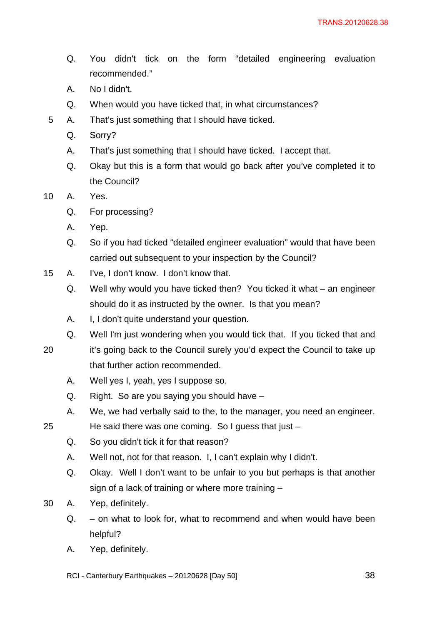- Q. You didn't tick on the form "detailed engineering evaluation recommended."
- A. No I didn't.
- Q. When would you have ticked that, in what circumstances?
- 5 A. That's just something that I should have ticked.
	- Q. Sorry?
	- A. That's just something that I should have ticked. I accept that.
	- Q. Okay but this is a form that would go back after you've completed it to the Council?

10 A. Yes.

- Q. For processing?
- A. Yep.
- Q. So if you had ticked "detailed engineer evaluation" would that have been carried out subsequent to your inspection by the Council?
- 15 A. I've, I don't know. I don't know that.
	- Q. Well why would you have ticked then? You ticked it what an engineer should do it as instructed by the owner. Is that you mean?
	- A. I, I don't quite understand your question.
	- Q. Well I'm just wondering when you would tick that. If you ticked that and
- 20 it's going back to the Council surely you'd expect the Council to take up that further action recommended.
	- A. Well yes I, yeah, yes I suppose so.
	- Q. Right. So are you saying you should have –
	- A. We, we had verbally said to the, to the manager, you need an engineer.
- 25 He said there was one coming. So I guess that just –
	- Q. So you didn't tick it for that reason?
	- A. Well not, not for that reason. I, I can't explain why I didn't.
	- Q. Okay. Well I don't want to be unfair to you but perhaps is that another sign of a lack of training or where more training –
- 30 A. Yep, definitely.
	- Q. on what to look for, what to recommend and when would have been helpful?
	- A. Yep, definitely.

RCI - Canterbury Earthquakes – 20120628 [Day 50]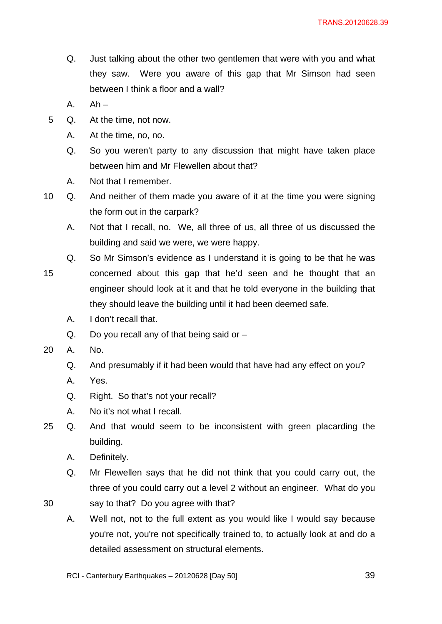- Q. Just talking about the other two gentlemen that were with you and what they saw. Were you aware of this gap that Mr Simson had seen between I think a floor and a wall?
- $A.$   $Ah -$
- 5 Q. At the time, not now.
	- A. At the time, no, no.
	- Q. So you weren't party to any discussion that might have taken place between him and Mr Flewellen about that?
	- A. Not that I remember.
- 10 Q. And neither of them made you aware of it at the time you were signing the form out in the carpark?
	- A. Not that I recall, no. We, all three of us, all three of us discussed the building and said we were, we were happy.
	- Q. So Mr Simson's evidence as I understand it is going to be that he was
- 15 concerned about this gap that he'd seen and he thought that an engineer should look at it and that he told everyone in the building that they should leave the building until it had been deemed safe.
	- A. I don't recall that.
	- Q. Do you recall any of that being said or –
- 20 A. No.

- Q. And presumably if it had been would that have had any effect on you?
- A. Yes.
- Q. Right. So that's not your recall?
- A. No it's not what I recall.
- 25 Q. And that would seem to be inconsistent with green placarding the building.
	- A. Definitely.
	- Q. Mr Flewellen says that he did not think that you could carry out, the three of you could carry out a level 2 without an engineer. What do you say to that? Do you agree with that?
	- A. Well not, not to the full extent as you would like I would say because you're not, you're not specifically trained to, to actually look at and do a detailed assessment on structural elements.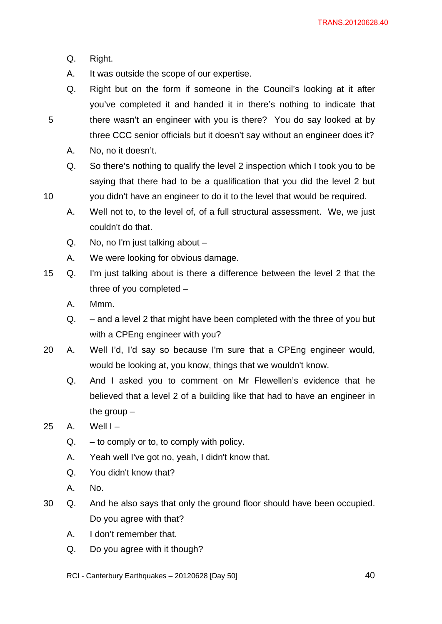Q. Right.

5

- A. It was outside the scope of our expertise.
- Q. Right but on the form if someone in the Council's looking at it after you've completed it and handed it in there's nothing to indicate that there wasn't an engineer with you is there? You do say looked at by three CCC senior officials but it doesn't say without an engineer does it?
- A. No, no it doesn't.
- Q. So there's nothing to qualify the level 2 inspection which I took you to be saying that there had to be a qualification that you did the level 2 but you didn't have an engineer to do it to the level that would be required.
- A. Well not to, to the level of, of a full structural assessment. We, we just couldn't do that.
- Q. No, no I'm just talking about –
- A. We were looking for obvious damage.
- 15 Q. I'm just talking about is there a difference between the level 2 that the three of you completed –
	- A. Mmm.
	- Q. and a level 2 that might have been completed with the three of you but with a CPEng engineer with you?
- 20 A. Well I'd, I'd say so because I'm sure that a CPEng engineer would, would be looking at, you know, things that we wouldn't know.
	- Q. And I asked you to comment on Mr Flewellen's evidence that he believed that a level 2 of a building like that had to have an engineer in the group –
- $25$  A. Well I
	- $Q. -$  to comply or to, to comply with policy.
	- A. Yeah well I've got no, yeah, I didn't know that.
	- Q. You didn't know that?
	- A. No.
- 30 Q. And he also says that only the ground floor should have been occupied. Do you agree with that?
	- A. I don't remember that.
	- Q. Do you agree with it though?
	- RCI Canterbury Earthquakes 20120628 [Day 50]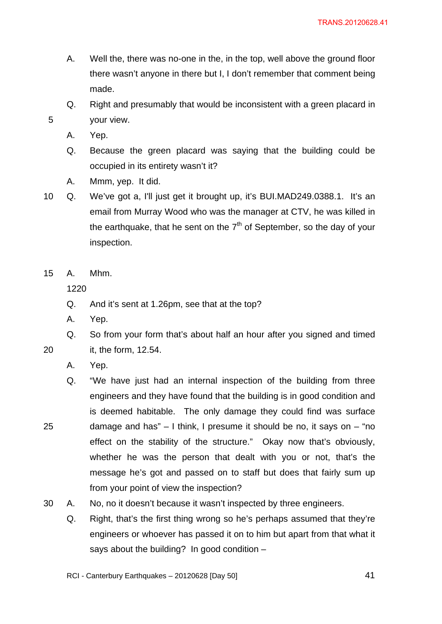- A. Well the, there was no-one in the, in the top, well above the ground floor there wasn't anyone in there but I, I don't remember that comment being made.
- Q. Right and presumably that would be inconsistent with a green placard in your view.
- A. Yep.

- Q. Because the green placard was saying that the building could be occupied in its entirety wasn't it?
- A. Mmm, yep. It did.
- 10 Q. We've got a, I'll just get it brought up, it's BUI.MAD249.0388.1. It's an email from Murray Wood who was the manager at CTV, he was killed in the earthquake, that he sent on the  $7<sup>th</sup>$  of September, so the day of your inspection.
- 15 A. Mhm.

1220

- Q. And it's sent at 1.26pm, see that at the top?
- A. Yep.
- Q. So from your form that's about half an hour after you signed and timed it, the form, 12.54.
- 20

- A. Yep.
- Q. "We have just had an internal inspection of the building from three engineers and they have found that the building is in good condition and is deemed habitable. The only damage they could find was surface damage and has"  $-1$  think, I presume it should be no, it says on  $-$  "no effect on the stability of the structure." Okay now that's obviously, whether he was the person that dealt with you or not, that's the message he's got and passed on to staff but does that fairly sum up from your point of view the inspection?
- 30 A. No, no it doesn't because it wasn't inspected by three engineers.
	- Q. Right, that's the first thing wrong so he's perhaps assumed that they're engineers or whoever has passed it on to him but apart from that what it says about the building? In good condition –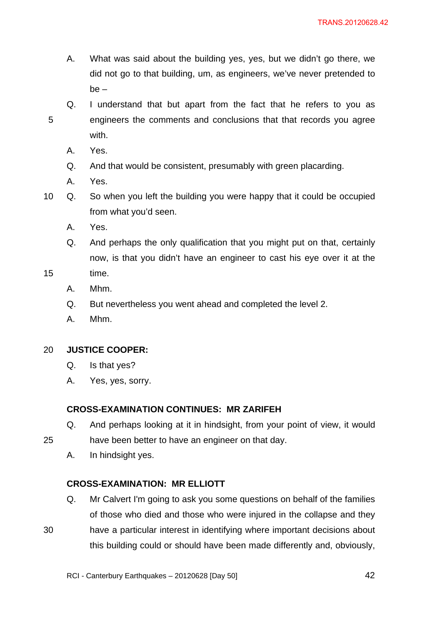- A. What was said about the building yes, yes, but we didn't go there, we did not go to that building, um, as engineers, we've never pretended to be –
- 5 Q. I understand that but apart from the fact that he refers to you as engineers the comments and conclusions that that records you agree with.
	- A. Yes.
	- Q. And that would be consistent, presumably with green placarding.
	- A. Yes.
- 10 Q. So when you left the building you were happy that it could be occupied from what you'd seen.
	- A. Yes.
	- Q. And perhaps the only qualification that you might put on that, certainly now, is that you didn't have an engineer to cast his eye over it at the
- 15 time.

30

- A. Mhm.
- Q. But nevertheless you went ahead and completed the level 2.
- A. Mhm.

#### 20 **JUSTICE COOPER:**

- Q. Is that yes?
- A. Yes, yes, sorry.

#### **CROSS-EXAMINATION CONTINUES: MR ZARIFEH**

- Q. And perhaps looking at it in hindsight, from your point of view, it would have been better to have an engineer on that day.
- A. In hindsight yes.

# **CROSS-EXAMINATION: MR ELLIOTT**

Q. Mr Calvert I'm going to ask you some questions on behalf of the families of those who died and those who were injured in the collapse and they have a particular interest in identifying where important decisions about this building could or should have been made differently and, obviously,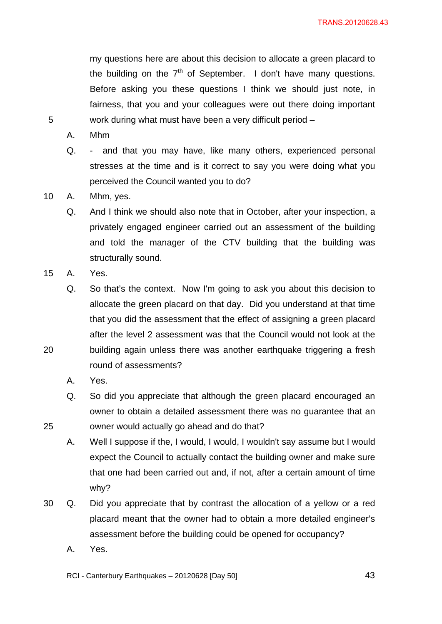my questions here are about this decision to allocate a green placard to the building on the  $7<sup>th</sup>$  of September. I don't have many questions. Before asking you these questions I think we should just note, in fairness, that you and your colleagues were out there doing important work during what must have been a very difficult period –

A. Mhm

5

- Q. and that you may have, like many others, experienced personal stresses at the time and is it correct to say you were doing what you perceived the Council wanted you to do?
- 10 A. Mhm, yes.
	- Q. And I think we should also note that in October, after your inspection, a privately engaged engineer carried out an assessment of the building and told the manager of the CTV building that the building was structurally sound.
- 15 A. Yes.

20

25

Q. So that's the context. Now I'm going to ask you about this decision to allocate the green placard on that day. Did you understand at that time that you did the assessment that the effect of assigning a green placard after the level 2 assessment was that the Council would not look at the building again unless there was another earthquake triggering a fresh round of assessments?

- A. Yes.
- Q. So did you appreciate that although the green placard encouraged an owner to obtain a detailed assessment there was no guarantee that an owner would actually go ahead and do that?

A. Well I suppose if the, I would, I would, I wouldn't say assume but I would expect the Council to actually contact the building owner and make sure that one had been carried out and, if not, after a certain amount of time why?

- 30 Q. Did you appreciate that by contrast the allocation of a yellow or a red placard meant that the owner had to obtain a more detailed engineer's assessment before the building could be opened for occupancy?
	- A. Yes.

RCI - Canterbury Earthquakes – 20120628 [Day 50]

<u>43</u>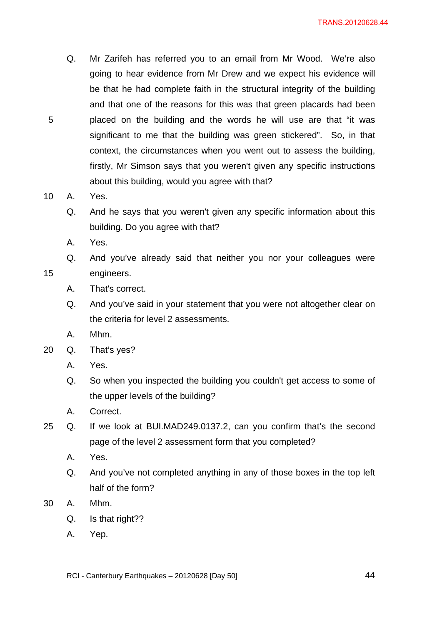Q. Mr Zarifeh has referred you to an email from Mr Wood. We're also going to hear evidence from Mr Drew and we expect his evidence will be that he had complete faith in the structural integrity of the building and that one of the reasons for this was that green placards had been placed on the building and the words he will use are that "it was significant to me that the building was green stickered". So, in that context, the circumstances when you went out to assess the building, firstly, Mr Simson says that you weren't given any specific instructions about this building, would you agree with that?

10 A. Yes.

5

15

- Q. And he says that you weren't given any specific information about this building. Do you agree with that?
- A. Yes.

Q. And you've already said that neither you nor your colleagues were engineers.

- A. That's correct.
- Q. And you've said in your statement that you were not altogether clear on the criteria for level 2 assessments.
- A. Mhm.
- 20 Q. That's yes?
	- A. Yes.
	- Q. So when you inspected the building you couldn't get access to some of the upper levels of the building?
	- A. Correct.
- 25 Q. If we look at BUI.MAD249.0137.2, can you confirm that's the second page of the level 2 assessment form that you completed?
	- A. Yes.
	- Q. And you've not completed anything in any of those boxes in the top left half of the form?
- 30 A. Mhm.
	- Q. Is that right??
	- A. Yep.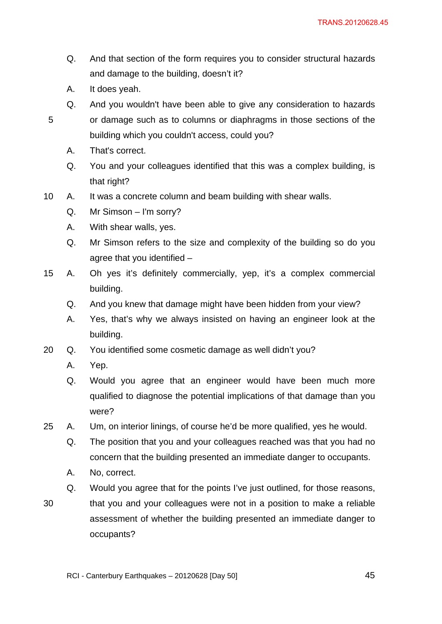- Q. And that section of the form requires you to consider structural hazards and damage to the building, doesn't it?
- A. It does yeah.

- Q. And you wouldn't have been able to give any consideration to hazards or damage such as to columns or diaphragms in those sections of the building which you couldn't access, could you?
	- A. That's correct.
	- Q. You and your colleagues identified that this was a complex building, is that right?
- 10 A. It was a concrete column and beam building with shear walls.
	- Q. Mr Simson I'm sorry?
	- A. With shear walls, yes.
	- Q. Mr Simson refers to the size and complexity of the building so do you agree that you identified –
- 15 A. Oh yes it's definitely commercially, yep, it's a complex commercial building.
	- Q. And you knew that damage might have been hidden from your view?
	- A. Yes, that's why we always insisted on having an engineer look at the building.
- 20 Q. You identified some cosmetic damage as well didn't you?
	- A. Yep.
	- Q. Would you agree that an engineer would have been much more qualified to diagnose the potential implications of that damage than you were?
- 25 A. Um, on interior linings, of course he'd be more qualified, yes he would.
	- Q. The position that you and your colleagues reached was that you had no concern that the building presented an immediate danger to occupants.
	- A. No, correct.
	- Q. Would you agree that for the points I've just outlined, for those reasons,
- 30 that you and your colleagues were not in a position to make a reliable assessment of whether the building presented an immediate danger to occupants?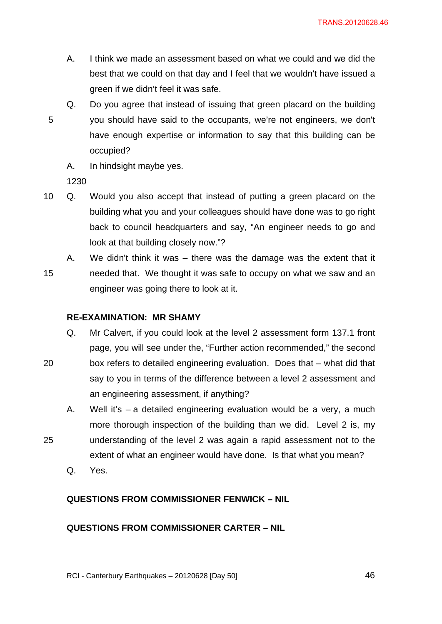- A. I think we made an assessment based on what we could and we did the best that we could on that day and I feel that we wouldn't have issued a green if we didn't feel it was safe.
- 5 Q. Do you agree that instead of issuing that green placard on the building you should have said to the occupants, we're not engineers, we don't have enough expertise or information to say that this building can be occupied?
	- A. In hindsight maybe yes.

- 10 Q. Would you also accept that instead of putting a green placard on the building what you and your colleagues should have done was to go right back to council headquarters and say, "An engineer needs to go and look at that building closely now."?
	- A. We didn't think it was there was the damage was the extent that it
- 15 needed that. We thought it was safe to occupy on what we saw and an engineer was going there to look at it.

# **RE-EXAMINATION: MR SHAMY**

Q. Mr Calvert, if you could look at the level 2 assessment form 137.1 front page, you will see under the, "Further action recommended," the second box refers to detailed engineering evaluation. Does that – what did that say to you in terms of the difference between a level 2 assessment and

an engineering assessment, if anything?

- A. Well it's a detailed engineering evaluation would be a very, a much more thorough inspection of the building than we did. Level 2 is, my understanding of the level 2 was again a rapid assessment not to the
	- extent of what an engineer would have done. Is that what you mean?
	- Q. Yes.

20

25

# **QUESTIONS FROM COMMISSIONER FENWICK – NIL**

# **QUESTIONS FROM COMMISSIONER CARTER – NIL**

RCI - Canterbury Earthquakes – 20120628 [Day 50]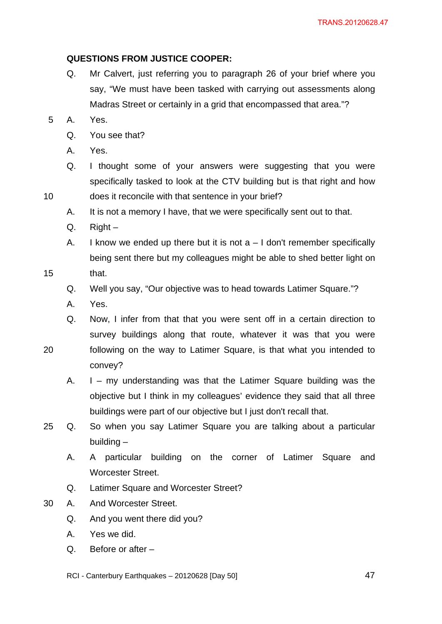# **QUESTIONS FROM JUSTICE COOPER:**

- Q. Mr Calvert, just referring you to paragraph 26 of your brief where you say, "We must have been tasked with carrying out assessments along Madras Street or certainly in a grid that encompassed that area."?
- 5 A. Yes.
	- Q. You see that?
	- A. Yes.
	- Q. I thought some of your answers were suggesting that you were specifically tasked to look at the CTV building but is that right and how does it reconcile with that sentence in your brief?
	- A. It is not a memory I have, that we were specifically sent out to that.
	- Q. Right –
	- A. I know we ended up there but it is not  $a 1$  don't remember specifically being sent there but my colleagues might be able to shed better light on
- 15 that.

10

- Q. Well you say, "Our objective was to head towards Latimer Square."?
- A. Yes.
- Q. Now, I infer from that that you were sent off in a certain direction to survey buildings along that route, whatever it was that you were
- 20 following on the way to Latimer Square, is that what you intended to convey?
	- A. I my understanding was that the Latimer Square building was the objective but I think in my colleagues' evidence they said that all three buildings were part of our objective but I just don't recall that.
- 25 Q. So when you say Latimer Square you are talking about a particular building –
	- A. A particular building on the corner of Latimer Square and Worcester Street.
	- Q. Latimer Square and Worcester Street?
- 30 A. And Worcester Street.
	- Q. And you went there did you?
	- A. Yes we did.
	- Q. Before or after –

RCI - Canterbury Earthquakes – 20120628 [Day 50]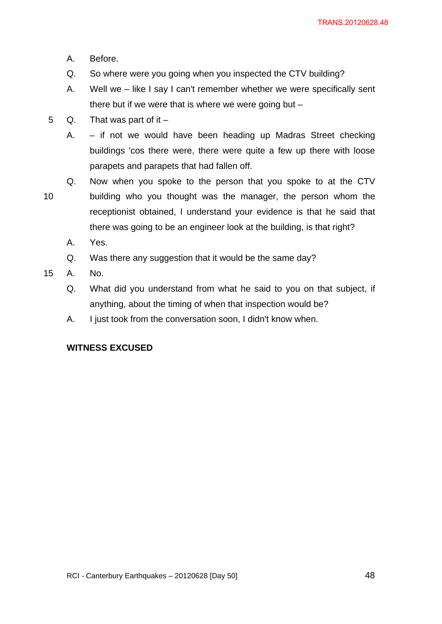- A. Before.
- Q. So where were you going when you inspected the CTV building?
- A. Well we like I say I can't remember whether we were specifically sent there but if we were that is where we were going but  $-$
- 5 Q. That was part of it  $-$

A. – if not we would have been heading up Madras Street checking buildings 'cos there were, there were quite a few up there with loose parapets and parapets that had fallen off.

- 10 Q. Now when you spoke to the person that you spoke to at the CTV building who you thought was the manager, the person whom the receptionist obtained, I understand your evidence is that he said that there was going to be an engineer look at the building, is that right?
	- A. Yes.
	- Q. Was there any suggestion that it would be the same day?
- 15 A. No.
	- Q. What did you understand from what he said to you on that subject, if anything, about the timing of when that inspection would be?
	- A. I just took from the conversation soon, I didn't know when.

# **WITNESS EXCUSED**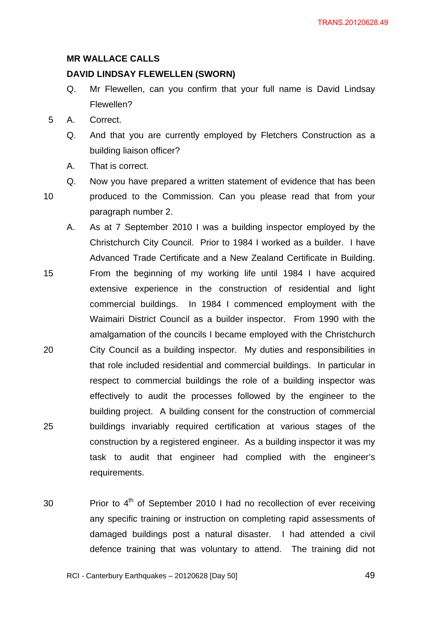#### **MR WALLACE CALLS**

#### **DAVID LINDSAY FLEWELLEN (SWORN)**

- Q. Mr Flewellen, can you confirm that your full name is David Lindsay Flewellen?
- 5 A. Correct.
	- Q. And that you are currently employed by Fletchers Construction as a building liaison officer?
	- A. That is correct.
- 10 Q. Now you have prepared a written statement of evidence that has been produced to the Commission. Can you please read that from your paragraph number 2.
- 15 20 25 A. As at 7 September 2010 I was a building inspector employed by the Christchurch City Council. Prior to 1984 I worked as a builder. I have Advanced Trade Certificate and a New Zealand Certificate in Building. From the beginning of my working life until 1984 I have acquired extensive experience in the construction of residential and light commercial buildings. In 1984 I commenced employment with the Waimairi District Council as a builder inspector. From 1990 with the amalgamation of the councils I became employed with the Christchurch City Council as a building inspector. My duties and responsibilities in that role included residential and commercial buildings. In particular in respect to commercial buildings the role of a building inspector was effectively to audit the processes followed by the engineer to the building project. A building consent for the construction of commercial buildings invariably required certification at various stages of the construction by a registered engineer. As a building inspector it was my task to audit that engineer had complied with the engineer's requirements.
- 30 Prior to  $4<sup>th</sup>$  of September 2010 I had no recollection of ever receiving any specific training or instruction on completing rapid assessments of damaged buildings post a natural disaster. I had attended a civil defence training that was voluntary to attend. The training did not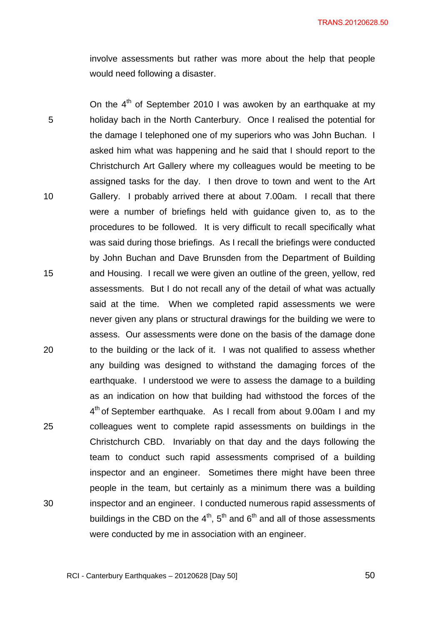involve assessments but rather was more about the help that people would need following a disaster.

5 10 15 20 25 30 On the  $4<sup>th</sup>$  of September 2010 I was awoken by an earthquake at my holiday bach in the North Canterbury. Once I realised the potential for the damage I telephoned one of my superiors who was John Buchan. I asked him what was happening and he said that I should report to the Christchurch Art Gallery where my colleagues would be meeting to be assigned tasks for the day. I then drove to town and went to the Art Gallery. I probably arrived there at about 7.00am. I recall that there were a number of briefings held with guidance given to, as to the procedures to be followed. It is very difficult to recall specifically what was said during those briefings. As I recall the briefings were conducted by John Buchan and Dave Brunsden from the Department of Building and Housing. I recall we were given an outline of the green, yellow, red assessments. But I do not recall any of the detail of what was actually said at the time. When we completed rapid assessments we were never given any plans or structural drawings for the building we were to assess. Our assessments were done on the basis of the damage done to the building or the lack of it. I was not qualified to assess whether any building was designed to withstand the damaging forces of the earthquake. I understood we were to assess the damage to a building as an indication on how that building had withstood the forces of the  $4<sup>th</sup>$  of September earthquake. As I recall from about 9.00am I and my colleagues went to complete rapid assessments on buildings in the Christchurch CBD. Invariably on that day and the days following the team to conduct such rapid assessments comprised of a building inspector and an engineer. Sometimes there might have been three people in the team, but certainly as a minimum there was a building inspector and an engineer. I conducted numerous rapid assessments of buildings in the CBD on the  $4<sup>th</sup>$ ,  $5<sup>th</sup>$  and  $6<sup>th</sup>$  and all of those assessments were conducted by me in association with an engineer.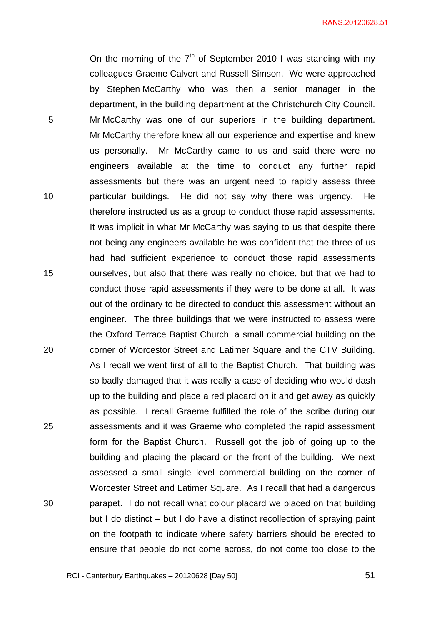On the morning of the  $7<sup>th</sup>$  of September 2010 I was standing with my colleagues Graeme Calvert and Russell Simson. We were approached by Stephen McCarthy who was then a senior manager in the department, in the building department at the Christchurch City Council. Mr McCarthy was one of our superiors in the building department. Mr McCarthy therefore knew all our experience and expertise and knew us personally. Mr McCarthy came to us and said there were no engineers available at the time to conduct any further rapid assessments but there was an urgent need to rapidly assess three particular buildings. He did not say why there was urgency. He therefore instructed us as a group to conduct those rapid assessments. It was implicit in what Mr McCarthy was saying to us that despite there not being any engineers available he was confident that the three of us had had sufficient experience to conduct those rapid assessments ourselves, but also that there was really no choice, but that we had to conduct those rapid assessments if they were to be done at all. It was out of the ordinary to be directed to conduct this assessment without an engineer. The three buildings that we were instructed to assess were the Oxford Terrace Baptist Church, a small commercial building on the corner of Worcestor Street and Latimer Square and the CTV Building. As I recall we went first of all to the Baptist Church. That building was so badly damaged that it was really a case of deciding who would dash up to the building and place a red placard on it and get away as quickly as possible. I recall Graeme fulfilled the role of the scribe during our assessments and it was Graeme who completed the rapid assessment form for the Baptist Church. Russell got the job of going up to the building and placing the placard on the front of the building. We next assessed a small single level commercial building on the corner of Worcester Street and Latimer Square. As I recall that had a dangerous parapet. I do not recall what colour placard we placed on that building but I do distinct – but I do have a distinct recollection of spraying paint on the footpath to indicate where safety barriers should be erected to ensure that people do not come across, do not come too close to the

RCI - Canterbury Earthquakes – 20120628 [Day 50]

5

10

15

20

25

30

<u>51</u> **51**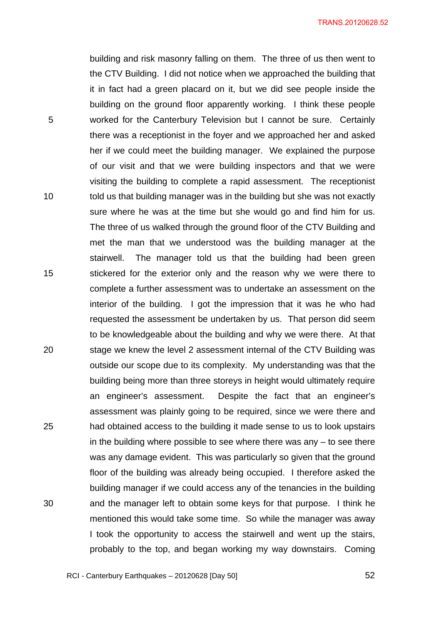building and risk masonry falling on them. The three of us then went to the CTV Building. I did not notice when we approached the building that it in fact had a green placard on it, but we did see people inside the building on the ground floor apparently working. I think these people worked for the Canterbury Television but I cannot be sure. Certainly there was a receptionist in the foyer and we approached her and asked her if we could meet the building manager. We explained the purpose of our visit and that we were building inspectors and that we were visiting the building to complete a rapid assessment. The receptionist told us that building manager was in the building but she was not exactly sure where he was at the time but she would go and find him for us. The three of us walked through the ground floor of the CTV Building and met the man that we understood was the building manager at the stairwell. The manager told us that the building had been green stickered for the exterior only and the reason why we were there to complete a further assessment was to undertake an assessment on the interior of the building. I got the impression that it was he who had requested the assessment be undertaken by us. That person did seem to be knowledgeable about the building and why we were there. At that stage we knew the level 2 assessment internal of the CTV Building was outside our scope due to its complexity. My understanding was that the building being more than three storeys in height would ultimately require an engineer's assessment. Despite the fact that an engineer's assessment was plainly going to be required, since we were there and had obtained access to the building it made sense to us to look upstairs in the building where possible to see where there was any – to see there was any damage evident. This was particularly so given that the ground floor of the building was already being occupied. I therefore asked the building manager if we could access any of the tenancies in the building and the manager left to obtain some keys for that purpose. I think he mentioned this would take some time. So while the manager was away I took the opportunity to access the stairwell and went up the stairs, probably to the top, and began working my way downstairs. Coming

5

10

15

20

25

30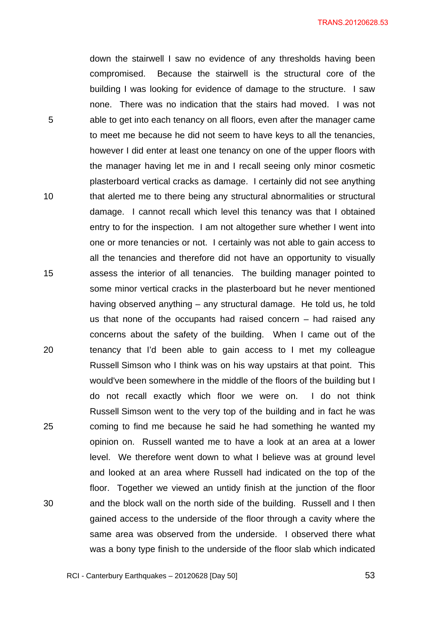down the stairwell I saw no evidence of any thresholds having been compromised. Because the stairwell is the structural core of the building I was looking for evidence of damage to the structure. I saw none. There was no indication that the stairs had moved. I was not able to get into each tenancy on all floors, even after the manager came to meet me because he did not seem to have keys to all the tenancies, however I did enter at least one tenancy on one of the upper floors with the manager having let me in and I recall seeing only minor cosmetic plasterboard vertical cracks as damage. I certainly did not see anything that alerted me to there being any structural abnormalities or structural damage. I cannot recall which level this tenancy was that I obtained entry to for the inspection. I am not altogether sure whether I went into one or more tenancies or not. I certainly was not able to gain access to all the tenancies and therefore did not have an opportunity to visually assess the interior of all tenancies. The building manager pointed to some minor vertical cracks in the plasterboard but he never mentioned having observed anything – any structural damage. He told us, he told us that none of the occupants had raised concern – had raised any concerns about the safety of the building. When I came out of the tenancy that I'd been able to gain access to I met my colleague Russell Simson who I think was on his way upstairs at that point. This would've been somewhere in the middle of the floors of the building but I do not recall exactly which floor we were on. I do not think Russell Simson went to the very top of the building and in fact he was coming to find me because he said he had something he wanted my opinion on. Russell wanted me to have a look at an area at a lower level. We therefore went down to what I believe was at ground level and looked at an area where Russell had indicated on the top of the floor. Together we viewed an untidy finish at the junction of the floor and the block wall on the north side of the building. Russell and I then gained access to the underside of the floor through a cavity where the same area was observed from the underside. I observed there what was a bony type finish to the underside of the floor slab which indicated

5

10

15

 $20$ 

25

30

 $\sim$  53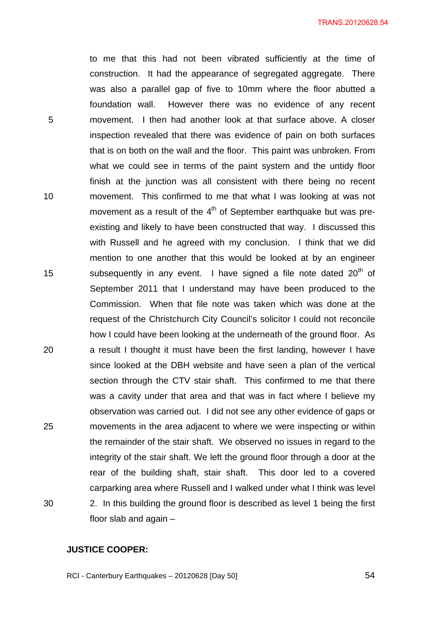to me that this had not been vibrated sufficiently at the time of construction. It had the appearance of segregated aggregate. There was also a parallel gap of five to 10mm where the floor abutted a foundation wall. However there was no evidence of any recent movement. I then had another look at that surface above. A closer inspection revealed that there was evidence of pain on both surfaces that is on both on the wall and the floor. This paint was unbroken. From what we could see in terms of the paint system and the untidy floor finish at the junction was all consistent with there being no recent movement. This confirmed to me that what I was looking at was not movement as a result of the  $4<sup>th</sup>$  of September earthquake but was preexisting and likely to have been constructed that way. I discussed this with Russell and he agreed with my conclusion. I think that we did mention to one another that this would be looked at by an engineer subsequently in any event. I have signed a file note dated 20<sup>th</sup> of September 2011 that I understand may have been produced to the Commission. When that file note was taken which was done at the request of the Christchurch City Council's solicitor I could not reconcile how I could have been looking at the underneath of the ground floor. As a result I thought it must have been the first landing, however I have since looked at the DBH website and have seen a plan of the vertical section through the CTV stair shaft. This confirmed to me that there was a cavity under that area and that was in fact where I believe my observation was carried out. I did not see any other evidence of gaps or movements in the area adjacent to where we were inspecting or within the remainder of the stair shaft. We observed no issues in regard to the integrity of the stair shaft. We left the ground floor through a door at the rear of the building shaft, stair shaft. This door led to a covered carparking area where Russell and I walked under what I think was level 2. In this building the ground floor is described as level 1 being the first floor slab and again –

# **JUSTICE COOPER:**

5

10

15

20

25

30

RCI - Canterbury Earthquakes – 20120628 [Day 50]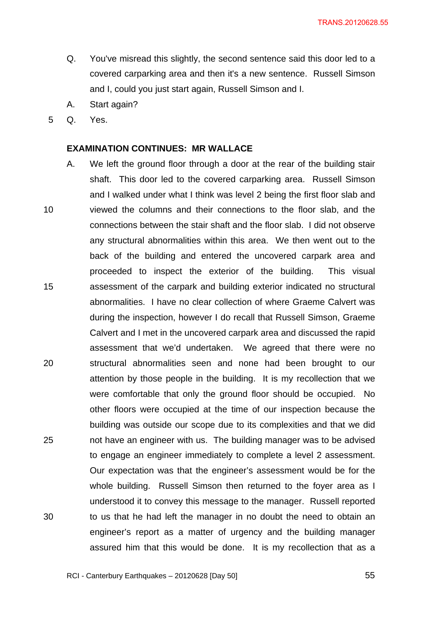- Q. You've misread this slightly, the second sentence said this door led to a covered carparking area and then it's a new sentence. Russell Simson and I, could you just start again, Russell Simson and I.
- A. Start again?
- 5 Q. Yes.

#### **EXAMINATION CONTINUES: MR WALLACE**

10 15 20 25 30 A. We left the ground floor through a door at the rear of the building stair shaft. This door led to the covered carparking area. Russell Simson and I walked under what I think was level 2 being the first floor slab and viewed the columns and their connections to the floor slab, and the connections between the stair shaft and the floor slab. I did not observe any structural abnormalities within this area. We then went out to the back of the building and entered the uncovered carpark area and proceeded to inspect the exterior of the building. This visual assessment of the carpark and building exterior indicated no structural abnormalities. I have no clear collection of where Graeme Calvert was during the inspection, however I do recall that Russell Simson, Graeme Calvert and I met in the uncovered carpark area and discussed the rapid assessment that we'd undertaken. We agreed that there were no structural abnormalities seen and none had been brought to our attention by those people in the building. It is my recollection that we were comfortable that only the ground floor should be occupied. No other floors were occupied at the time of our inspection because the building was outside our scope due to its complexities and that we did not have an engineer with us. The building manager was to be advised to engage an engineer immediately to complete a level 2 assessment. Our expectation was that the engineer's assessment would be for the whole building. Russell Simson then returned to the foyer area as I understood it to convey this message to the manager. Russell reported to us that he had left the manager in no doubt the need to obtain an engineer's report as a matter of urgency and the building manager assured him that this would be done. It is my recollection that as a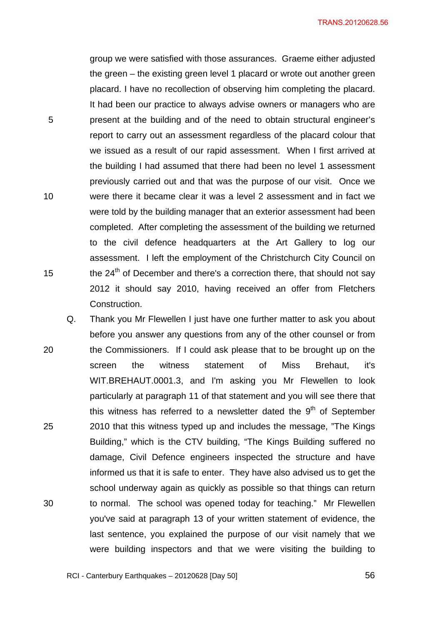group we were satisfied with those assurances. Graeme either adjusted the green – the existing green level 1 placard or wrote out another green placard. I have no recollection of observing him completing the placard. It had been our practice to always advise owners or managers who are present at the building and of the need to obtain structural engineer's report to carry out an assessment regardless of the placard colour that we issued as a result of our rapid assessment. When I first arrived at the building I had assumed that there had been no level 1 assessment previously carried out and that was the purpose of our visit. Once we were there it became clear it was a level 2 assessment and in fact we were told by the building manager that an exterior assessment had been completed. After completing the assessment of the building we returned to the civil defence headquarters at the Art Gallery to log our assessment. I left the employment of the Christchurch City Council on the  $24<sup>th</sup>$  of December and there's a correction there, that should not say 2012 it should say 2010, having received an offer from Fletchers Construction.

5

10

15

20 25 30 Q. Thank you Mr Flewellen I just have one further matter to ask you about before you answer any questions from any of the other counsel or from the Commissioners. If I could ask please that to be brought up on the screen the witness statement of Miss Brehaut, it's WIT.BREHAUT.0001.3, and I'm asking you Mr Flewellen to look particularly at paragraph 11 of that statement and you will see there that this witness has referred to a newsletter dated the  $9<sup>th</sup>$  of September 2010 that this witness typed up and includes the message, "The Kings Building," which is the CTV building, "The Kings Building suffered no damage, Civil Defence engineers inspected the structure and have informed us that it is safe to enter. They have also advised us to get the school underway again as quickly as possible so that things can return to normal. The school was opened today for teaching." Mr Flewellen you've said at paragraph 13 of your written statement of evidence, the last sentence, you explained the purpose of our visit namely that we were building inspectors and that we were visiting the building to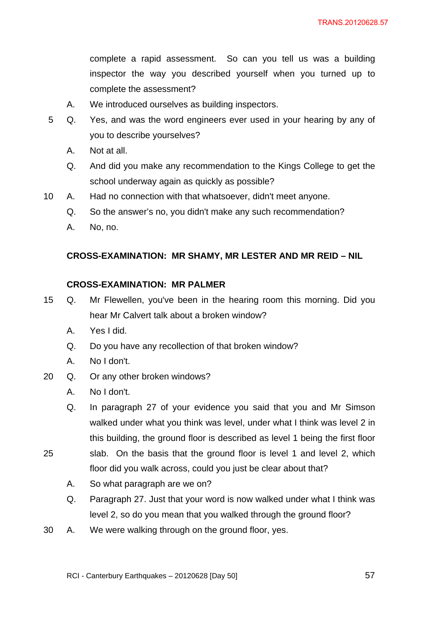complete a rapid assessment. So can you tell us was a building inspector the way you described yourself when you turned up to complete the assessment?

- A. We introduced ourselves as building inspectors.
- 5 Q. Yes, and was the word engineers ever used in your hearing by any of you to describe yourselves?
	- A. Not at all.
	- Q. And did you make any recommendation to the Kings College to get the school underway again as quickly as possible?
- 10 A. Had no connection with that whatsoever, didn't meet anyone.
	- Q. So the answer's no, you didn't make any such recommendation?
	- A. No, no.

# **CROSS-EXAMINATION: MR SHAMY, MR LESTER AND MR REID – NIL**

# **CROSS-EXAMINATION: MR PALMER**

- 15 Q. Mr Flewellen, you've been in the hearing room this morning. Did you hear Mr Calvert talk about a broken window?
	- A. Yes I did.
	- Q. Do you have any recollection of that broken window?
	- A. No I don't.
- 20 Q. Or any other broken windows?
	- A. No I don't.

Q. In paragraph 27 of your evidence you said that you and Mr Simson walked under what you think was level, under what I think was level 2 in this building, the ground floor is described as level 1 being the first floor

- 25 slab. On the basis that the ground floor is level 1 and level 2, which floor did you walk across, could you just be clear about that?
	- A. So what paragraph are we on?
	- Q. Paragraph 27. Just that your word is now walked under what I think was level 2, so do you mean that you walked through the ground floor?
- 30 A. We were walking through on the ground floor, yes.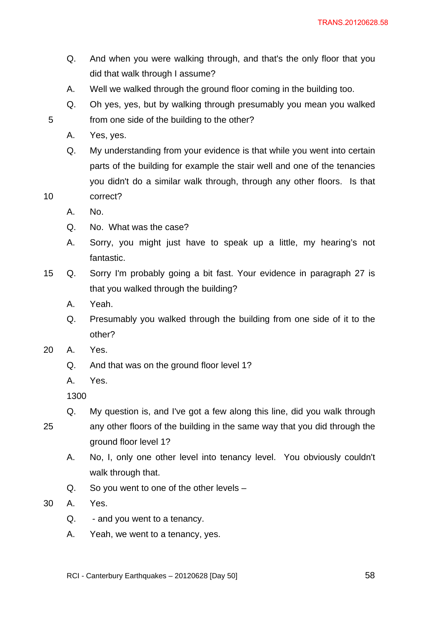- Q. And when you were walking through, and that's the only floor that you did that walk through I assume?
- A. Well we walked through the ground floor coming in the building too.
- Q. Oh yes, yes, but by walking through presumably you mean you walked from one side of the building to the other?
- A. Yes, yes.

10

- Q. My understanding from your evidence is that while you went into certain parts of the building for example the stair well and one of the tenancies you didn't do a similar walk through, through any other floors. Is that correct?
- A. No.
- Q. No. What was the case?
- A. Sorry, you might just have to speak up a little, my hearing's not fantastic.
- 15 Q. Sorry I'm probably going a bit fast. Your evidence in paragraph 27 is that you walked through the building?
	- A. Yeah.
	- Q. Presumably you walked through the building from one side of it to the other?
- 20 A. Yes.
	- Q. And that was on the ground floor level 1?
	- A. Yes.

- 25 Q. My question is, and I've got a few along this line, did you walk through any other floors of the building in the same way that you did through the ground floor level 1?
	- A. No, I, only one other level into tenancy level. You obviously couldn't walk through that.
	- Q. So you went to one of the other levels –
- 30 A. Yes.
	- Q. and you went to a tenancy.
	- A. Yeah, we went to a tenancy, yes.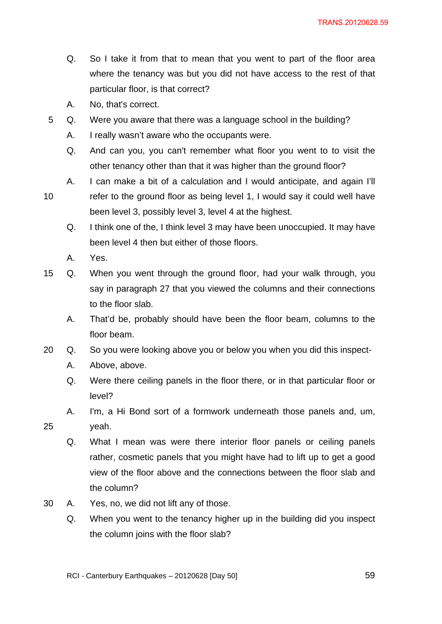- Q. So I take it from that to mean that you went to part of the floor area where the tenancy was but you did not have access to the rest of that particular floor, is that correct?
- A. No, that's correct.
- 5 Q. Were you aware that there was a language school in the building?
	- A. I really wasn't aware who the occupants were.
	- Q. And can you, you can't remember what floor you went to to visit the other tenancy other than that it was higher than the ground floor?
	- A. I can make a bit of a calculation and I would anticipate, and again I'll
- 10 refer to the ground floor as being level 1, I would say it could well have been level 3, possibly level 3, level 4 at the highest.
	- Q. I think one of the, I think level 3 may have been unoccupied. It may have been level 4 then but either of those floors.
	- A. Yes.
- 15 Q. When you went through the ground floor, had your walk through, you say in paragraph 27 that you viewed the columns and their connections to the floor slab.
	- A. That'd be, probably should have been the floor beam, columns to the floor beam.
- 20 Q. So you were looking above you or below you when you did this inspect-
	- A. Above, above.
	- Q. Were there ceiling panels in the floor there, or in that particular floor or level?
	- A. I'm, a Hi Bond sort of a formwork underneath those panels and, um,
- 25 yeah.
	- Q. What I mean was were there interior floor panels or ceiling panels rather, cosmetic panels that you might have had to lift up to get a good view of the floor above and the connections between the floor slab and the column?
- 30 A. Yes, no, we did not lift any of those.
	- Q. When you went to the tenancy higher up in the building did you inspect the column joins with the floor slab?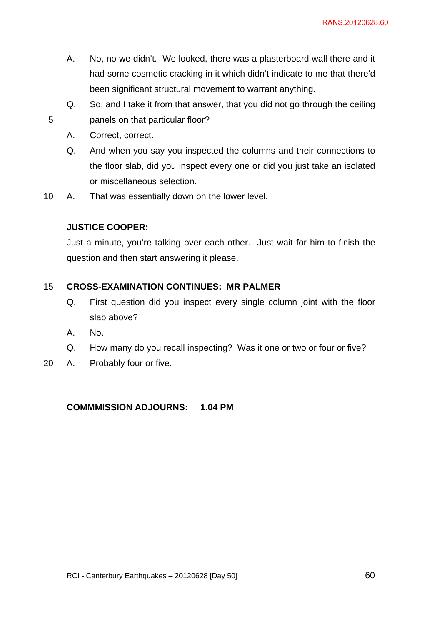- A. No, no we didn't. We looked, there was a plasterboard wall there and it had some cosmetic cracking in it which didn't indicate to me that there'd been significant structural movement to warrant anything.
- Q. So, and I take it from that answer, that you did not go through the ceiling panels on that particular floor?
- A. Correct, correct.

- Q. And when you say you inspected the columns and their connections to the floor slab, did you inspect every one or did you just take an isolated or miscellaneous selection.
- 10 A. That was essentially down on the lower level.

# **JUSTICE COOPER:**

Just a minute, you're talking over each other. Just wait for him to finish the question and then start answering it please.

#### 15 **CROSS-EXAMINATION CONTINUES: MR PALMER**

- Q. First question did you inspect every single column joint with the floor slab above?
- A. No.
- Q. How many do you recall inspecting? Was it one or two or four or five?
- 20 A. Probably four or five.

# **COMMMISSION ADJOURNS: 1.04 PM**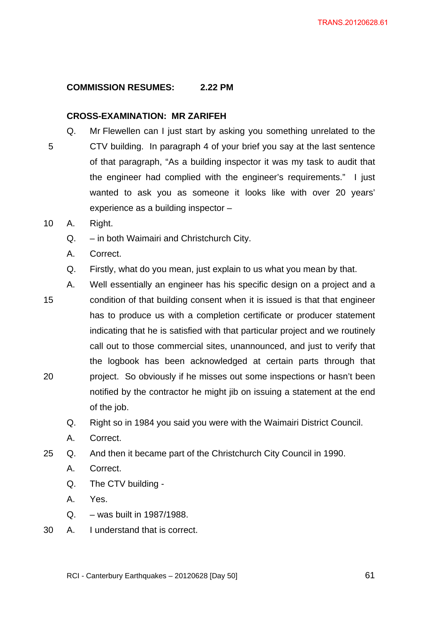# **COMMISSION RESUMES: 2.22 PM**

### **CROSS-EXAMINATION: MR ZARIFEH**

- 5 Q. Mr Flewellen can I just start by asking you something unrelated to the CTV building. In paragraph 4 of your brief you say at the last sentence of that paragraph, "As a building inspector it was my task to audit that the engineer had complied with the engineer's requirements." I just wanted to ask you as someone it looks like with over 20 years' experience as a building inspector –
- 10 A. Right.
	- Q. in both Waimairi and Christchurch City.
	- A. Correct.
	- Q. Firstly, what do you mean, just explain to us what you mean by that.
- 15 20 A. Well essentially an engineer has his specific design on a project and a condition of that building consent when it is issued is that that engineer has to produce us with a completion certificate or producer statement indicating that he is satisfied with that particular project and we routinely call out to those commercial sites, unannounced, and just to verify that the logbook has been acknowledged at certain parts through that project. So obviously if he misses out some inspections or hasn't been notified by the contractor he might jib on issuing a statement at the end of the job.
	- Q. Right so in 1984 you said you were with the Waimairi District Council.
	- A. Correct.
- 25 Q. And then it became part of the Christchurch City Council in 1990.
	- A. Correct.
	- Q. The CTV building -
	- A. Yes.
	- Q. was built in 1987/1988.
- 30 A. I understand that is correct.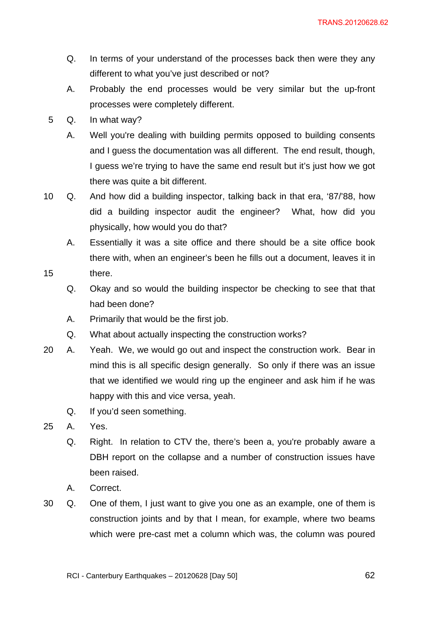- Q. In terms of your understand of the processes back then were they any different to what you've just described or not?
- A. Probably the end processes would be very similar but the up-front processes were completely different.
- 5 Q. In what way?
	- A. Well you're dealing with building permits opposed to building consents and I guess the documentation was all different. The end result, though, I guess we're trying to have the same end result but it's just how we got there was quite a bit different.
- 10 Q. And how did a building inspector, talking back in that era, '87/'88, how did a building inspector audit the engineer? What, how did you physically, how would you do that?
	- A. Essentially it was a site office and there should be a site office book there with, when an engineer's been he fills out a document, leaves it in there.
	- Q. Okay and so would the building inspector be checking to see that that had been done?
	- A. Primarily that would be the first job.
	- Q. What about actually inspecting the construction works?
- 20 A. Yeah. We, we would go out and inspect the construction work. Bear in mind this is all specific design generally. So only if there was an issue that we identified we would ring up the engineer and ask him if he was happy with this and vice versa, yeah.
	- Q. If you'd seen something.
- 25 A. Yes.

- Q. Right. In relation to CTV the, there's been a, you're probably aware a DBH report on the collapse and a number of construction issues have been raised.
- A. Correct.
- 30 Q. One of them, I just want to give you one as an example, one of them is construction joints and by that I mean, for example, where two beams which were pre-cast met a column which was, the column was poured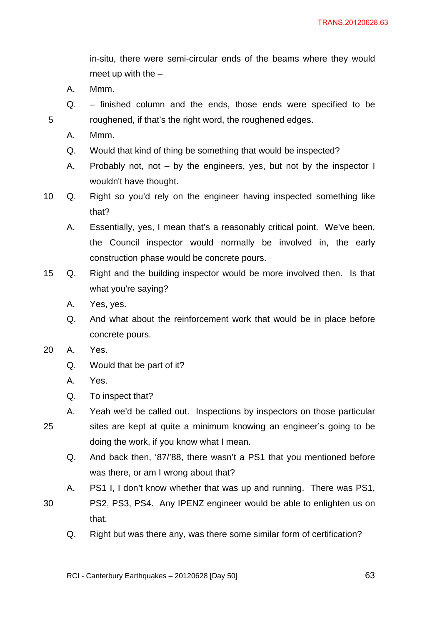in-situ, there were semi-circular ends of the beams where they would meet up with the  $-$ 

- A. Mmm.
- Q. finished column and the ends, those ends were specified to be roughened, if that's the right word, the roughened edges.
- A. Mmm.

- Q. Would that kind of thing be something that would be inspected?
- A. Probably not, not by the engineers, yes, but not by the inspector I wouldn't have thought.
- 10 Q. Right so you'd rely on the engineer having inspected something like that?
	- A. Essentially, yes, I mean that's a reasonably critical point. We've been, the Council inspector would normally be involved in, the early construction phase would be concrete pours.
- 15 Q. Right and the building inspector would be more involved then. Is that what you're saying?
	- A. Yes, yes.
	- Q. And what about the reinforcement work that would be in place before concrete pours.
- 20 A. Yes.
	- Q. Would that be part of it?
	- A. Yes.
	- Q. To inspect that?
- 25 A. Yeah we'd be called out. Inspections by inspectors on those particular sites are kept at quite a minimum knowing an engineer's going to be doing the work, if you know what I mean.
	- Q. And back then, '87/'88, there wasn't a PS1 that you mentioned before was there, or am I wrong about that?
	- A. PS1 I, I don't know whether that was up and running. There was PS1,
- 30 PS2, PS3, PS4. Any IPENZ engineer would be able to enlighten us on that.
	- Q. Right but was there any, was there some similar form of certification?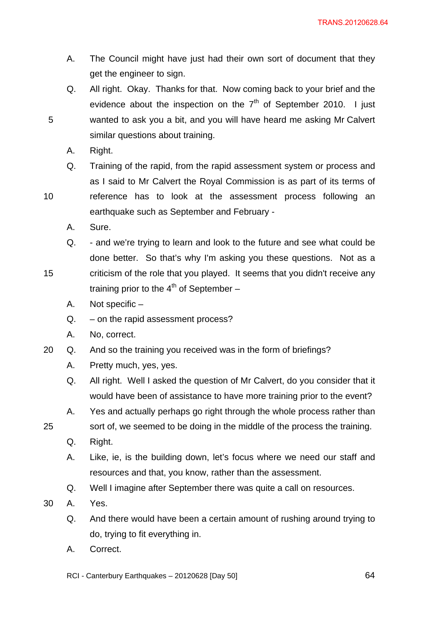- A. The Council might have just had their own sort of document that they get the engineer to sign.
- Q. All right. Okay. Thanks for that. Now coming back to your brief and the evidence about the inspection on the  $7<sup>th</sup>$  of September 2010. I just wanted to ask you a bit, and you will have heard me asking Mr Calvert similar questions about training.
- A. Right.
- Q. Training of the rapid, from the rapid assessment system or process and as I said to Mr Calvert the Royal Commission is as part of its terms of

reference has to look at the assessment process following an

10

15

25

5

- earthquake such as September and February -
- A. Sure.
- Q. and we're trying to learn and look to the future and see what could be done better. So that's why I'm asking you these questions. Not as a criticism of the role that you played. It seems that you didn't receive any training prior to the  $4<sup>th</sup>$  of September –
- A. Not specific –
- Q. on the rapid assessment process?
- A. No, correct.
- 20 Q. And so the training you received was in the form of briefings?
	- A. Pretty much, yes, yes.
	- Q. All right. Well I asked the question of Mr Calvert, do you consider that it would have been of assistance to have more training prior to the event?
	- A. Yes and actually perhaps go right through the whole process rather than
	- sort of, we seemed to be doing in the middle of the process the training.
	- Q. Right.
	- A. Like, ie, is the building down, let's focus where we need our staff and resources and that, you know, rather than the assessment.
	- Q. Well I imagine after September there was quite a call on resources.
- 30 A. Yes.
	- Q. And there would have been a certain amount of rushing around trying to do, trying to fit everything in.
	- A. Correct.

RCI - Canterbury Earthquakes – 20120628 [Day 50]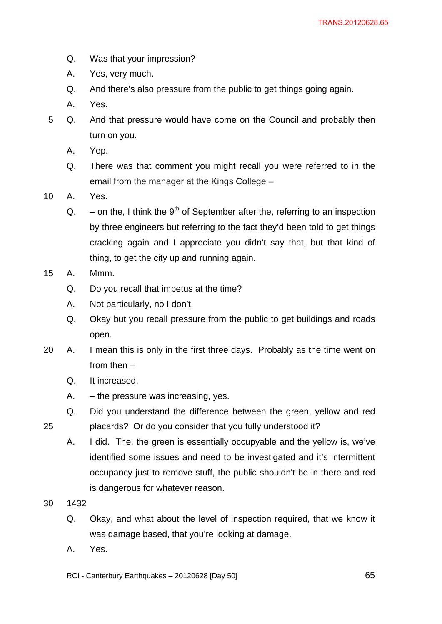- Q. Was that your impression?
- A. Yes, very much.
- Q. And there's also pressure from the public to get things going again.
- A. Yes.
- 5 Q. And that pressure would have come on the Council and probably then turn on you.
	- A. Yep.
	- Q. There was that comment you might recall you were referred to in the email from the manager at the Kings College –
- 10 A. Yes.
	- $Q.$  on the, I think the 9<sup>th</sup> of September after the, referring to an inspection by three engineers but referring to the fact they'd been told to get things cracking again and I appreciate you didn't say that, but that kind of thing, to get the city up and running again.
- 15 A. Mmm.
	- Q. Do you recall that impetus at the time?
	- A. Not particularly, no I don't.
	- Q. Okay but you recall pressure from the public to get buildings and roads open.
- 20 A. I mean this is only in the first three days. Probably as the time went on from then –
	- Q. It increased.
	- A. the pressure was increasing, yes.
	- Q. Did you understand the difference between the green, yellow and red placards? Or do you consider that you fully understood it?
		- A. I did. The, the green is essentially occupyable and the yellow is, we've identified some issues and need to be investigated and it's intermittent occupancy just to remove stuff, the public shouldn't be in there and red is dangerous for whatever reason.
- 30 1432

- Q. Okay, and what about the level of inspection required, that we know it was damage based, that you're looking at damage.
- A. Yes.
- RCI Canterbury Earthquakes 20120628 [Day 50]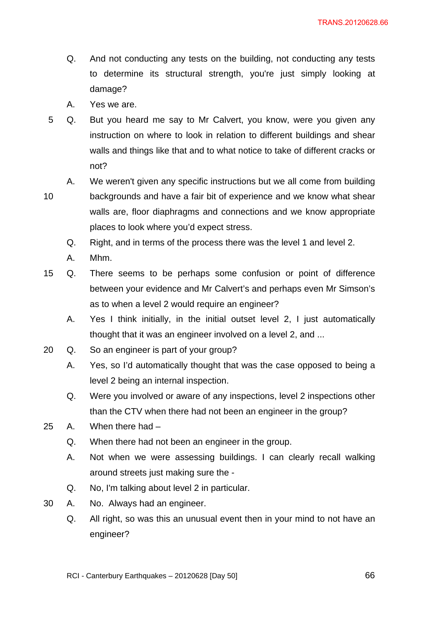- Q. And not conducting any tests on the building, not conducting any tests to determine its structural strength, you're just simply looking at damage?
- A. Yes we are.
- 5 Q. But you heard me say to Mr Calvert, you know, were you given any instruction on where to look in relation to different buildings and shear walls and things like that and to what notice to take of different cracks or not?
	- A. We weren't given any specific instructions but we all come from building

backgrounds and have a fair bit of experience and we know what shear walls are, floor diaphragms and connections and we know appropriate places to look where you'd expect stress.

- Q. Right, and in terms of the process there was the level 1 and level 2.
- A. Mhm.
- 15 Q. There seems to be perhaps some confusion or point of difference between your evidence and Mr Calvert's and perhaps even Mr Simson's as to when a level 2 would require an engineer?
	- A. Yes I think initially, in the initial outset level 2, I just automatically thought that it was an engineer involved on a level 2, and ...
- 20 Q. So an engineer is part of your group?
	- A. Yes, so I'd automatically thought that was the case opposed to being a level 2 being an internal inspection.
	- Q. Were you involved or aware of any inspections, level 2 inspections other than the CTV when there had not been an engineer in the group?
- 25 A. When there had
	- Q. When there had not been an engineer in the group.
	- A. Not when we were assessing buildings. I can clearly recall walking around streets just making sure the -
	- Q. No, I'm talking about level 2 in particular.
- 30 A. No. Always had an engineer.
	- Q. All right, so was this an unusual event then in your mind to not have an engineer?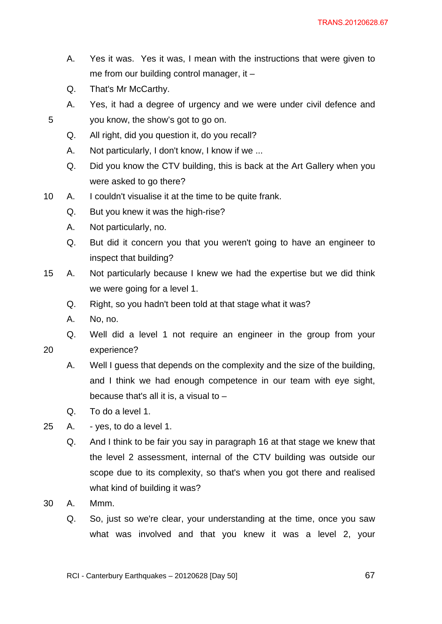- A. Yes it was. Yes it was, I mean with the instructions that were given to me from our building control manager, it –
- Q. That's Mr McCarthy.
- A. Yes, it had a degree of urgency and we were under civil defence and you know, the show's got to go on.
- Q. All right, did you question it, do you recall?
- A. Not particularly, I don't know, I know if we ...
- Q. Did you know the CTV building, this is back at the Art Gallery when you were asked to go there?
- 10 A. I couldn't visualise it at the time to be quite frank.
	- Q. But you knew it was the high-rise?
	- A. Not particularly, no.
	- Q. But did it concern you that you weren't going to have an engineer to inspect that building?
- 15 A. Not particularly because I knew we had the expertise but we did think we were going for a level 1.
	- Q. Right, so you hadn't been told at that stage what it was?
	- A. No, no.
	- Q. Well did a level 1 not require an engineer in the group from your
- 20

- experience?
	- A. Well I guess that depends on the complexity and the size of the building, and I think we had enough competence in our team with eye sight, because that's all it is, a visual to –
	- Q. To do a level 1.
- 25 A. yes, to do a level 1.
	- Q. And I think to be fair you say in paragraph 16 at that stage we knew that the level 2 assessment, internal of the CTV building was outside our scope due to its complexity, so that's when you got there and realised what kind of building it was?
- 30 A. Mmm.
	- Q. So, just so we're clear, your understanding at the time, once you saw what was involved and that you knew it was a level 2, your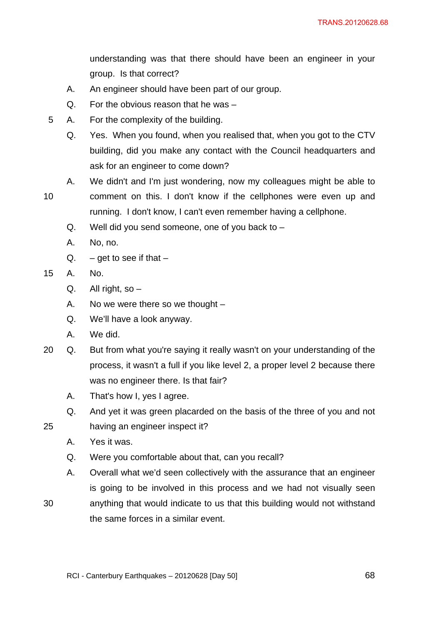understanding was that there should have been an engineer in your group. Is that correct?

- A. An engineer should have been part of our group.
- Q. For the obvious reason that he was –
- 5 A. For the complexity of the building.
	- Q. Yes. When you found, when you realised that, when you got to the CTV building, did you make any contact with the Council headquarters and ask for an engineer to come down?
- 10 A. We didn't and I'm just wondering, now my colleagues might be able to comment on this. I don't know if the cellphones were even up and running. I don't know, I can't even remember having a cellphone.
	- $Q.$  Well did you send someone, one of you back to  $-$
	- A. No, no.
	- Q.  $-$  get to see if that  $-$
- 15 A. No.
	- $Q.$  All right, so  $-$
	- A. No we were there so we thought –
	- Q. We'll have a look anyway.
	- A. We did.
- 20 Q. But from what you're saying it really wasn't on your understanding of the process, it wasn't a full if you like level 2, a proper level 2 because there was no engineer there. Is that fair?
	- A. That's how I, yes I agree.
	- Q. And yet it was green placarded on the basis of the three of you and not
- 25 having an engineer inspect it?
	- A. Yes it was.
	- Q. Were you comfortable about that, can you recall?
	- A. Overall what we'd seen collectively with the assurance that an engineer is going to be involved in this process and we had not visually seen
- 30 anything that would indicate to us that this building would not withstand the same forces in a similar event.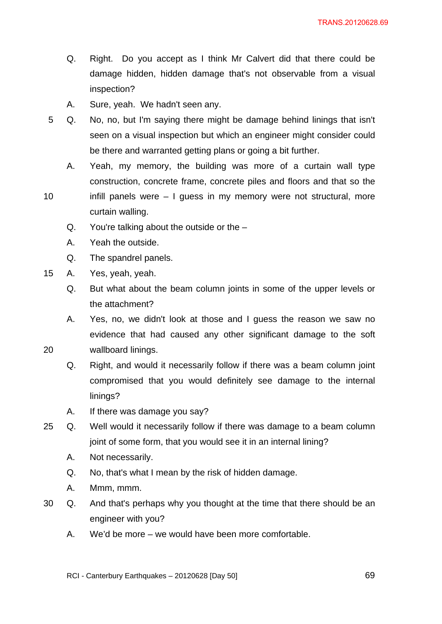- Q. Right. Do you accept as I think Mr Calvert did that there could be damage hidden, hidden damage that's not observable from a visual inspection?
- A. Sure, yeah. We hadn't seen any.
- 5 Q. No, no, but I'm saying there might be damage behind linings that isn't seen on a visual inspection but which an engineer might consider could be there and warranted getting plans or going a bit further.
	- A. Yeah, my memory, the building was more of a curtain wall type construction, concrete frame, concrete piles and floors and that so the
- 10 infill panels were – I guess in my memory were not structural, more curtain walling.
	- Q. You're talking about the outside or the –
	- A. Yeah the outside.
	- Q. The spandrel panels.
- 15 A. Yes, yeah, yeah.

- Q. But what about the beam column joints in some of the upper levels or the attachment?
- A. Yes, no, we didn't look at those and I guess the reason we saw no evidence that had caused any other significant damage to the soft wallboard linings.
- Q. Right, and would it necessarily follow if there was a beam column joint compromised that you would definitely see damage to the internal linings?
- A. If there was damage you say?
- 25 Q. Well would it necessarily follow if there was damage to a beam column joint of some form, that you would see it in an internal lining?
	- A. Not necessarily.
	- Q. No, that's what I mean by the risk of hidden damage.
	- A. Mmm, mmm.
- 30 Q. And that's perhaps why you thought at the time that there should be an engineer with you?
	- A. We'd be more we would have been more comfortable.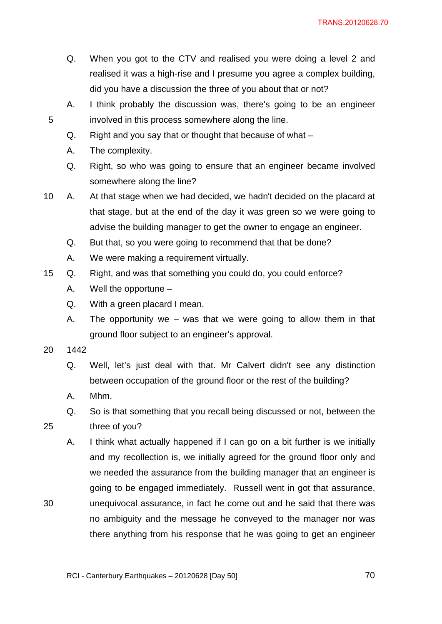- Q. When you got to the CTV and realised you were doing a level 2 and realised it was a high-rise and I presume you agree a complex building, did you have a discussion the three of you about that or not?
- A. I think probably the discussion was, there's going to be an engineer involved in this process somewhere along the line.
- Q. Right and you say that or thought that because of what –
- A. The complexity.
- Q. Right, so who was going to ensure that an engineer became involved somewhere along the line?
- 10 A. At that stage when we had decided, we hadn't decided on the placard at that stage, but at the end of the day it was green so we were going to advise the building manager to get the owner to engage an engineer.
	- Q. But that, so you were going to recommend that that be done?
	- A. We were making a requirement virtually.
- 15 Q. Right, and was that something you could do, you could enforce?
	- A. Well the opportune –
	- Q. With a green placard I mean.
	- A. The opportunity we was that we were going to allow them in that ground floor subject to an engineer's approval.
- 20 1442

30

- Q. Well, let's just deal with that. Mr Calvert didn't see any distinction between occupation of the ground floor or the rest of the building?
- A. Mhm.
- Q. So is that something that you recall being discussed or not, between the three of you?
- A. I think what actually happened if I can go on a bit further is we initially and my recollection is, we initially agreed for the ground floor only and we needed the assurance from the building manager that an engineer is going to be engaged immediately. Russell went in got that assurance, unequivocal assurance, in fact he come out and he said that there was no ambiguity and the message he conveyed to the manager nor was there anything from his response that he was going to get an engineer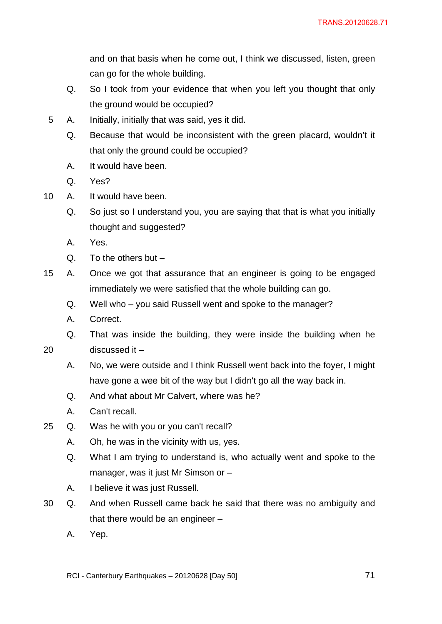and on that basis when he come out, I think we discussed, listen, green can go for the whole building.

- Q. So I took from your evidence that when you left you thought that only the ground would be occupied?
- 5 A. Initially, initially that was said, yes it did.
	- Q. Because that would be inconsistent with the green placard, wouldn't it that only the ground could be occupied?
	- A. It would have been.
	- Q. Yes?
- 10 A. It would have been.
	- Q. So just so I understand you, you are saying that that is what you initially thought and suggested?
	- A. Yes.
	- Q. To the others but –

discussed it –

- 15 A. Once we got that assurance that an engineer is going to be engaged immediately we were satisfied that the whole building can go.
	- Q. Well who you said Russell went and spoke to the manager?
	- A. Correct.
	- Q. That was inside the building, they were inside the building when he
- 20
- A. No, we were outside and I think Russell went back into the foyer, I might have gone a wee bit of the way but I didn't go all the way back in.
- Q. And what about Mr Calvert, where was he?
- A. Can't recall.
- 25 Q. Was he with you or you can't recall?
	- A. Oh, he was in the vicinity with us, yes.
	- Q. What I am trying to understand is, who actually went and spoke to the manager, was it just Mr Simson or –
	- A. I believe it was just Russell.
- 30 Q. And when Russell came back he said that there was no ambiguity and that there would be an engineer –
	- A. Yep.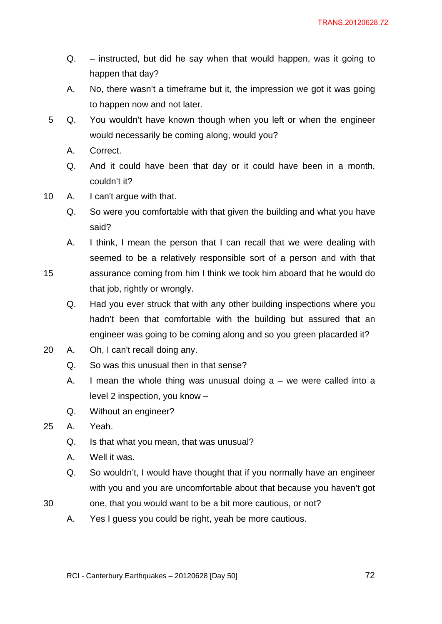- Q. instructed, but did he say when that would happen, was it going to happen that day?
- A. No, there wasn't a timeframe but it, the impression we got it was going to happen now and not later.
- 5 Q. You wouldn't have known though when you left or when the engineer would necessarily be coming along, would you?
	- A. Correct.
	- Q. And it could have been that day or it could have been in a month, couldn't it?
- 10 A. I can't argue with that.
	- Q. So were you comfortable with that given the building and what you have said?
	- A. I think, I mean the person that I can recall that we were dealing with seemed to be a relatively responsible sort of a person and with that assurance coming from him I think we took him aboard that he would do that job, rightly or wrongly.
		- Q. Had you ever struck that with any other building inspections where you hadn't been that comfortable with the building but assured that an engineer was going to be coming along and so you green placarded it?
- 20 A. Oh, I can't recall doing any.
	- Q. So was this unusual then in that sense?
	- A. I mean the whole thing was unusual doing  $a -$  we were called into a level 2 inspection, you know –
	- Q. Without an engineer?
- 25 A. Yeah.

- Q. Is that what you mean, that was unusual?
- A. Well it was.
- Q. So wouldn't, I would have thought that if you normally have an engineer with you and you are uncomfortable about that because you haven't got
- 30 one, that you would want to be a bit more cautious, or not?
	- A. Yes I guess you could be right, yeah be more cautious.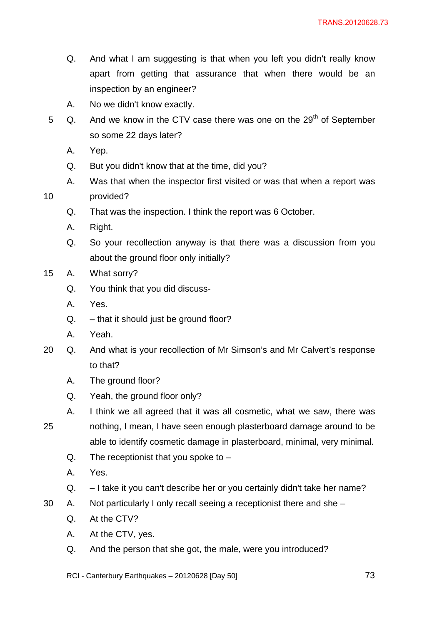- Q. And what I am suggesting is that when you left you didn't really know apart from getting that assurance that when there would be an inspection by an engineer?
- A. No we didn't know exactly.
- 5  $\alpha$ . And we know in the CTV case there was one on the 29<sup>th</sup> of September so some 22 days later?
	- A. Yep.

- Q. But you didn't know that at the time, did you?
- A. Was that when the inspector first visited or was that when a report was provided?
- Q. That was the inspection. I think the report was 6 October.
- A. Right.
- Q. So your recollection anyway is that there was a discussion from you about the ground floor only initially?
- 15 A. What sorry?
	- Q. You think that you did discuss-
	- A. Yes.
	- $Q. -$  that it should just be ground floor?
	- A. Yeah.
- 20 Q. And what is your recollection of Mr Simson's and Mr Calvert's response to that?
	- A. The ground floor?
	- Q. Yeah, the ground floor only?
- 25 A. I think we all agreed that it was all cosmetic, what we saw, there was nothing, I mean, I have seen enough plasterboard damage around to be able to identify cosmetic damage in plasterboard, minimal, very minimal.
	- Q. The receptionist that you spoke to  $-$
	- A. Yes.
	- Q. I take it you can't describe her or you certainly didn't take her name?
- 30 A. Not particularly I only recall seeing a receptionist there and she
	- Q. At the CTV?
	- A. At the CTV, yes.
	- Q. And the person that she got, the male, were you introduced?
	- RCI Canterbury Earthquakes 20120628 [Day 50]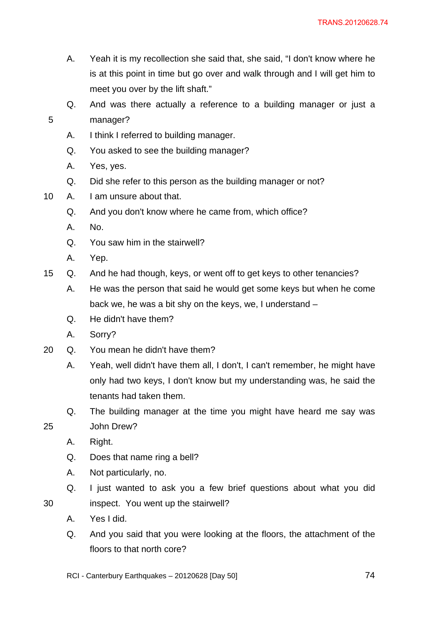- A. Yeah it is my recollection she said that, she said, "I don't know where he is at this point in time but go over and walk through and I will get him to meet you over by the lift shaft."
- Q. And was there actually a reference to a building manager or just a manager?
- A. I think I referred to building manager.
- Q. You asked to see the building manager?
- A. Yes, yes.

- Q. Did she refer to this person as the building manager or not?
- 10 A. I am unsure about that.
	- Q. And you don't know where he came from, which office?
	- A. No.
	- Q. You saw him in the stairwell?
	- A. Yep.
- 15 Q. And he had though, keys, or went off to get keys to other tenancies?
	- A. He was the person that said he would get some keys but when he come back we, he was a bit shy on the keys, we, I understand –
	- Q. He didn't have them?
	- A. Sorry?
- 20 Q. You mean he didn't have them?
	- A. Yeah, well didn't have them all, I don't, I can't remember, he might have only had two keys, I don't know but my understanding was, he said the tenants had taken them.
	- Q. The building manager at the time you might have heard me say was John Drew?
	- A. Right.

25

- Q. Does that name ring a bell?
- A. Not particularly, no.
- Q. I just wanted to ask you a few brief questions about what you did inspect. You went up the stairwell?
- A. Yes I did.
- Q. And you said that you were looking at the floors, the attachment of the floors to that north core?
- RCI Canterbury Earthquakes 20120628 [Day 50]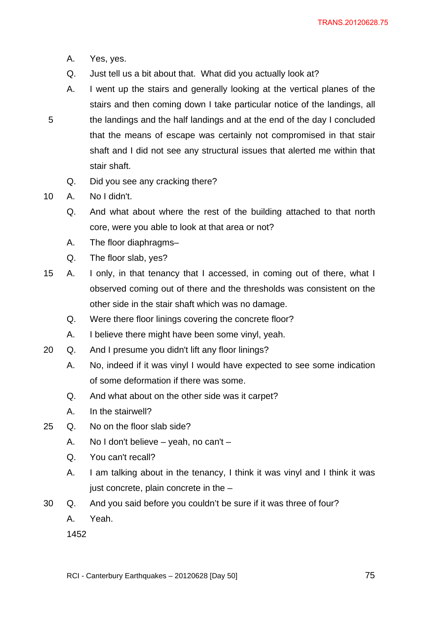- A. Yes, yes.
- Q. Just tell us a bit about that. What did you actually look at?
- A. I went up the stairs and generally looking at the vertical planes of the stairs and then coming down I take particular notice of the landings, all the landings and the half landings and at the end of the day I concluded that the means of escape was certainly not compromised in that stair shaft and I did not see any structural issues that alerted me within that stair shaft.
- Q. Did you see any cracking there?
- 10 A. No I didn't.

- Q. And what about where the rest of the building attached to that north core, were you able to look at that area or not?
- A. The floor diaphragms–
- Q. The floor slab, yes?
- 15 A. I only, in that tenancy that I accessed, in coming out of there, what I observed coming out of there and the thresholds was consistent on the other side in the stair shaft which was no damage.
	- Q. Were there floor linings covering the concrete floor?
	- A. I believe there might have been some vinyl, yeah.
- 20 Q. And I presume you didn't lift any floor linings?
	- A. No, indeed if it was vinyl I would have expected to see some indication of some deformation if there was some.
	- Q. And what about on the other side was it carpet?
	- A. In the stairwell?
- 25 Q. No on the floor slab side?
	- A. No I don't believe yeah, no can't –
	- Q. You can't recall?
	- A. I am talking about in the tenancy, I think it was vinyl and I think it was just concrete, plain concrete in the –
- 30 Q. And you said before you couldn't be sure if it was three of four?
	- A. Yeah.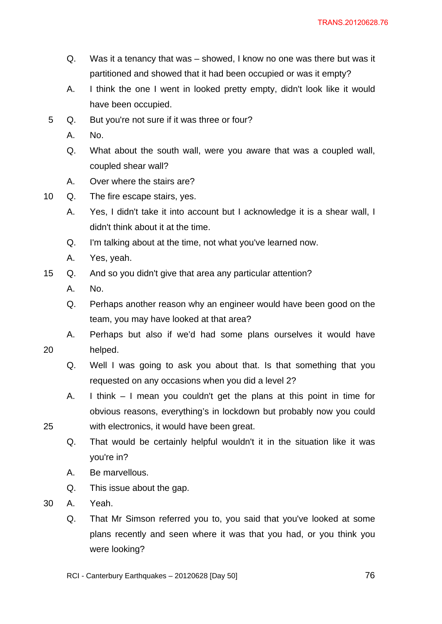- Q. Was it a tenancy that was showed, I know no one was there but was it partitioned and showed that it had been occupied or was it empty?
- A. I think the one I went in looked pretty empty, didn't look like it would have been occupied.
- 5 Q. But you're not sure if it was three or four?
	- A. No.
	- Q. What about the south wall, were you aware that was a coupled wall, coupled shear wall?
	- A. Over where the stairs are?
- 10 Q. The fire escape stairs, yes.
	- A. Yes, I didn't take it into account but I acknowledge it is a shear wall, I didn't think about it at the time.
	- Q. I'm talking about at the time, not what you've learned now.
	- A. Yes, yeah.
- 15 Q. And so you didn't give that area any particular attention?
	- A. No.

- Q. Perhaps another reason why an engineer would have been good on the team, you may have looked at that area?
- A. Perhaps but also if we'd had some plans ourselves it would have helped.
	- Q. Well I was going to ask you about that. Is that something that you requested on any occasions when you did a level 2?
	- A. I think I mean you couldn't get the plans at this point in time for obvious reasons, everything's in lockdown but probably now you could with electronics, it would have been great.
	- Q. That would be certainly helpful wouldn't it in the situation like it was you're in?
	- A. Be marvellous.
	- Q. This issue about the gap.
- 30 A. Yeah.
	- Q. That Mr Simson referred you to, you said that you've looked at some plans recently and seen where it was that you had, or you think you were looking?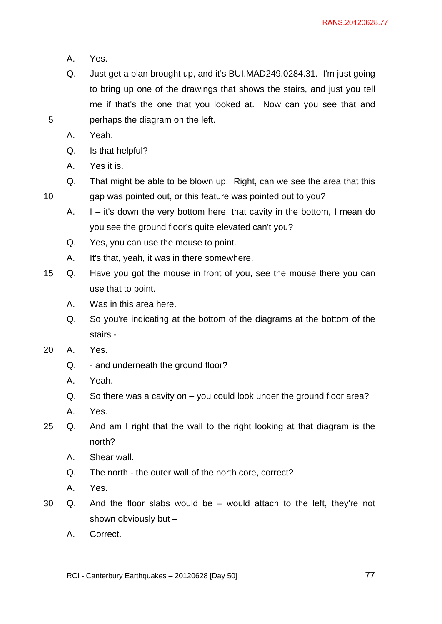- A. Yes.
- Q. Just get a plan brought up, and it's BUI.MAD249.0284.31. I'm just going to bring up one of the drawings that shows the stairs, and just you tell me if that's the one that you looked at. Now can you see that and perhaps the diagram on the left.
- A. Yeah.

- Q. Is that helpful?
- A. Yes it is.
- Q. That might be able to be blown up. Right, can we see the area that this gap was pointed out, or this feature was pointed out to you?
- A.  $I it's down the very bottom here, that cavity in the bottom, I mean do.$ you see the ground floor's quite elevated can't you?
- Q. Yes, you can use the mouse to point.
- A. It's that, yeah, it was in there somewhere.
- 15 Q. Have you got the mouse in front of you, see the mouse there you can use that to point.
	- A. Was in this area here.
	- Q. So you're indicating at the bottom of the diagrams at the bottom of the stairs -
- 20 A. Yes.
	- Q. and underneath the ground floor?
	- A. Yeah.
	- Q. So there was a cavity on you could look under the ground floor area?
	- A. Yes.
- 25 Q. And am I right that the wall to the right looking at that diagram is the north?
	- A. Shear wall.
	- Q. The north the outer wall of the north core, correct?
	- A. Yes.
- 30 Q. And the floor slabs would be would attach to the left, they're not shown obviously but –
	- A. Correct.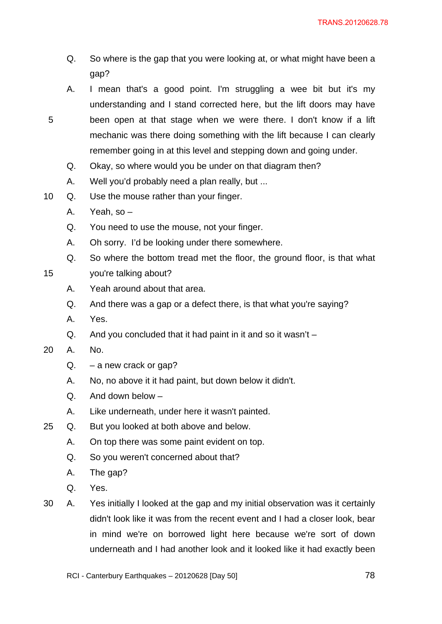- Q. So where is the gap that you were looking at, or what might have been a gap?
- A. I mean that's a good point. I'm struggling a wee bit but it's my understanding and I stand corrected here, but the lift doors may have been open at that stage when we were there. I don't know if a lift mechanic was there doing something with the lift because I can clearly remember going in at this level and stepping down and going under.
- Q. Okay, so where would you be under on that diagram then?
- A. Well you'd probably need a plan really, but ...
- 10 Q. Use the mouse rather than your finger.
	- A. Yeah, so –
	- Q. You need to use the mouse, not your finger.
	- A. Oh sorry. I'd be looking under there somewhere.
	- Q. So where the bottom tread met the floor, the ground floor, is that what
- 15 you're talking about?
	- A. Yeah around about that area.
	- Q. And there was a gap or a defect there, is that what you're saying?
	- A. Yes.
	- Q. And you concluded that it had paint in it and so it wasn't –
- 20 A. No.

- Q. a new crack or gap?
- A. No, no above it it had paint, but down below it didn't.
- Q. And down below –
- A. Like underneath, under here it wasn't painted.
- 25 Q. But you looked at both above and below.
	- A. On top there was some paint evident on top.
	- Q. So you weren't concerned about that?
	- A. The gap?
	- Q. Yes.
- 30 A. Yes initially I looked at the gap and my initial observation was it certainly didn't look like it was from the recent event and I had a closer look, bear in mind we're on borrowed light here because we're sort of down underneath and I had another look and it looked like it had exactly been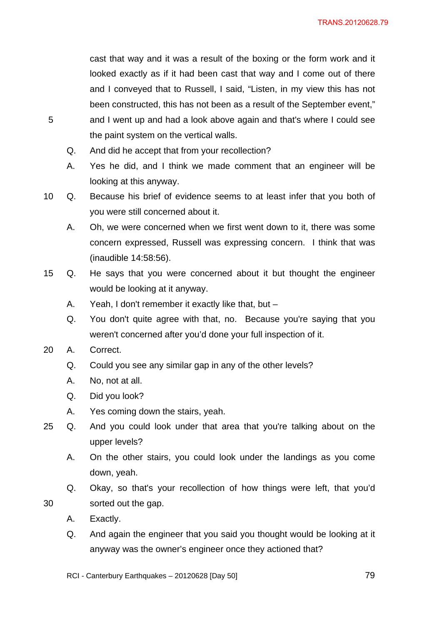cast that way and it was a result of the boxing or the form work and it looked exactly as if it had been cast that way and I come out of there and I conveyed that to Russell, I said, "Listen, in my view this has not been constructed, this has not been as a result of the September event,"

- and I went up and had a look above again and that's where I could see the paint system on the vertical walls.
	- Q. And did he accept that from your recollection?
	- A. Yes he did, and I think we made comment that an engineer will be looking at this anyway.
- 10 Q. Because his brief of evidence seems to at least infer that you both of you were still concerned about it.
	- A. Oh, we were concerned when we first went down to it, there was some concern expressed, Russell was expressing concern. I think that was (inaudible 14:58:56).
- 15 Q. He says that you were concerned about it but thought the engineer would be looking at it anyway.
	- A. Yeah, I don't remember it exactly like that, but –
	- Q. You don't quite agree with that, no. Because you're saying that you weren't concerned after you'd done your full inspection of it.
- 20 A. Correct.

5

- Q. Could you see any similar gap in any of the other levels?
- A. No, not at all.
- Q. Did you look?
- A. Yes coming down the stairs, yeah.
- 25 Q. And you could look under that area that you're talking about on the upper levels?
	- A. On the other stairs, you could look under the landings as you come down, yeah.
	- Q. Okay, so that's your recollection of how things were left, that you'd sorted out the gap.
	- A. Exactly.

- Q. And again the engineer that you said you thought would be looking at it anyway was the owner's engineer once they actioned that?
- RCI Canterbury Earthquakes 20120628 [Day 50]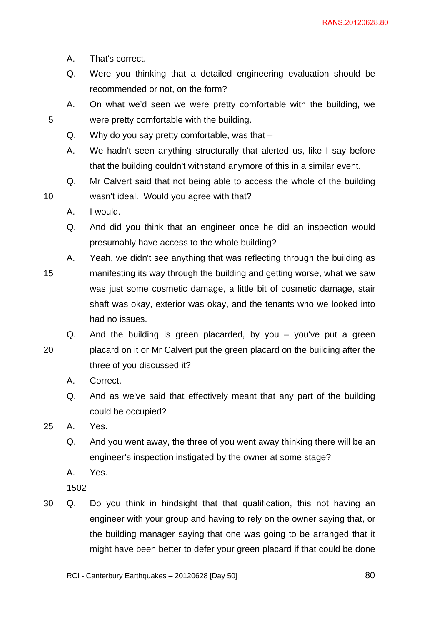- A. That's correct.
- Q. Were you thinking that a detailed engineering evaluation should be recommended or not, on the form?
- A. On what we'd seen we were pretty comfortable with the building, we were pretty comfortable with the building.
- Q. Why do you say pretty comfortable, was that –
- A. We hadn't seen anything structurally that alerted us, like I say before that the building couldn't withstand anymore of this in a similar event.
- Q. Mr Calvert said that not being able to access the whole of the building wasn't ideal. Would you agree with that?
- A. I would.

10

- Q. And did you think that an engineer once he did an inspection would presumably have access to the whole building?
- 15 A. Yeah, we didn't see anything that was reflecting through the building as manifesting its way through the building and getting worse, what we saw was just some cosmetic damage, a little bit of cosmetic damage, stair shaft was okay, exterior was okay, and the tenants who we looked into had no issues.
- 20 Q. And the building is green placarded, by you – you've put a green placard on it or Mr Calvert put the green placard on the building after the three of you discussed it?
	- A. Correct.
	- Q. And as we've said that effectively meant that any part of the building could be occupied?
- 25 A. Yes.
	- Q. And you went away, the three of you went away thinking there will be an engineer's inspection instigated by the owner at some stage?
	- A. Yes.

1502

30 Q. Do you think in hindsight that that qualification, this not having an engineer with your group and having to rely on the owner saying that, or the building manager saying that one was going to be arranged that it might have been better to defer your green placard if that could be done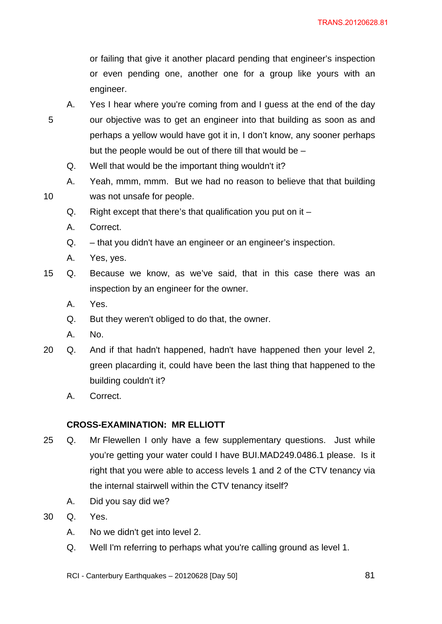or failing that give it another placard pending that engineer's inspection or even pending one, another one for a group like yours with an engineer.

- A. Yes I hear where you're coming from and I guess at the end of the day our objective was to get an engineer into that building as soon as and perhaps a yellow would have got it in, I don't know, any sooner perhaps but the people would be out of there till that would be –
- Q. Well that would be the important thing wouldn't it?
- A. Yeah, mmm, mmm. But we had no reason to believe that that building was not unsafe for people.
- Q. Right except that there's that qualification you put on it –
- A. Correct.

5

10

- Q. that you didn't have an engineer or an engineer's inspection.
- A. Yes, yes.
- 15 Q. Because we know, as we've said, that in this case there was an inspection by an engineer for the owner.
	- A. Yes.
	- Q. But they weren't obliged to do that, the owner.
	- A. No.
- 20 Q. And if that hadn't happened, hadn't have happened then your level 2, green placarding it, could have been the last thing that happened to the building couldn't it?
	- A. Correct.

# **CROSS-EXAMINATION: MR ELLIOTT**

- 25 Q. Mr Flewellen I only have a few supplementary questions. Just while you're getting your water could I have BUI.MAD249.0486.1 please. Is it right that you were able to access levels 1 and 2 of the CTV tenancy via the internal stairwell within the CTV tenancy itself?
	- A. Did you say did we?
- 30 Q. Yes.
	- A. No we didn't get into level 2.
	- Q. Well I'm referring to perhaps what you're calling ground as level 1.
	- RCI Canterbury Earthquakes 20120628 [Day 50]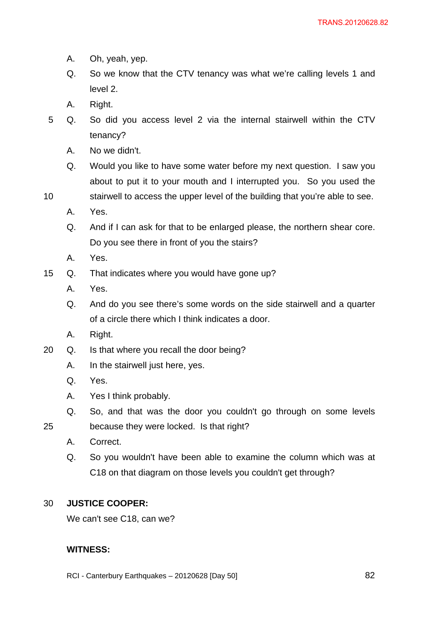- A. Oh, yeah, yep.
- Q. So we know that the CTV tenancy was what we're calling levels 1 and level 2.
- A. Right.
- 5 Q. So did you access level 2 via the internal stairwell within the CTV tenancy?
	- A. No we didn't.
	- Q. Would you like to have some water before my next question. I saw you about to put it to your mouth and I interrupted you. So you used the
- 10 stairwell to access the upper level of the building that you're able to see.
	- A. Yes.
	- Q. And if I can ask for that to be enlarged please, the northern shear core. Do you see there in front of you the stairs?
	- A. Yes.
- 15 Q. That indicates where you would have gone up?
	- A. Yes.
	- Q. And do you see there's some words on the side stairwell and a quarter of a circle there which I think indicates a door.
	- A. Right.
- 20 Q. Is that where you recall the door being?
	- A. In the stairwell just here, yes.
	- Q. Yes.

- A. Yes I think probably.
- Q. So, and that was the door you couldn't go through on some levels because they were locked. Is that right?
	- A. Correct.
	- Q. So you wouldn't have been able to examine the column which was at C18 on that diagram on those levels you couldn't get through?

### 30 **JUSTICE COOPER:**

We can't see C18, can we?

## **WITNESS:**

RCI - Canterbury Earthquakes – 20120628 [Day 50]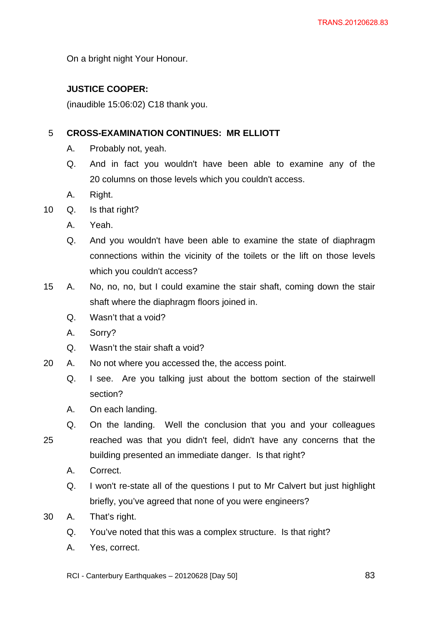On a bright night Your Honour.

# **JUSTICE COOPER:**

(inaudible 15:06:02) C18 thank you.

### 5 **CROSS-EXAMINATION CONTINUES: MR ELLIOTT**

- A. Probably not, yeah.
- Q. And in fact you wouldn't have been able to examine any of the 20 columns on those levels which you couldn't access.
- A. Right.
- 10 Q. Is that right?
	- A. Yeah.
	- Q. And you wouldn't have been able to examine the state of diaphragm connections within the vicinity of the toilets or the lift on those levels which you couldn't access?
- 15 A. No, no, no, but I could examine the stair shaft, coming down the stair shaft where the diaphragm floors joined in.
	- Q. Wasn't that a void?
	- A. Sorry?
	- Q. Wasn't the stair shaft a void?
- 20 A. No not where you accessed the, the access point.
	- Q. I see. Are you talking just about the bottom section of the stairwell section?
	- A. On each landing.
	- Q. On the landing. Well the conclusion that you and your colleagues reached was that you didn't feel, didn't have any concerns that the building presented an immediate danger. Is that right?
		- A. Correct.

25

- Q. I won't re-state all of the questions I put to Mr Calvert but just highlight briefly, you've agreed that none of you were engineers?
- 30 A. That's right.
	- Q. You've noted that this was a complex structure. Is that right?
	- A. Yes, correct.

RCI - Canterbury Earthquakes – 20120628 [Day 50]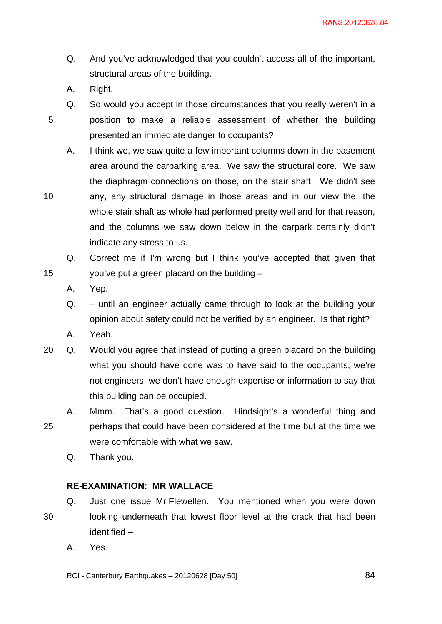- Q. And you've acknowledged that you couldn't access all of the important, structural areas of the building.
- A. Right.

10

15

Q. So would you accept in those circumstances that you really weren't in a position to make a reliable assessment of whether the building presented an immediate danger to occupants?

A. I think we, we saw quite a few important columns down in the basement area around the carparking area. We saw the structural core. We saw the diaphragm connections on those, on the stair shaft. We didn't see any, any structural damage in those areas and in our view the, the whole stair shaft as whole had performed pretty well and for that reason, and the columns we saw down below in the carpark certainly didn't indicate any stress to us.

Q. Correct me if I'm wrong but I think you've accepted that given that you've put a green placard on the building –

A. Yep.

Q. – until an engineer actually came through to look at the building your opinion about safety could not be verified by an engineer. Is that right?

A. Yeah.

20 Q. Would you agree that instead of putting a green placard on the building what you should have done was to have said to the occupants, we're not engineers, we don't have enough expertise or information to say that this building can be occupied.

25 A. Mmm. That's a good question. Hindsight's a wonderful thing and perhaps that could have been considered at the time but at the time we were comfortable with what we saw.

Q. Thank you.

# **RE-EXAMINATION: MR WALLACE**

- 30 Q. Just one issue Mr Flewellen. You mentioned when you were down looking underneath that lowest floor level at the crack that had been identified –
	- A. Yes.

RCI - Canterbury Earthquakes – 20120628 [Day 50]

<u>84 and 2001 and 2001 and 2001 and 2001 and 2001 and 2001 and 2001 and 2001 and 2001 and 2001 and 2001 and 200</u>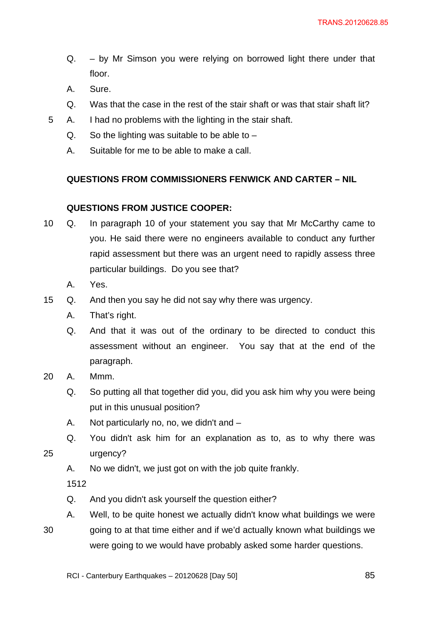- Q. by Mr Simson you were relying on borrowed light there under that floor.
- A. Sure.
- Q. Was that the case in the rest of the stair shaft or was that stair shaft lit?
- 5 A. I had no problems with the lighting in the stair shaft.
	- $Q.$  So the lighting was suitable to be able to  $-$
	- A. Suitable for me to be able to make a call.

# **QUESTIONS FROM COMMISSIONERS FENWICK AND CARTER – NIL**

# **QUESTIONS FROM JUSTICE COOPER:**

- 10 Q. In paragraph 10 of your statement you say that Mr McCarthy came to you. He said there were no engineers available to conduct any further rapid assessment but there was an urgent need to rapidly assess three particular buildings. Do you see that?
	- A. Yes.
- 15 Q. And then you say he did not say why there was urgency.
	- A. That's right.
	- Q. And that it was out of the ordinary to be directed to conduct this assessment without an engineer. You say that at the end of the paragraph.
- 20 A. Mmm.
	- Q. So putting all that together did you, did you ask him why you were being put in this unusual position?
	- A. Not particularly no, no, we didn't and –
	- Q. You didn't ask him for an explanation as to, as to why there was urgency?
		- A. No we didn't, we just got on with the job quite frankly.

1512

- Q. And you didn't ask yourself the question either?
- 30 A. Well, to be quite honest we actually didn't know what buildings we were going to at that time either and if we'd actually known what buildings we were going to we would have probably asked some harder questions.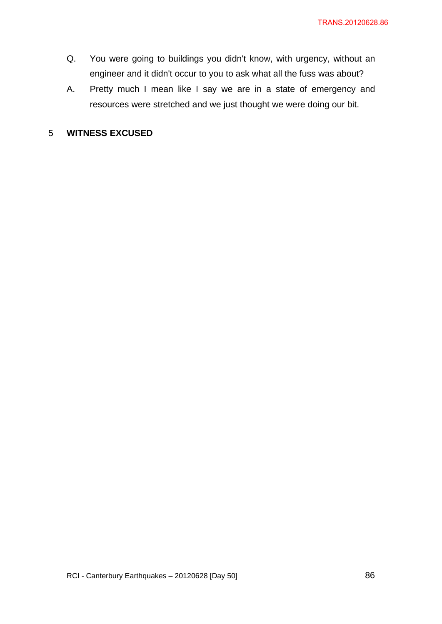- Q. You were going to buildings you didn't know, with urgency, without an engineer and it didn't occur to you to ask what all the fuss was about?
- A. Pretty much I mean like I say we are in a state of emergency and resources were stretched and we just thought we were doing our bit.

## 5 **WITNESS EXCUSED**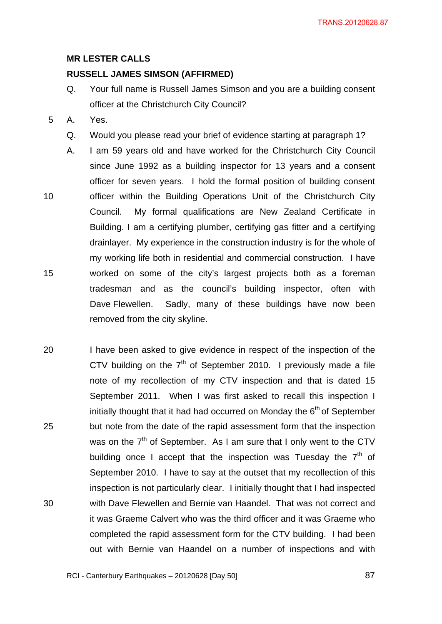### **MR LESTER CALLS**

## **RUSSELL JAMES SIMSON (AFFIRMED)**

- Q. Your full name is Russell James Simson and you are a building consent officer at the Christchurch City Council?
- 5 A. Yes.
	- Q. Would you please read your brief of evidence starting at paragraph 1?
- 10 15 A. I am 59 years old and have worked for the Christchurch City Council since June 1992 as a building inspector for 13 years and a consent officer for seven years. I hold the formal position of building consent officer within the Building Operations Unit of the Christchurch City Council. My formal qualifications are New Zealand Certificate in Building. I am a certifying plumber, certifying gas fitter and a certifying drainlayer. My experience in the construction industry is for the whole of my working life both in residential and commercial construction. I have worked on some of the city's largest projects both as a foreman tradesman and as the council's building inspector, often with Dave Flewellen. Sadly, many of these buildings have now been removed from the city skyline.
- 20 25 30 I have been asked to give evidence in respect of the inspection of the CTV building on the  $7<sup>th</sup>$  of September 2010. I previously made a file note of my recollection of my CTV inspection and that is dated 15 September 2011. When I was first asked to recall this inspection I initially thought that it had had occurred on Monday the  $6<sup>th</sup>$  of September but note from the date of the rapid assessment form that the inspection was on the  $7<sup>th</sup>$  of September. As I am sure that I only went to the CTV building once I accept that the inspection was Tuesday the  $7<sup>th</sup>$  of September 2010. I have to say at the outset that my recollection of this inspection is not particularly clear. I initially thought that I had inspected with Dave Flewellen and Bernie van Haandel. That was not correct and it was Graeme Calvert who was the third officer and it was Graeme who completed the rapid assessment form for the CTV building. I had been out with Bernie van Haandel on a number of inspections and with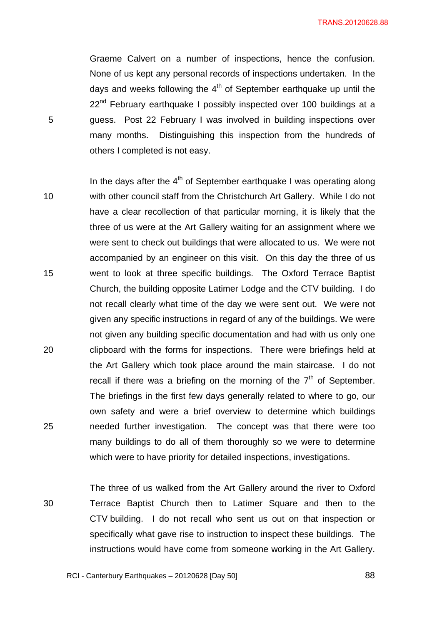Graeme Calvert on a number of inspections, hence the confusion. None of us kept any personal records of inspections undertaken. In the days and weeks following the  $4<sup>th</sup>$  of September earthquake up until the 22<sup>nd</sup> February earthquake I possibly inspected over 100 buildings at a guess. Post 22 February I was involved in building inspections over many months. Distinguishing this inspection from the hundreds of others I completed is not easy.

5

- 10 15 20 25 In the days after the  $4<sup>th</sup>$  of September earthquake I was operating along with other council staff from the Christchurch Art Gallery. While I do not have a clear recollection of that particular morning, it is likely that the three of us were at the Art Gallery waiting for an assignment where we were sent to check out buildings that were allocated to us. We were not accompanied by an engineer on this visit. On this day the three of us went to look at three specific buildings. The Oxford Terrace Baptist Church, the building opposite Latimer Lodge and the CTV building. I do not recall clearly what time of the day we were sent out. We were not given any specific instructions in regard of any of the buildings. We were not given any building specific documentation and had with us only one clipboard with the forms for inspections. There were briefings held at the Art Gallery which took place around the main staircase. I do not recall if there was a briefing on the morning of the  $7<sup>th</sup>$  of September. The briefings in the first few days generally related to where to go, our own safety and were a brief overview to determine which buildings needed further investigation. The concept was that there were too many buildings to do all of them thoroughly so we were to determine which were to have priority for detailed inspections, investigations.
- 30 The three of us walked from the Art Gallery around the river to Oxford Terrace Baptist Church then to Latimer Square and then to the CTV building. I do not recall who sent us out on that inspection or specifically what gave rise to instruction to inspect these buildings. The instructions would have come from someone working in the Art Gallery.

<u>and the contract of the contract of the contract of the contract of the contract of the contract of the contract of the contract of the contract of the contract of the contract of the contract of the contract of the contr</u>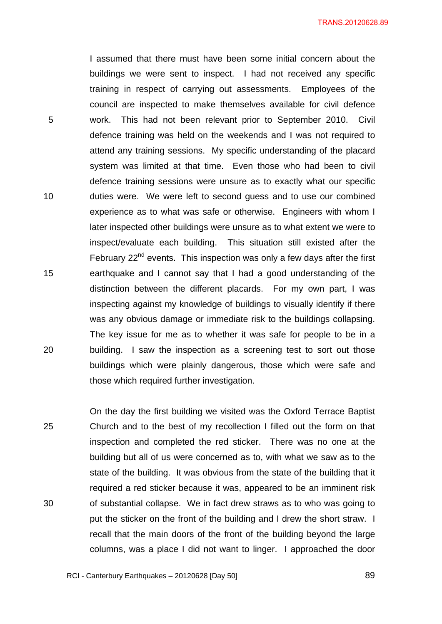I assumed that there must have been some initial concern about the buildings we were sent to inspect. I had not received any specific training in respect of carrying out assessments. Employees of the council are inspected to make themselves available for civil defence work. This had not been relevant prior to September 2010. Civil defence training was held on the weekends and I was not required to attend any training sessions. My specific understanding of the placard system was limited at that time. Even those who had been to civil defence training sessions were unsure as to exactly what our specific duties were. We were left to second guess and to use our combined experience as to what was safe or otherwise. Engineers with whom I later inspected other buildings were unsure as to what extent we were to inspect/evaluate each building. This situation still existed after the February  $22<sup>nd</sup>$  events. This inspection was only a few days after the first earthquake and I cannot say that I had a good understanding of the distinction between the different placards. For my own part, I was inspecting against my knowledge of buildings to visually identify if there was any obvious damage or immediate risk to the buildings collapsing. The key issue for me as to whether it was safe for people to be in a building. I saw the inspection as a screening test to sort out those buildings which were plainly dangerous, those which were safe and those which required further investigation.

5

10

15

20

25 30 On the day the first building we visited was the Oxford Terrace Baptist Church and to the best of my recollection I filled out the form on that inspection and completed the red sticker. There was no one at the building but all of us were concerned as to, with what we saw as to the state of the building. It was obvious from the state of the building that it required a red sticker because it was, appeared to be an imminent risk of substantial collapse. We in fact drew straws as to who was going to put the sticker on the front of the building and I drew the short straw. I recall that the main doors of the front of the building beyond the large columns, was a place I did not want to linger. I approached the door

RCI - Canterbury Earthquakes – 20120628 [Day 50]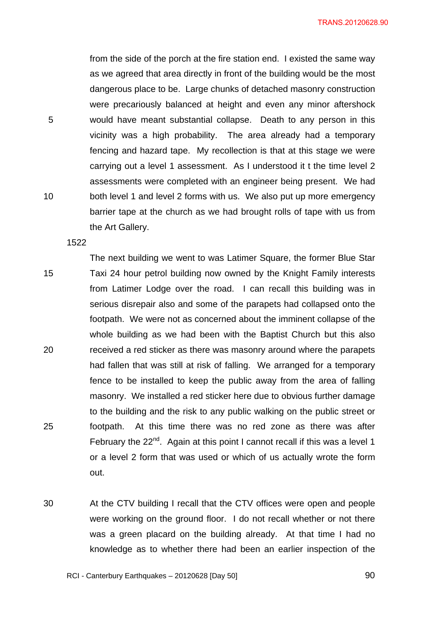from the side of the porch at the fire station end. I existed the same way as we agreed that area directly in front of the building would be the most dangerous place to be. Large chunks of detached masonry construction were precariously balanced at height and even any minor aftershock would have meant substantial collapse. Death to any person in this vicinity was a high probability. The area already had a temporary fencing and hazard tape. My recollection is that at this stage we were carrying out a level 1 assessment. As I understood it t the time level 2 assessments were completed with an engineer being present. We had both level 1 and level 2 forms with us. We also put up more emergency barrier tape at the church as we had brought rolls of tape with us from the Art Gallery.

1522

5

10

- 15 20 25 The next building we went to was Latimer Square, the former Blue Star Taxi 24 hour petrol building now owned by the Knight Family interests from Latimer Lodge over the road. I can recall this building was in serious disrepair also and some of the parapets had collapsed onto the footpath. We were not as concerned about the imminent collapse of the whole building as we had been with the Baptist Church but this also received a red sticker as there was masonry around where the parapets had fallen that was still at risk of falling. We arranged for a temporary fence to be installed to keep the public away from the area of falling masonry. We installed a red sticker here due to obvious further damage to the building and the risk to any public walking on the public street or footpath. At this time there was no red zone as there was after February the  $22^{nd}$ . Again at this point I cannot recall if this was a level 1 or a level 2 form that was used or which of us actually wrote the form out.
- 30 At the CTV building I recall that the CTV offices were open and people were working on the ground floor. I do not recall whether or not there was a green placard on the building already. At that time I had no knowledge as to whether there had been an earlier inspection of the

RCI - Canterbury Earthquakes – 20120628 [Day 50]

<u>90</u>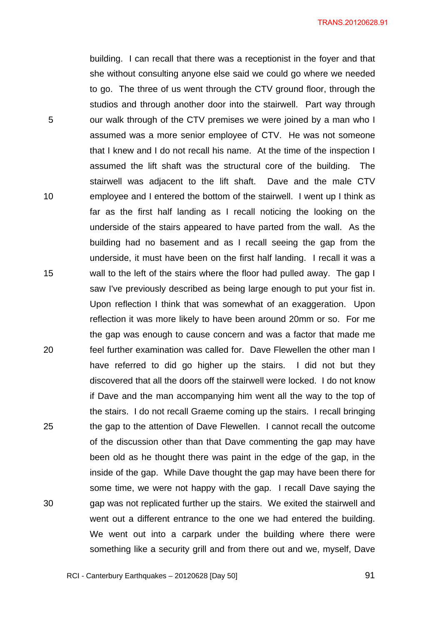building. I can recall that there was a receptionist in the foyer and that she without consulting anyone else said we could go where we needed to go. The three of us went through the CTV ground floor, through the studios and through another door into the stairwell. Part way through our walk through of the CTV premises we were joined by a man who I assumed was a more senior employee of CTV. He was not someone that I knew and I do not recall his name. At the time of the inspection I assumed the lift shaft was the structural core of the building. The stairwell was adjacent to the lift shaft. Dave and the male CTV employee and I entered the bottom of the stairwell. I went up I think as far as the first half landing as I recall noticing the looking on the underside of the stairs appeared to have parted from the wall. As the building had no basement and as I recall seeing the gap from the underside, it must have been on the first half landing. I recall it was a wall to the left of the stairs where the floor had pulled away. The gap I saw I've previously described as being large enough to put your fist in. Upon reflection I think that was somewhat of an exaggeration. Upon reflection it was more likely to have been around 20mm or so. For me the gap was enough to cause concern and was a factor that made me feel further examination was called for. Dave Flewellen the other man I have referred to did go higher up the stairs. I did not but they discovered that all the doors off the stairwell were locked. I do not know if Dave and the man accompanying him went all the way to the top of the stairs. I do not recall Graeme coming up the stairs. I recall bringing the gap to the attention of Dave Flewellen. I cannot recall the outcome of the discussion other than that Dave commenting the gap may have been old as he thought there was paint in the edge of the gap, in the inside of the gap. While Dave thought the gap may have been there for some time, we were not happy with the gap. I recall Dave saying the gap was not replicated further up the stairs. We exited the stairwell and went out a different entrance to the one we had entered the building. We went out into a carpark under the building where there were something like a security grill and from there out and we, myself, Dave

5

10

15

20

25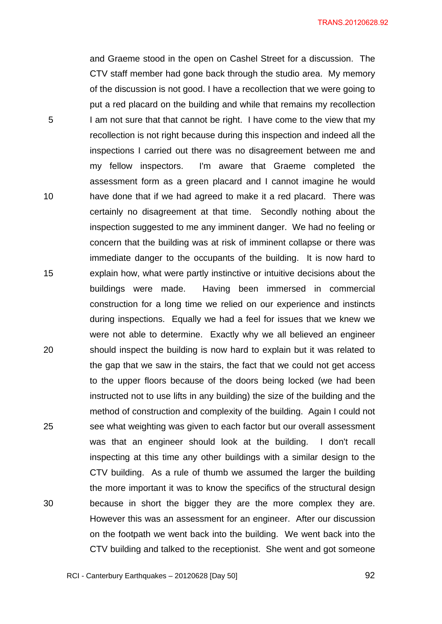and Graeme stood in the open on Cashel Street for a discussion. The CTV staff member had gone back through the studio area. My memory of the discussion is not good. I have a recollection that we were going to put a red placard on the building and while that remains my recollection I am not sure that that cannot be right. I have come to the view that my recollection is not right because during this inspection and indeed all the inspections I carried out there was no disagreement between me and my fellow inspectors. I'm aware that Graeme completed the assessment form as a green placard and I cannot imagine he would have done that if we had agreed to make it a red placard. There was certainly no disagreement at that time. Secondly nothing about the inspection suggested to me any imminent danger. We had no feeling or concern that the building was at risk of imminent collapse or there was immediate danger to the occupants of the building. It is now hard to explain how, what were partly instinctive or intuitive decisions about the buildings were made. Having been immersed in commercial construction for a long time we relied on our experience and instincts during inspections. Equally we had a feel for issues that we knew we were not able to determine. Exactly why we all believed an engineer should inspect the building is now hard to explain but it was related to the gap that we saw in the stairs, the fact that we could not get access to the upper floors because of the doors being locked (we had been instructed not to use lifts in any building) the size of the building and the method of construction and complexity of the building. Again I could not see what weighting was given to each factor but our overall assessment was that an engineer should look at the building. I don't recall inspecting at this time any other buildings with a similar design to the CTV building. As a rule of thumb we assumed the larger the building the more important it was to know the specifics of the structural design because in short the bigger they are the more complex they are. However this was an assessment for an engineer. After our discussion on the footpath we went back into the building. We went back into the CTV building and talked to the receptionist. She went and got someone

5

10

15

20

25

30

<u>92</u>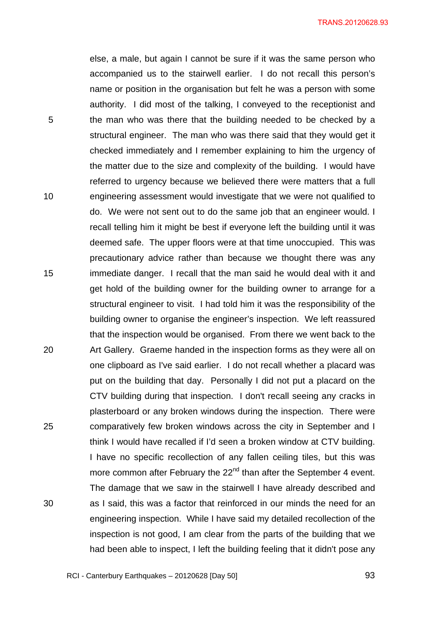else, a male, but again I cannot be sure if it was the same person who accompanied us to the stairwell earlier. I do not recall this person's name or position in the organisation but felt he was a person with some authority. I did most of the talking, I conveyed to the receptionist and the man who was there that the building needed to be checked by a structural engineer. The man who was there said that they would get it checked immediately and I remember explaining to him the urgency of the matter due to the size and complexity of the building. I would have referred to urgency because we believed there were matters that a full engineering assessment would investigate that we were not qualified to do. We were not sent out to do the same job that an engineer would. I recall telling him it might be best if everyone left the building until it was deemed safe. The upper floors were at that time unoccupied. This was precautionary advice rather than because we thought there was any immediate danger. I recall that the man said he would deal with it and get hold of the building owner for the building owner to arrange for a structural engineer to visit. I had told him it was the responsibility of the building owner to organise the engineer's inspection. We left reassured that the inspection would be organised. From there we went back to the Art Gallery. Graeme handed in the inspection forms as they were all on one clipboard as I've said earlier. I do not recall whether a placard was put on the building that day. Personally I did not put a placard on the CTV building during that inspection. I don't recall seeing any cracks in plasterboard or any broken windows during the inspection. There were comparatively few broken windows across the city in September and I think I would have recalled if I'd seen a broken window at CTV building. I have no specific recollection of any fallen ceiling tiles, but this was more common after February the 22<sup>nd</sup> than after the September 4 event. The damage that we saw in the stairwell I have already described and as I said, this was a factor that reinforced in our minds the need for an engineering inspection. While I have said my detailed recollection of the inspection is not good, I am clear from the parts of the building that we had been able to inspect, I left the building feeling that it didn't pose any

5

10

15

20

25

30

<u>93</u>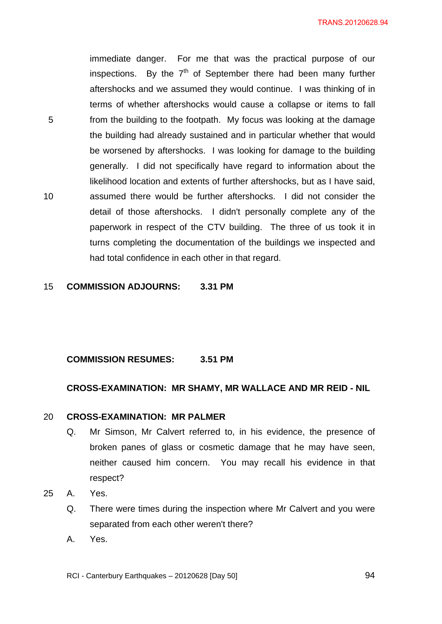immediate danger. For me that was the practical purpose of our inspections. By the  $7<sup>th</sup>$  of September there had been many further aftershocks and we assumed they would continue. I was thinking of in terms of whether aftershocks would cause a collapse or items to fall from the building to the footpath. My focus was looking at the damage the building had already sustained and in particular whether that would be worsened by aftershocks. I was looking for damage to the building generally. I did not specifically have regard to information about the likelihood location and extents of further aftershocks, but as I have said, assumed there would be further aftershocks. I did not consider the detail of those aftershocks. I didn't personally complete any of the paperwork in respect of the CTV building. The three of us took it in turns completing the documentation of the buildings we inspected and had total confidence in each other in that regard.

15 **COMMISSION ADJOURNS: 3.31 PM** 

## **COMMISSION RESUMES: 3.51 PM**

## **CROSS-EXAMINATION: MR SHAMY, MR WALLACE AND MR REID - NIL**

### 20 **CROSS-EXAMINATION: MR PALMER**

- Q. Mr Simson, Mr Calvert referred to, in his evidence, the presence of broken panes of glass or cosmetic damage that he may have seen, neither caused him concern. You may recall his evidence in that respect?
- 25 A. Yes.

5

- Q. There were times during the inspection where Mr Calvert and you were separated from each other weren't there?
- A. Yes.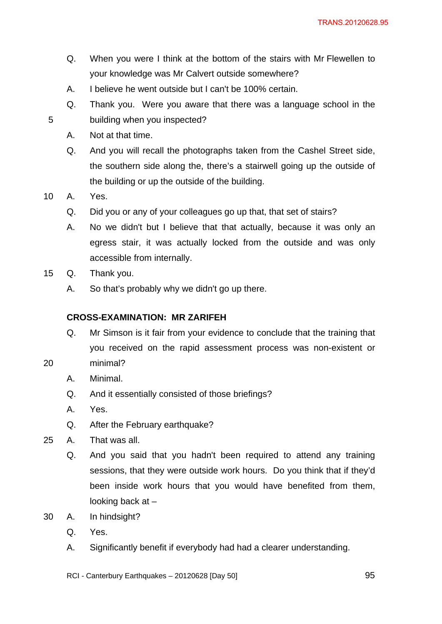- Q. When you were I think at the bottom of the stairs with Mr Flewellen to your knowledge was Mr Calvert outside somewhere?
- A. I believe he went outside but I can't be 100% certain.
- Q. Thank you. Were you aware that there was a language school in the building when you inspected?
- A. Not at that time.
- Q. And you will recall the photographs taken from the Cashel Street side, the southern side along the, there's a stairwell going up the outside of the building or up the outside of the building.
- 10 A. Yes.

- Q. Did you or any of your colleagues go up that, that set of stairs?
- A. No we didn't but I believe that that actually, because it was only an egress stair, it was actually locked from the outside and was only accessible from internally.
- 15 Q. Thank you.
	- A. So that's probably why we didn't go up there.

## **CROSS-EXAMINATION: MR ZARIFEH**

- Q. Mr Simson is it fair from your evidence to conclude that the training that you received on the rapid assessment process was non-existent or minimal?
- A. Minimal.
- Q. And it essentially consisted of those briefings?
- A. Yes.

- Q. After the February earthquake?
- 25 A. That was all.
	- Q. And you said that you hadn't been required to attend any training sessions, that they were outside work hours. Do you think that if they'd been inside work hours that you would have benefited from them, looking back at –
- 30 A. In hindsight?
	- Q. Yes.
	- A. Significantly benefit if everybody had had a clearer understanding.
	- RCI Canterbury Earthquakes 20120628 [Day 50]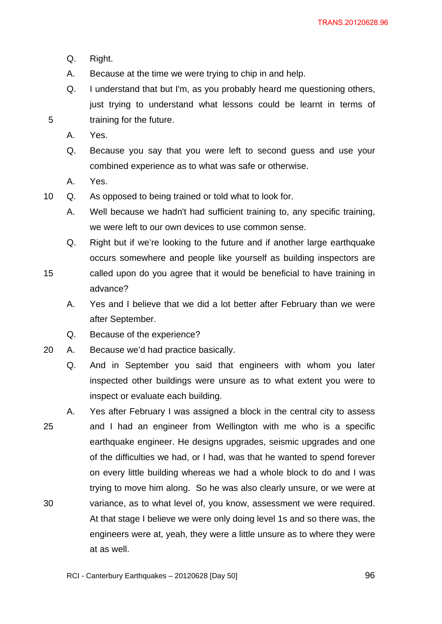- Q. Right.
- A. Because at the time we were trying to chip in and help.
- Q. I understand that but I'm, as you probably heard me questioning others, just trying to understand what lessons could be learnt in terms of training for the future.
- A. Yes.

- Q. Because you say that you were left to second guess and use your combined experience as to what was safe or otherwise.
- A. Yes.
- 10 Q. As opposed to being trained or told what to look for.
	- A. Well because we hadn't had sufficient training to, any specific training, we were left to our own devices to use common sense.
	- Q. Right but if we're looking to the future and if another large earthquake occurs somewhere and people like yourself as building inspectors are
- 15 called upon do you agree that it would be beneficial to have training in advance?
	- A. Yes and I believe that we did a lot better after February than we were after September.
	- Q. Because of the experience?
- 20 A. Because we'd had practice basically.
	- Q. And in September you said that engineers with whom you later inspected other buildings were unsure as to what extent you were to inspect or evaluate each building.
- 25 30 A. Yes after February I was assigned a block in the central city to assess and I had an engineer from Wellington with me who is a specific earthquake engineer. He designs upgrades, seismic upgrades and one of the difficulties we had, or I had, was that he wanted to spend forever on every little building whereas we had a whole block to do and I was trying to move him along. So he was also clearly unsure, or we were at variance, as to what level of, you know, assessment we were required. At that stage I believe we were only doing level 1s and so there was, the engineers were at, yeah, they were a little unsure as to where they were at as well.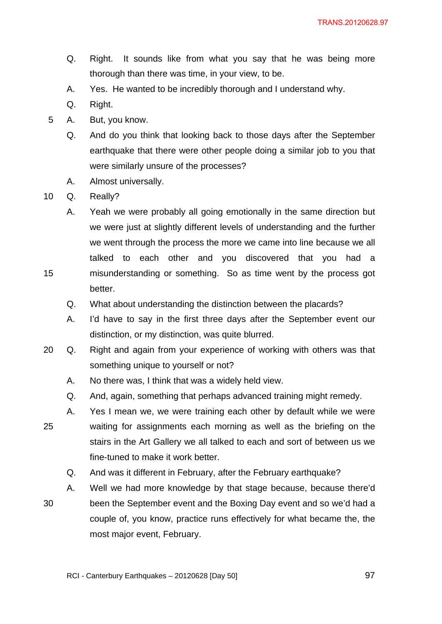- Q. Right. It sounds like from what you say that he was being more thorough than there was time, in your view, to be.
- A. Yes. He wanted to be incredibly thorough and I understand why.
- Q. Right.
- 5 A. But, you know.
	- Q. And do you think that looking back to those days after the September earthquake that there were other people doing a similar job to you that were similarly unsure of the processes?
	- A. Almost universally.
- 10 Q. Really?

- A. Yeah we were probably all going emotionally in the same direction but we were just at slightly different levels of understanding and the further we went through the process the more we came into line because we all talked to each other and you discovered that you had a misunderstanding or something. So as time went by the process got better.
- Q. What about understanding the distinction between the placards?
- A. I'd have to say in the first three days after the September event our distinction, or my distinction, was quite blurred.
- 20 Q. Right and again from your experience of working with others was that something unique to yourself or not?
	- A. No there was, I think that was a widely held view.
	- Q. And, again, something that perhaps advanced training might remedy.
- 25 A. Yes I mean we, we were training each other by default while we were waiting for assignments each morning as well as the briefing on the stairs in the Art Gallery we all talked to each and sort of between us we fine-tuned to make it work better.
	- Q. And was it different in February, after the February earthquake?
- 30 A. Well we had more knowledge by that stage because, because there'd been the September event and the Boxing Day event and so we'd had a couple of, you know, practice runs effectively for what became the, the most major event, February.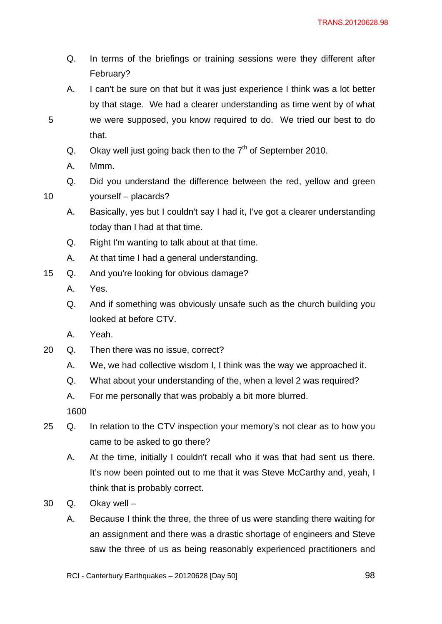- Q. In terms of the briefings or training sessions were they different after February?
- A. I can't be sure on that but it was just experience I think was a lot better by that stage. We had a clearer understanding as time went by of what we were supposed, you know required to do. We tried our best to do that.
- Q. Okay well just going back then to the  $7<sup>th</sup>$  of September 2010.
- A. Mmm.

10

- Q. Did you understand the difference between the red, yellow and green yourself – placards?
- A. Basically, yes but I couldn't say I had it, I've got a clearer understanding today than I had at that time.
- Q. Right I'm wanting to talk about at that time.
- A. At that time I had a general understanding.
- 15 Q. And you're looking for obvious damage?
	- A. Yes.
	- Q. And if something was obviously unsafe such as the church building you looked at before CTV.
	- A. Yeah.
- 20 Q. Then there was no issue, correct?
	- A. We, we had collective wisdom I, I think was the way we approached it.
	- Q. What about your understanding of the, when a level 2 was required?
	- A. For me personally that was probably a bit more blurred.

- 25 Q. In relation to the CTV inspection your memory's not clear as to how you came to be asked to go there?
	- A. At the time, initially I couldn't recall who it was that had sent us there. It's now been pointed out to me that it was Steve McCarthy and, yeah, I think that is probably correct.
- 30 Q. Okay well
	- A. Because I think the three, the three of us were standing there waiting for an assignment and there was a drastic shortage of engineers and Steve saw the three of us as being reasonably experienced practitioners and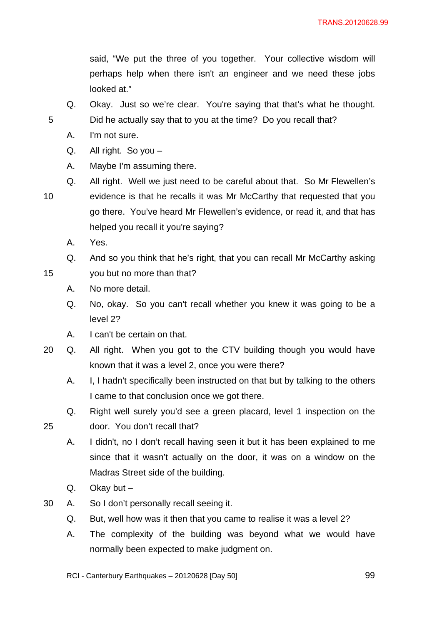said, "We put the three of you together. Your collective wisdom will perhaps help when there isn't an engineer and we need these jobs looked at."

Q. Okay. Just so we're clear. You're saying that that's what he thought. Did he actually say that to you at the time? Do you recall that?

A. I'm not sure.

5

15

25

- Q. All right. So you –
- A. Maybe I'm assuming there.
- 10 Q. All right. Well we just need to be careful about that. So Mr Flewellen's evidence is that he recalls it was Mr McCarthy that requested that you go there. You've heard Mr Flewellen's evidence, or read it, and that has helped you recall it you're saying?
	- A. Yes.
	- Q. And so you think that he's right, that you can recall Mr McCarthy asking
	- you but no more than that?
		- A. No more detail.
		- Q. No, okay. So you can't recall whether you knew it was going to be a level 2?
		- A. I can't be certain on that.
- 20 Q. All right. When you got to the CTV building though you would have known that it was a level 2, once you were there?
	- A. I, I hadn't specifically been instructed on that but by talking to the others I came to that conclusion once we got there.
	- Q. Right well surely you'd see a green placard, level 1 inspection on the door. You don't recall that?
	- A. I didn't, no I don't recall having seen it but it has been explained to me since that it wasn't actually on the door, it was on a window on the Madras Street side of the building.
	- Q. Okay but –
- 30 A. So I don't personally recall seeing it.
	- Q. But, well how was it then that you came to realise it was a level 2?
	- A. The complexity of the building was beyond what we would have normally been expected to make judgment on.

RCI - Canterbury Earthquakes – 20120628 [Day 50]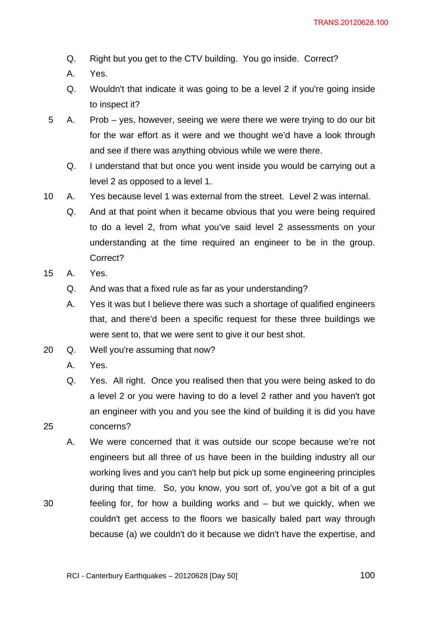- Q. Right but you get to the CTV building. You go inside. Correct?
- A. Yes.
- Q. Wouldn't that indicate it was going to be a level 2 if you're going inside to inspect it?
- 5 A. Prob yes, however, seeing we were there we were trying to do our bit for the war effort as it were and we thought we'd have a look through and see if there was anything obvious while we were there.
	- Q. I understand that but once you went inside you would be carrying out a level 2 as opposed to a level 1.
- 10 A. Yes because level 1 was external from the street. Level 2 was internal.
	- Q. And at that point when it became obvious that you were being required to do a level 2, from what you've said level 2 assessments on your understanding at the time required an engineer to be in the group. Correct?
- 15 A. Yes.
	- Q. And was that a fixed rule as far as your understanding?
	- A. Yes it was but I believe there was such a shortage of qualified engineers that, and there'd been a specific request for these three buildings we were sent to, that we were sent to give it our best shot.
- 20 Q. Well you're assuming that now?
	- A. Yes.

- Q. Yes. All right. Once you realised then that you were being asked to do a level 2 or you were having to do a level 2 rather and you haven't got an engineer with you and you see the kind of building it is did you have concerns?
- A. We were concerned that it was outside our scope because we're not engineers but all three of us have been in the building industry all our working lives and you can't help but pick up some engineering principles during that time. So, you know, you sort of, you've got a bit of a gut feeling for, for how a building works and – but we quickly, when we couldn't get access to the floors we basically baled part way through because (a) we couldn't do it because we didn't have the expertise, and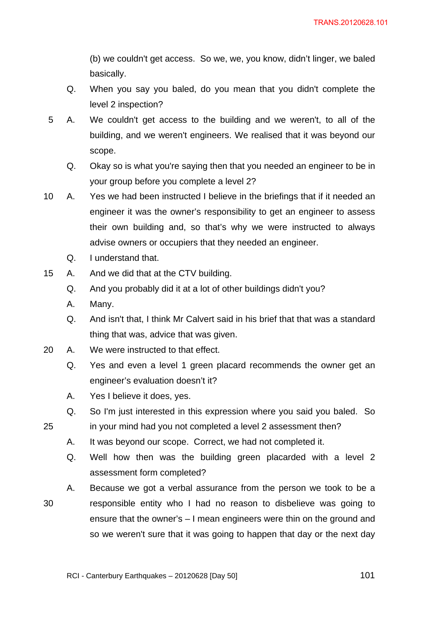(b) we couldn't get access. So we, we, you know, didn't linger, we baled basically.

- Q. When you say you baled, do you mean that you didn't complete the level 2 inspection?
- 5 A. We couldn't get access to the building and we weren't, to all of the building, and we weren't engineers. We realised that it was beyond our scope.
	- Q. Okay so is what you're saying then that you needed an engineer to be in your group before you complete a level 2?
- 10 A. Yes we had been instructed I believe in the briefings that if it needed an engineer it was the owner's responsibility to get an engineer to assess their own building and, so that's why we were instructed to always advise owners or occupiers that they needed an engineer.
	- Q. I understand that.
- 15 A. And we did that at the CTV building.
	- Q. And you probably did it at a lot of other buildings didn't you?
	- A. Many.

25

- Q. And isn't that, I think Mr Calvert said in his brief that that was a standard thing that was, advice that was given.
- 20 A. We were instructed to that effect.
	- Q. Yes and even a level 1 green placard recommends the owner get an engineer's evaluation doesn't it?
	- A. Yes I believe it does, yes.
	- Q. So I'm just interested in this expression where you said you baled. So
	- in your mind had you not completed a level 2 assessment then?
		- A. It was beyond our scope. Correct, we had not completed it.
		- Q. Well how then was the building green placarded with a level 2 assessment form completed?

30 A. Because we got a verbal assurance from the person we took to be a responsible entity who I had no reason to disbelieve was going to ensure that the owner's – I mean engineers were thin on the ground and so we weren't sure that it was going to happen that day or the next day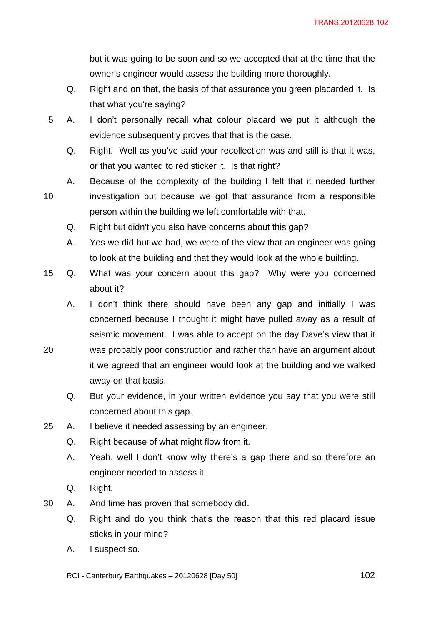but it was going to be soon and so we accepted that at the time that the owner's engineer would assess the building more thoroughly.

- Q. Right and on that, the basis of that assurance you green placarded it. Is that what you're saying?
- 5 A. I don't personally recall what colour placard we put it although the evidence subsequently proves that that is the case.
	- Q. Right. Well as you've said your recollection was and still is that it was, or that you wanted to red sticker it. Is that right?
	- A. Because of the complexity of the building I felt that it needed further

10

- investigation but because we got that assurance from a responsible person within the building we left comfortable with that.
- Q. Right but didn't you also have concerns about this gap?
- A. Yes we did but we had, we were of the view that an engineer was going to look at the building and that they would look at the whole building.
- 15 Q. What was your concern about this gap? Why were you concerned about it?
	- A. I don't think there should have been any gap and initially I was concerned because I thought it might have pulled away as a result of seismic movement. I was able to accept on the day Dave's view that it
- 20 was probably poor construction and rather than have an argument about it we agreed that an engineer would look at the building and we walked away on that basis.
	- Q. But your evidence, in your written evidence you say that you were still concerned about this gap.
- 25 A. I believe it needed assessing by an engineer.
	- Q. Right because of what might flow from it.
	- A. Yeah, well I don't know why there's a gap there and so therefore an engineer needed to assess it.
	- Q. Right.
- 30 A. And time has proven that somebody did.
	- Q. Right and do you think that's the reason that this red placard issue sticks in your mind?
	- A. I suspect so.

RCI - Canterbury Earthquakes – 20120628 [Day 50]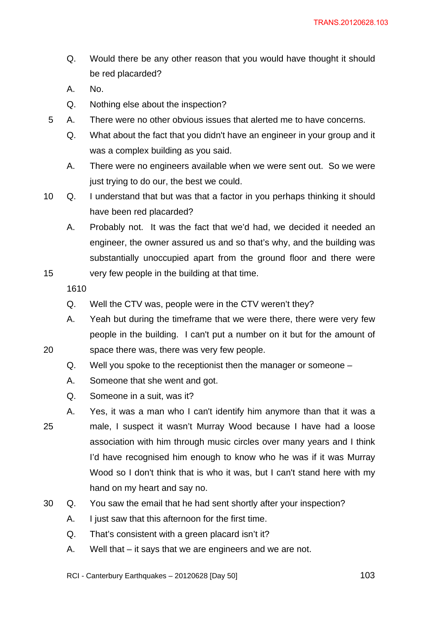- Q. Would there be any other reason that you would have thought it should be red placarded?
- A. No.
- Q. Nothing else about the inspection?
- 5 A. There were no other obvious issues that alerted me to have concerns.
	- Q. What about the fact that you didn't have an engineer in your group and it was a complex building as you said.
	- A. There were no engineers available when we were sent out. So we were just trying to do our, the best we could.
- 10 Q. I understand that but was that a factor in you perhaps thinking it should have been red placarded?
	- A. Probably not. It was the fact that we'd had, we decided it needed an engineer, the owner assured us and so that's why, and the building was substantially unoccupied apart from the ground floor and there were
	- very few people in the building at that time.

15

20

- Q. Well the CTV was, people were in the CTV weren't they?
- A. Yeah but during the timeframe that we were there, there were very few people in the building. I can't put a number on it but for the amount of space there was, there was very few people.
- Q. Well you spoke to the receptionist then the manager or someone –
- A. Someone that she went and got.
- Q. Someone in a suit, was it?
- 25 A. Yes, it was a man who I can't identify him anymore than that it was a male, I suspect it wasn't Murray Wood because I have had a loose association with him through music circles over many years and I think I'd have recognised him enough to know who he was if it was Murray Wood so I don't think that is who it was, but I can't stand here with my hand on my heart and say no.
- 30 Q. You saw the email that he had sent shortly after your inspection?
	- A. I just saw that this afternoon for the first time.
	- Q. That's consistent with a green placard isn't it?
	- A. Well that it says that we are engineers and we are not.

RCI - Canterbury Earthquakes – 20120628 [Day 50]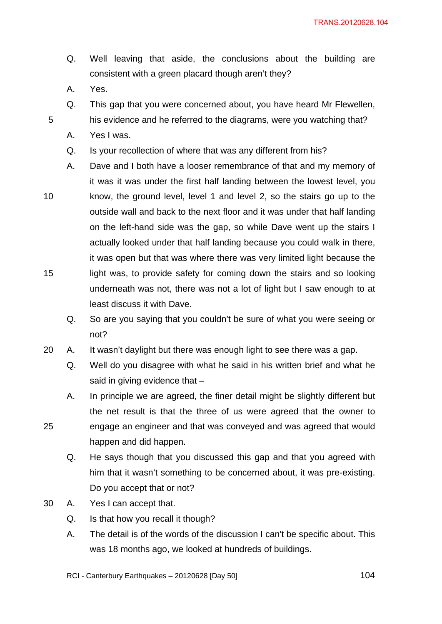- Q. Well leaving that aside, the conclusions about the building are consistent with a green placard though aren't they?
- A. Yes.

- Q. This gap that you were concerned about, you have heard Mr Flewellen,
- his evidence and he referred to the diagrams, were you watching that?
- A. Yes I was.
- Q. Is your recollection of where that was any different from his?
- 10 15 A. Dave and I both have a looser remembrance of that and my memory of it was it was under the first half landing between the lowest level, you know, the ground level, level 1 and level 2, so the stairs go up to the outside wall and back to the next floor and it was under that half landing on the left-hand side was the gap, so while Dave went up the stairs I actually looked under that half landing because you could walk in there, it was open but that was where there was very limited light because the light was, to provide safety for coming down the stairs and so looking underneath was not, there was not a lot of light but I saw enough to at least discuss it with Dave.
	- Q. So are you saying that you couldn't be sure of what you were seeing or not?
- 20 A. It wasn't daylight but there was enough light to see there was a gap.
	- Q. Well do you disagree with what he said in his written brief and what he said in giving evidence that –
	- A. In principle we are agreed, the finer detail might be slightly different but the net result is that the three of us were agreed that the owner to engage an engineer and that was conveyed and was agreed that would happen and did happen.
		- Q. He says though that you discussed this gap and that you agreed with him that it wasn't something to be concerned about, it was pre-existing. Do you accept that or not?
- 30 A. Yes I can accept that.
	- Q. Is that how you recall it though?
	- A. The detail is of the words of the discussion I can't be specific about. This was 18 months ago, we looked at hundreds of buildings.
	- RCI Canterbury Earthquakes 20120628 [Day 50]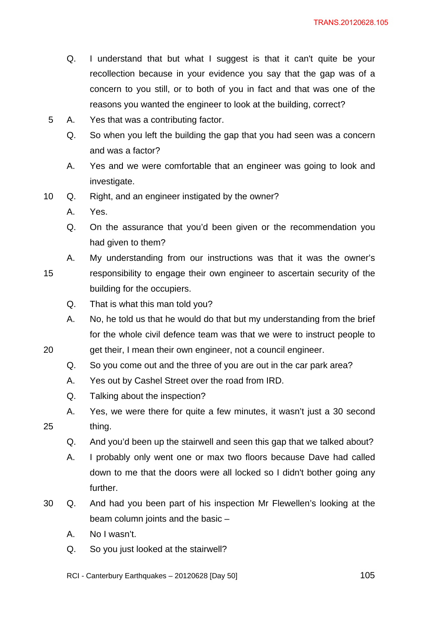- Q. I understand that but what I suggest is that it can't quite be your recollection because in your evidence you say that the gap was of a concern to you still, or to both of you in fact and that was one of the reasons you wanted the engineer to look at the building, correct?
- 5 A. Yes that was a contributing factor.
	- Q. So when you left the building the gap that you had seen was a concern and was a factor?
	- A. Yes and we were comfortable that an engineer was going to look and investigate.
- 10 Q. Right, and an engineer instigated by the owner?
	- A. Yes.
	- Q. On the assurance that you'd been given or the recommendation you had given to them?
- 15 A. My understanding from our instructions was that it was the owner's responsibility to engage their own engineer to ascertain security of the building for the occupiers.
	- Q. That is what this man told you?
	- A. No, he told us that he would do that but my understanding from the brief for the whole civil defence team was that we were to instruct people to
- 20 get their, I mean their own engineer, not a council engineer.
	- Q. So you come out and the three of you are out in the car park area?
	- A. Yes out by Cashel Street over the road from IRD.
	- Q. Talking about the inspection?
	- A. Yes, we were there for quite a few minutes, it wasn't just a 30 second thing.
		- Q. And you'd been up the stairwell and seen this gap that we talked about?
	- A. I probably only went one or max two floors because Dave had called down to me that the doors were all locked so I didn't bother going any further.
- 30 Q. And had you been part of his inspection Mr Flewellen's looking at the beam column joints and the basic –
	- A. No I wasn't.

- Q. So you just looked at the stairwell?
- RCI Canterbury Earthquakes 20120628 [Day 50]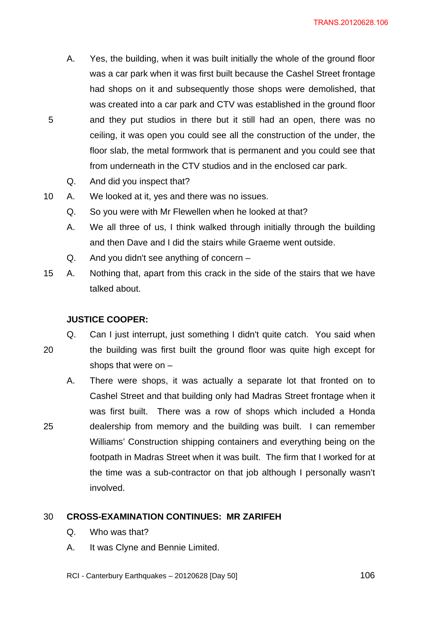- A. Yes, the building, when it was built initially the whole of the ground floor was a car park when it was first built because the Cashel Street frontage had shops on it and subsequently those shops were demolished, that was created into a car park and CTV was established in the ground floor and they put studios in there but it still had an open, there was no ceiling, it was open you could see all the construction of the under, the floor slab, the metal formwork that is permanent and you could see that from underneath in the CTV studios and in the enclosed car park.
- Q. And did you inspect that?

20

- 10 A. We looked at it, yes and there was no issues.
	- Q. So you were with Mr Flewellen when he looked at that?
	- A. We all three of us, I think walked through initially through the building and then Dave and I did the stairs while Graeme went outside.
	- Q. And you didn't see anything of concern –
- 15 A. Nothing that, apart from this crack in the side of the stairs that we have talked about.

# **JUSTICE COOPER:**

shops that were on –

- Q. Can I just interrupt, just something I didn't quite catch. You said when the building was first built the ground floor was quite high except for
- 25 A. There were shops, it was actually a separate lot that fronted on to Cashel Street and that building only had Madras Street frontage when it was first built. There was a row of shops which included a Honda dealership from memory and the building was built. I can remember Williams' Construction shipping containers and everything being on the footpath in Madras Street when it was built. The firm that I worked for at the time was a sub-contractor on that job although I personally wasn't involved.

### 30 **CROSS-EXAMINATION CONTINUES: MR ZARIFEH**

- Q. Who was that?
- A. It was Clyne and Bennie Limited.
- RCI Canterbury Earthquakes 20120628 [Day 50]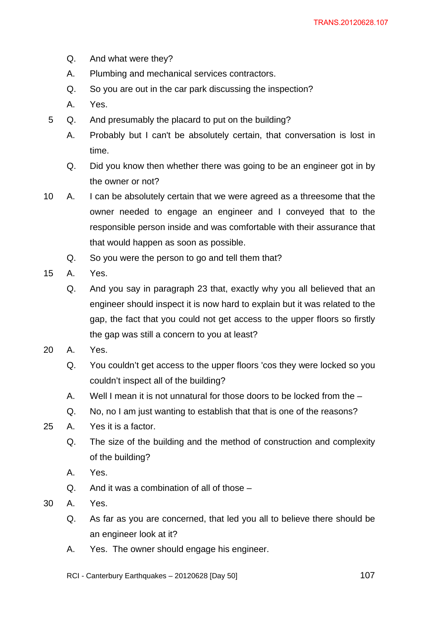- Q. And what were they?
- A. Plumbing and mechanical services contractors.
- Q. So you are out in the car park discussing the inspection?
- A. Yes.
- 5 Q. And presumably the placard to put on the building?
	- A. Probably but I can't be absolutely certain, that conversation is lost in time.
	- Q. Did you know then whether there was going to be an engineer got in by the owner or not?
- 10 A. I can be absolutely certain that we were agreed as a threesome that the owner needed to engage an engineer and I conveyed that to the responsible person inside and was comfortable with their assurance that that would happen as soon as possible.
	- Q. So you were the person to go and tell them that?
- 15 A. Yes.
	- Q. And you say in paragraph 23 that, exactly why you all believed that an engineer should inspect it is now hard to explain but it was related to the gap, the fact that you could not get access to the upper floors so firstly the gap was still a concern to you at least?
- 20 A. Yes.
	- Q. You couldn't get access to the upper floors 'cos they were locked so you couldn't inspect all of the building?
	- A. Well I mean it is not unnatural for those doors to be locked from the –
	- Q. No, no I am just wanting to establish that that is one of the reasons?
- 25 A. Yes it is a factor.
	- Q. The size of the building and the method of construction and complexity of the building?
	- A. Yes.
	- Q. And it was a combination of all of those –
- 30 A. Yes.
	- Q. As far as you are concerned, that led you all to believe there should be an engineer look at it?
	- A. Yes. The owner should engage his engineer.
	- RCI Canterbury Earthquakes 20120628 [Day 50]  $107$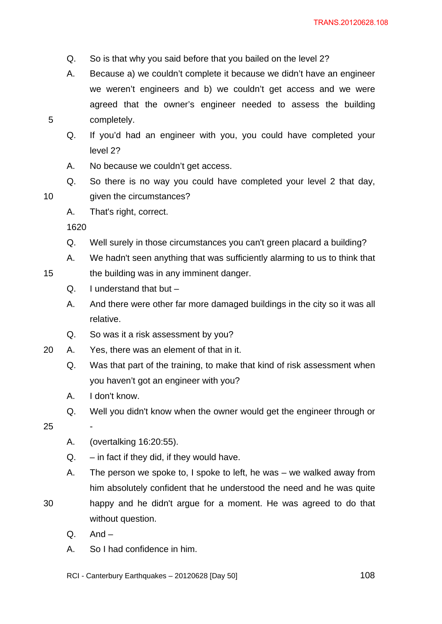- Q. So is that why you said before that you bailed on the level 2?
- A. Because a) we couldn't complete it because we didn't have an engineer we weren't engineers and b) we couldn't get access and we were agreed that the owner's engineer needed to assess the building completely.
- Q. If you'd had an engineer with you, you could have completed your level 2?
- A. No because we couldn't get access.
- Q. So there is no way you could have completed your level 2 that day, given the circumstances?
- A. That's right, correct.

5

10

15

- Q. Well surely in those circumstances you can't green placard a building?
- A. We hadn't seen anything that was sufficiently alarming to us to think that
- the building was in any imminent danger.
	- Q. I understand that but –
	- A. And there were other far more damaged buildings in the city so it was all relative.
- Q. So was it a risk assessment by you?
- 20 A. Yes, there was an element of that in it.
	- Q. Was that part of the training, to make that kind of risk assessment when you haven't got an engineer with you?
	- A. I don't know.

-

Q. Well you didn't know when the owner would get the engineer through or

25

- A. (overtalking 16:20:55).
- $Q. in$  fact if they did, if they would have.
- A. The person we spoke to, I spoke to left, he was we walked away from him absolutely confident that he understood the need and he was quite

happy and he didn't argue for a moment. He was agreed to do that

30

without question.

- $Q.$  And  $-$
- A. So I had confidence in him.
- RCI Canterbury Earthquakes 20120628 [Day 50]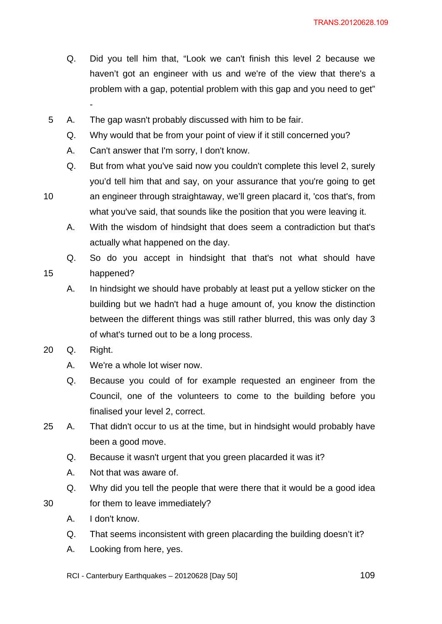- Q. Did you tell him that, "Look we can't finish this level 2 because we haven't got an engineer with us and we're of the view that there's a problem with a gap, potential problem with this gap and you need to get"
- 5 A. The gap wasn't probably discussed with him to be fair.
	- Q. Why would that be from your point of view if it still concerned you?
	- A. Can't answer that I'm sorry, I don't know.
	- Q. But from what you've said now you couldn't complete this level 2, surely you'd tell him that and say, on your assurance that you're going to get

10

15

30

-

- an engineer through straightaway, we'll green placard it, 'cos that's, from what you've said, that sounds like the position that you were leaving it.
	- A. With the wisdom of hindsight that does seem a contradiction but that's actually what happened on the day.

Q. So do you accept in hindsight that that's not what should have happened?

- A. In hindsight we should have probably at least put a yellow sticker on the building but we hadn't had a huge amount of, you know the distinction between the different things was still rather blurred, this was only day 3 of what's turned out to be a long process.
- 20 Q. Right.
	- A. We're a whole lot wiser now.
	- Q. Because you could of for example requested an engineer from the Council, one of the volunteers to come to the building before you finalised your level 2, correct.
- 25 A. That didn't occur to us at the time, but in hindsight would probably have been a good move.
	- Q. Because it wasn't urgent that you green placarded it was it?
	- A. Not that was aware of.
	- Q. Why did you tell the people that were there that it would be a good idea for them to leave immediately?
	- A. I don't know.
	- Q. That seems inconsistent with green placarding the building doesn't it?
	- A. Looking from here, yes.
	- RCI Canterbury Earthquakes 20120628 [Day 50]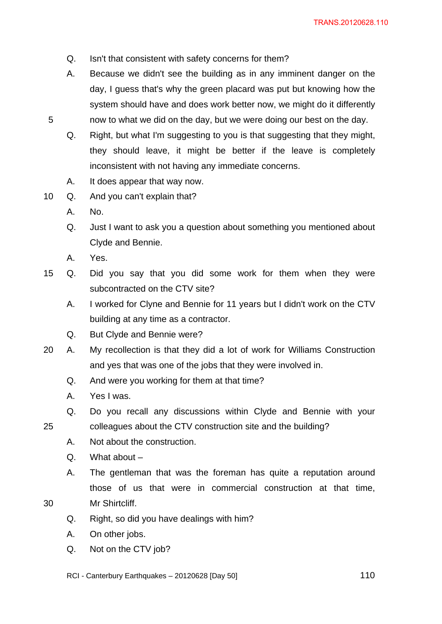- Q. Isn't that consistent with safety concerns for them?
- A. Because we didn't see the building as in any imminent danger on the day, I guess that's why the green placard was put but knowing how the system should have and does work better now, we might do it differently now to what we did on the day, but we were doing our best on the day.
- Q. Right, but what I'm suggesting to you is that suggesting that they might, they should leave, it might be better if the leave is completely inconsistent with not having any immediate concerns.
- A. It does appear that way now.
- 10 Q. And you can't explain that?
	- A. No.

5

- Q. Just I want to ask you a question about something you mentioned about Clyde and Bennie.
- A. Yes.
- 15 Q. Did you say that you did some work for them when they were subcontracted on the CTV site?
	- A. I worked for Clyne and Bennie for 11 years but I didn't work on the CTV building at any time as a contractor.
	- Q. But Clyde and Bennie were?
- 20 A. My recollection is that they did a lot of work for Williams Construction and yes that was one of the jobs that they were involved in.
	- Q. And were you working for them at that time?
	- A. Yes I was.

25

30

- Q. Do you recall any discussions within Clyde and Bennie with your colleagues about the CTV construction site and the building?
- A. Not about the construction.
- Q. What about –
- A. The gentleman that was the foreman has quite a reputation around those of us that were in commercial construction at that time, Mr Shirtcliff.
- Q. Right, so did you have dealings with him?
- A. On other jobs.
- Q. Not on the CTV job?
- RCI Canterbury Earthquakes 20120628 [Day 50]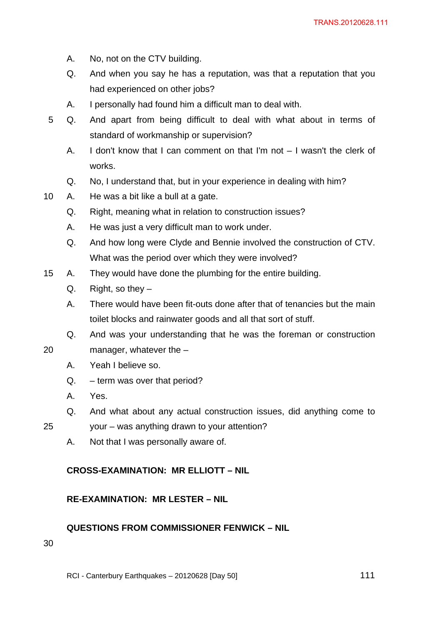- A. No, not on the CTV building.
- Q. And when you say he has a reputation, was that a reputation that you had experienced on other jobs?
- A. I personally had found him a difficult man to deal with.
- 5 Q. And apart from being difficult to deal with what about in terms of standard of workmanship or supervision?
	- A. I don't know that I can comment on that I'm not I wasn't the clerk of works.
	- Q. No, I understand that, but in your experience in dealing with him?
- 10 A. He was a bit like a bull at a gate.
	- Q. Right, meaning what in relation to construction issues?
	- A. He was just a very difficult man to work under.
	- Q. And how long were Clyde and Bennie involved the construction of CTV. What was the period over which they were involved?
- 15 A. They would have done the plumbing for the entire building.
	- Q. Right, so they  $-$
	- A. There would have been fit-outs done after that of tenancies but the main toilet blocks and rainwater goods and all that sort of stuff.
	- Q. And was your understanding that he was the foreman or construction
- 20 manager, whatever the –
	- A. Yeah I believe so.
	- Q. term was over that period?
	- A. Yes.
	- Q. And what about any actual construction issues, did anything come to

25

- your was anything drawn to your attention?
- A. Not that I was personally aware of.

## **CROSS-EXAMINATION: MR ELLIOTT – NIL**

### **RE-EXAMINATION: MR LESTER – NIL**

### **QUESTIONS FROM COMMISSIONER FENWICK – NIL**

30

RCI - Canterbury Earthquakes – 20120628 [Day 50]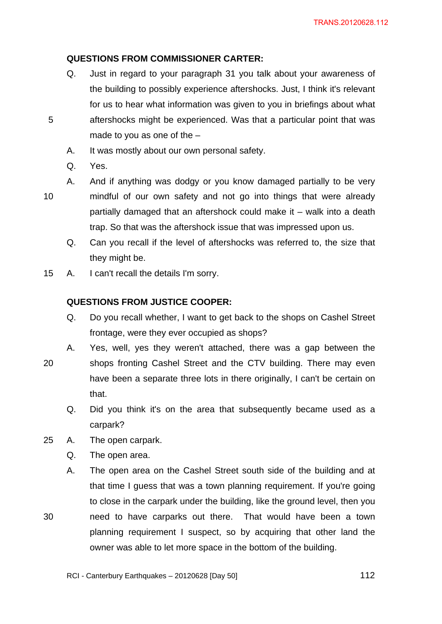## **QUESTIONS FROM COMMISSIONER CARTER:**

- Q. Just in regard to your paragraph 31 you talk about your awareness of the building to possibly experience aftershocks. Just, I think it's relevant for us to hear what information was given to you in briefings about what aftershocks might be experienced. Was that a particular point that was made to you as one of the –
- A. It was mostly about our own personal safety.
- Q. Yes.
- 10

5

- A. And if anything was dodgy or you know damaged partially to be very mindful of our own safety and not go into things that were already partially damaged that an aftershock could make it – walk into a death trap. So that was the aftershock issue that was impressed upon us.
- Q. Can you recall if the level of aftershocks was referred to, the size that they might be.
- 15 A. I can't recall the details I'm sorry.

## **QUESTIONS FROM JUSTICE COOPER:**

- Q. Do you recall whether, I want to get back to the shops on Cashel Street frontage, were they ever occupied as shops?
- A. Yes, well, yes they weren't attached, there was a gap between the
- 20 shops fronting Cashel Street and the CTV building. There may even have been a separate three lots in there originally, I can't be certain on that.
	- Q. Did you think it's on the area that subsequently became used as a carpark?
- 25 A. The open carpark.
	- Q. The open area.
	- A. The open area on the Cashel Street south side of the building and at that time I guess that was a town planning requirement. If you're going to close in the carpark under the building, like the ground level, then you
- 30 need to have carparks out there. That would have been a town planning requirement I suspect, so by acquiring that other land the owner was able to let more space in the bottom of the building.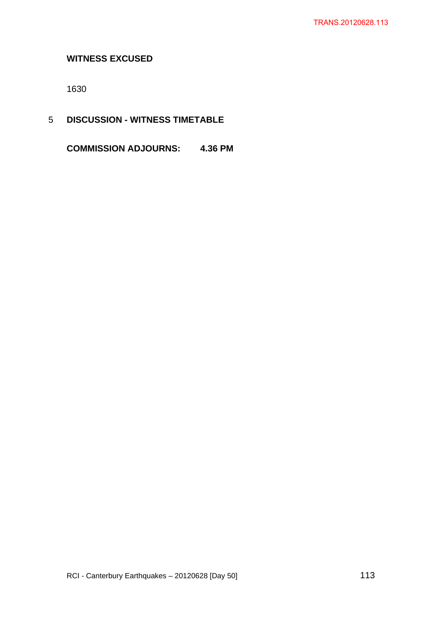# **WITNESS EXCUSED**

1630

5 **DISCUSSION - WITNESS TIMETABLE** 

**COMMISSION ADJOURNS: 4.36 PM**